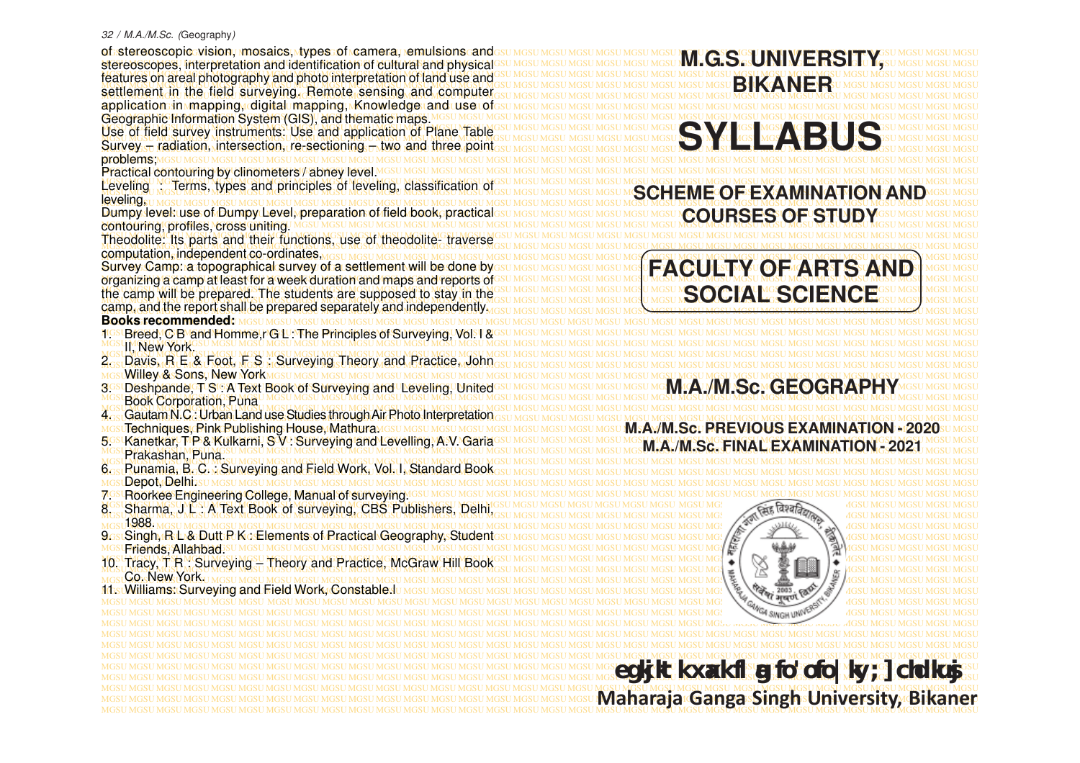#### 32 / M.A./M.Sc. (Geography)

MGSU MGSU MGSU MGSU MGSU MGSU MGSU MGSU MGSU MGSU MGSU MGSU MGSU MGSU MGSU MGSU MGSU MGSU MGSU MGSU MGSU MGSU MGSU MGSU MGSU MGSU MGSU MGSU MGSU MGSU MGSU MGSU of stereoscopic vision, mosaics, types of camera, emulsions and MGSU MGSU MGSU MGSU MGSU MGSU MGSU MGSU MGSU MGSU MGSU MGSU MGSU MGSU MGSU MGSU MGSU MGSU MGSU MGSU MGSU MGSU MGSU MGSU MGSU MGSU MGSU MGSU MGSU MGSU MGSU MGSU stereoscopes, interpretation and identification of cultural and physical MGSU MGSU MGSU MGSU MGSU MGSU MGSU MGSU MGSU MGSU MGSU MGSU MGSU MGSU MGSU MGSU MGSU MGSU MGSU MGSU MGSU MGSU MGSU MGSU MGSU MGSU MGSU MGSU MGSU MGSU MGSU MGSU features on areal photography and photo interpretation of land use and MGSU MGSU MGSU MGSU MGSU MGSU MGSU MGSU MGSU MGSU MGSU MGSU MGSU MGSU MGSU MGSU MGSU MGSU MGSU MGSU MGSU MGSU MGSU MGSU MGSU MGSU MGSU MGSU MGSU MGSU MGSU MGSU MGSU MGSU MGSU MGSU MGSU MGSU MGSU MGSU MGSU MGSU MGSU MGSU MGSU MGSU MGSU MGSU MGSU MGSU MGSU MGSU MGSU MGSU MGSU MGSU MGSU MGSU MGSU MGSU MGSU MGSU MGSU MGSU settlement in the field surveying. Remote sensing and computer MGSU MGSU MGSU MGSU MGSU MGSU MGSU MGSU MGSU MGSU MGSU MGSU MGSU MGSU MGSU MGSU MGSU MGSU MGSU MGSU MGSU MGSU MGSU MGSU MGSU MGSU MGSU MGSU MGSU MGSU MGSU MGSU application in mapping, digital mapping, Knowledge and use of MGSU MGSU MGSU MGSU MGSU MGSU MGSU MGSU MGSU MGSU MGSU MGSU MGSU MGSU MGSU MGSU MGSU MGSU MGSU MGSU MGSU MGSU MGSU MGSU MGSU MGSU MGSU MGSU MGSU MGSU MGSU MGSU Geographic Information System (GIS), and thematic maps. MGSU MGSU MGSU MGSU MGSU MGSU MGSU MGSU MGSU MGSU MGSU MGSU MGSU MGSU MGSU MGSU MGSU MGSU MGSU MGSU MGSU MGSU MGSU MGSU MGSU MGSU MGSU MGSU MGSU MGSU MGSU MGSU Use of field survey instruments: Use and application of Plane Table is a most mest mest mest mest mest mest was a server was most mest was a served mest mest mest was a served mest mest was a served mest mest was a served MGSU MGSU MGSU MGSU MGSU MGSU MGSU MGSU MGSU MGSU MGSU MGSU MGSU MGSU MGSU MGSU MGSU MGSU MGSU MGSU MGSU MGSU MGSU MGSU MGSU MGSU MGSU MGSU MGSU MGSU MGSU MGSU Survey – radiation, intersection, re-sectioning – two and three point MGSU MGSU MGSU MGSU MGSU MGSU MGSU MGSU MGSU MGSU MGSU MGSU MGSU MGSU MGSU MGSU MGSU MGSU MGSU MGSU MGSU MGSU MGSU MGSU MGSU MGSU MGSU MGSU MGSU MGSU MGSU MGSU problems; MGSU MGSU MGSU MGSU MGSU MGSU MGSU MGSU MGSU MGSU MGSU MGSU MGSU MGSU MGSU MGSU MGSU MGSU MGSU MGSU MGSU MGSU MGSU MGSU MGSU MGSU MGSU MGSU MGSU MGSU MGSU MGSU Practical contouring by clinometers / abney level. MGSU MGSU MGSU MGSU MGSU MGSU MGSU MGSU MGSU MGSU MGSU MGSU MGSU MGSU MGSU MGSU MGSU MGSU MGSU MGSU MGSU MGSU MGSU MGSU MGSU MGSU MGSU MGSU MGSU MGSU MGSU MGSU Leveling : Terms, types and principles of leveling, classification of MGSU MGSU MGSU MGSU MGSU MGSU MGSU MGSU MGSU MGSU MGSU MGSU MGSU MGSU MGSU MGSU MGSU MGSU MGSU MGSU MGSU MGSU MGSU MGSU MGSU MGSU MGSU MGSU MGSU MGSU MGSU MGSU **SCHEME OF EXAMINATION AND** MGSU MGSU MGSU MGSU MGSU MGSU MGSU MGSU MGSU MGSU MGSU MGSU MGSU MGSU MGSU MGSU MGSU MGSU MGSU MGSU MGSU MGSU MGSU MGSU MGSU MGSU MGSU MGSU MGSU MGSU MGSU MGSU Dumpy level:wse:of Dumpy Level, preparation of field book, practicalssu mesu mesu mesu mesu mesu nesu nesu ne ne RSFS OF STND Mesu mesu mesu mesu mesu MGSU MGSU MGSU MGSU MGSU MGSU MGSU MGSU MGSU MGSU MGSU MGSU MGSU MGSU MGSU MGSU MGSU MGSU MGSU MGSU MGSU MGSU MGSU MGSU MGSU MGSU MGSU MGSU MGSU MGSU MGSU MGSU contouring, profiles, cross uniting. MGSU MGSU MGSU MGSU MGSU MGSU MGSU MGSU MGSU MGSU MGSU MGSU MGSU MGSU MGSU MGSU MGSU MGSU MGSU MGSU MGSU MGSU MGSU MGSU MGSU MGSU MGSU MGSU MGSU MGSU MGSU MGSU MGSU MGSU MGSU MGSU MGSU MGSU MGSU MGSU MGSU MGSU MGSU MGSU MGSU MGSU MGSU MGSU MGSU MGSU MGSU MGSU MGSU MGSU MGSU MGSU MGSU MGSU MGSU MGSU MGSU MGSU MGSU MGSU Theodolite: Its parts and their functions, use of theodolite- traverse MGSU MGSU MGSU MGSU MGSU MGSU MGSU MGSU MGSU MGSU MGSU MGSU MGSU MGSU MGSU MGSU MGSU MGSU MGSU MGSU MGSU MGSU MGSU MGSU MGSU MGSU MGSU MGSU MGSU MGSU MGSU MGSU computation, independent co-ordinates, Survey Camp:na topographical survey of a settlement will be done byesu Mesu Mesu Mesu Mesu Mesu TA (CH) II Ist MV U (C) FMA RS TS VAN DSU Mesu Mesu MGSU MGSU MGSU MGSU MGSU MGSU MGSU MGSU MGSU MGSU MGSU MGSU MGSU MGSU MGSU MGSU MGSU MGSU MGSU MGSU MGSU MGSU MGSU MGSU MGSU MGSU MGSU MGSU MGSU MGSU MGSU MGSU organizing a camp at least for a week duration and maps and reports of the camp will be prepared. The students are supposed to stay in the caungsu MGSU MGSU MGSU MGSU NGSU NGSU NGSU LANCE TO THE NC TO MGSU MGSU MGSU MGG UNCE TO THE NC TO THE NC TO THE RESULT MOVEMENT MGG UNCE TO THE NC. TO TH MGSU MGSU MGSU MGSU MGSU MGSU MGSU MGSU MGSU MGSU MGSU MGSU MGSU MGSU MGSU MGSU MGSU MGSU MGSU MGSU MGSU MGSU MGSU MGSU MGSU MGSU MGSU MGSU MGSU MGSU MGSU MGSU MGSU MGSU MGSU MGSU MGSU MGSU MGSU MGSU MGSU MGSU MGSU MGSU MGSU MGSU MGSU MGSU MGSU MGSU MGSU MGSU MGSU MGSU MGSU MGSU MGSU MGSU MGSU MGSU MGSU MGSU MGSU MGSU camp, and the report shall be prepared separately and independently. MGSU MGSU MGSU MGSU MGSU MGSU MGSU MGSU MGSU MGSU MGSU MGSU MGSU MGSU MGSU MGSU MGSU MGSU MGSU MGSU MGSU MGSU MGSU MGSU MGSU MGSU MGSU MGSU MGSU MGSU MGSU MGSU **Books recommended:** MGSU MGSU MGSU MGSU MGSU MGSU MGSU MGSU MGSU MGSU MGSU MGSU MGSU MGSU MGSU MGSU MGSU MGSU MGSU MGSU MGSU MGSU MGSU MGSU MGSU MGSU MGSU MGSU MGSU MGSU MGSU MGSU 1. Breed, C B and Homme,r G L : The Principles of Surveying, Vol. I & MGSU MGSU MGSU MGSU MGSU MGSU MGSU MGSU MGSU MGSU MGSU MGSU MGSU MGSU MGSU MGSU MGSU MGSU MGSU MGSU MGSU MGSU MGSU MGSU MGSU MGSU MGSU MGSU MGSU MGSU MGSU MGSU MGSU MGSU MGSU MGSU MGSU MGSU MGSU MGSU MGSU MGSU MGSU MGSU MGSU MGSU MGSU MGSU MGSU MGSU MGSU MGSU MGSU MGSU MGSU MGSU MGSU MGSU MGSU MGSU MGSU MGSU MGSU MGSU MGSU MGSU MGSU MGSU MGSU MGSU MGSU MGSU MGSU MGSU MGSU MGSU MGSU MGSU MGSU MGSU MGSU MGSU MGSU MGSU MGSU MGSU MGSU MGSU MGSU MGSU MGSU MGSU MGSU MGSU MGSU MGSU 2. Davis, R E & Foot, F S : Surveying Theory and Practice, John MGSU MGSU MGSU MGSU MGSU MGSU MGSU MGSU MGSU MGSU MGSU MGSU MGSU MGSU MGSU MGSU MGSU MGSU MGSU MGSU MGSU MGSU MGSU MGSU MGSU MGSU MGSU MGSU MGSU MGSU MGSU MGSU Willey & Sons, New York 3GSLDeshpande, TSL: A Text Book of Surveying and Leveling, UnitedGsUMGSUMGSUMGSUMGSUMG**IM.A./MI.SC.LOGRAPHY**MGSUMGSUMGSU MGSU MGSU MGSU MGSU MGSU MGSU MGSU MGSU MGSU MGSU MGSU MGSU MGSU MGSU MGSU MGSU MGSU MGSU MGSU MGSU MGSU MGSU MGSU MGSU MGSU MGSU MGSU MGSU MGSU MGSU MGSU MGSU Book Corporation, Puna MGSU MGSU MGSU MGSU MGSU MGSU MGSU MGSU MGSU MGSU MGSU MGSU MGSU MGSU MGSU MGSU MGSU MGSU MGSU MGSU MGSU MGSU MGSU MGSU MGSU MGSU MGSU MGSU MGSU MGSU MGSU MGSU MGSU MGSU MGSU MGSU MGSU MGSU MGSU MGSU MGSU MGSU MGSU MGSU MGSU MGSU MGSU MGSU MGSU MGSU MGSU MGSU MGSU MGSU MGSU MGSU MGSU MGSU MGSU MGSU MGSU MGSU MGSU MGSU 4. Gautam N.C : Urban Land use Studies through Air Photo Interpretation MGSU MGSU MGSU MGSU MGSU MGSU MGSU MGSU MGSU MGSU MGSU MGSU MGSU MGSU MGSU MGSU MGSU MGSU MGSU MGSU MGSU MGSU MGSU MGSU MGSU MGSU MGSU MGSU MGSU MGSU MGSU MGSU Techniques, Pink Publishing House, Mathura. 5GSLKanetkar, T.P.& Kulkarni, S.V.: Surveying and Levelling, A.V. Garia GSU MGSU MGSU MGSU MGSU MG**AL/MCSC FINAL FXAMINATION - 2021** MGSU MGSU 5. SEBERGE, FF & NUKAMI, S V.: SUMBUMG ANG USBUHIQ, A.V. GAHAGSU MGSU MGSU MGSU MGSU MGSU MG**M.A./M.Sc. FINAL EXAMINATION - 2021** MGSU MGSU MGSU MGSU MGSU MGSU MGSU MGSU MGSU MGSU MGSU MGSU MGSU MGSU MGSU MGSU MGSU MGSU MGSU MGSU MGSU MGSU MGSU MGSU MGSU MGSU MGSU MGSU MGSU MGSU MGSU MGSU MGSU MGSU MGSU MGSU MGSU MGSU MGSU MGSU MGSU MGSU MGSU MGSU MGSU MGSU MGSU MGSU MGSU MGSU MGSU MGSU MGSU MGSU MGSU MGSU MGSU MGSU MGSU MGSU MGSU MGSU MGSU MGSU MGSU MGSU 6. Punamia, B. C. : Surveying and Field Work, Vol. I, Standard Book MGSU MGSU MGSU MGSU MGSU MGSU MGSU MGSU MGSU MGSU MGSU MGSU MGSU MGSU MGSU MGSU MGSU MGSU MGSU MGSU MGSU MGSU MGSU MGSU MGSU MGSU MGSU MGSU MGSU MGSU MGSU MGSU MGSU MGSU MGSU MGSU MGSU MGSU MGSU MGSU MGSU MGSU MGSU MGSU MGSU MGSU MGSU MGSU MGSU MGSU MGSU MGSU MGSU MGSU MGSU MGSU MGSU MGSU MGSU MGSU MGSU MGSU MGSU MGSU 7. Roorkee Engineering College, Manual of surveying. MGSU MGSU MGSU MGSU MGSU MGSU MGSU MGSU MGSU MGSU MGSU MGSU MGSU MGSU MGSU MGSU MGSU MGSU MGSU MGSU MGSU MGSU MGSU MGSU MGSU MGSU MGSU MGSU MGSU MGSU MGSU MGSU MGSU MGSU MGSU MGSU MGSU MGSU MGSU MGSU MGSU MGSU MGSU MGSU MGSU MGSU MGSU MGSU MGSU MGSU MGSU MGSU MGSU MGSU MGSU MGSU MGSU MGSU MGSU MGSU MGSU MGSU MGSU MGSU 8. Sharma, J L : A Text Book of surveying, CBS Publishers, Delhi, MGSU MGSU MGSU MGSU MGSU MGSU MGSU MGSU MGSU MGSU MGSU MGSU MGSU MGSU MGSU MGSU MGSU MGSU MGSU MGSU MGSU MGSU MGSU MGSU MGSU MGSU MGSU MGSU MGSU MGSU MGSU MGSU MGSU MGSU MGSU MGSU MGSU MGSU MGSU MGSU MGSU MGSU MGSU MGSU MGSU MGSU MGSU MGSU MGSU MGSU MGSU MGSU MGSU MGSU MGSU MGSU MGSU MGSU MGSU MGSU MGSU MGSU MGSU MGSU 9. Singh, R L & Dutt P K : Elements of Practical Geography, Student MGSU MGSU MGSU MGSU MGSU MGSU MGSU MGSU MGSU MGSU MGSU MGSU MGSU MGSU MGSU MGSU MGSU MGSU MGSU MGSU MGSU MGSU MGSU MGSU MGSU MGSU MGSU MGSU MGSU MGSU MGSU MGSU Friends, Allahbad. MGSU MGSU MGSU MGSU MGSU MGSU MGSU MGSU MGSU MGSU MGSU MGSU MGSU MGSU MGSU MGSU MGSU MGSU MGSU MGSU MGSU MGSU MGSU MGSU MGSU MGSU MGSU MGSU MGSU MGSU MGSU MGSU MGSU MGSU MGSU MGSU MGSU MGSU MGSU MGSU MGSU MGSU MGSU MGSU MGSU MGSU MGSU MGSU MGSU MGSU MGSU MGSU MGSU MGSU MGSU MGSU MGSU MGSU MGSU MGSU MGSU MGSU MGSU MGSU 10. Tracy, T R : Surveying – Theory and Practice, McGraw Hill Book MGSU MGSU MGSU MGSU MGSU MGSU MGSU MGSU MGSU MGSU MGSU MGSU MGSU MGSU MGSU MGSU MGSU MGSU MGSU MGSU MGSU MGSU MGSU MGSU MGSU MGSU MGSU MGSU MGSU MGSU MGSU MGSU MGSU MGSU MGSU MGSU MGSU MGSU MGSU MGSU MGSU MGSU MGSU MGSU MGSU MGSU MGSU MGSU MGSU MGSU MGSU MGSU MGSU MGSU MGSU MGSU MGSU MGSU MGSU MGSU MGSU MGSU MGSU MGSU 11. Williams: Surveying and Field Work, Constable.l MGSU MGSU MGSU MGSU MGSU MGSU MGSU MGSU MGSU MGSU MGSU MGSU MGSU MGSU MGSU MGSU MGSU MGSU MGSU MGSU MGSU MGSU MGSU MGSU MGSU MGSU MGSU MGSU MGSU MGSU MGSU MGSU MGSU MGSU MGSU MGSU MGSU MGSU MGSU MGSU MGSU MGSU MGSU MGSU MGSU MGSU MGSU MGSU MGSU MGSU MGSU MGSU MGSU MGSU MGSU MGSU MGSU MGSU MGSU MGSU MGSU MGSU MGSU MGSU MGSU MGSU MGSU MGSU MGSU MGSU MGSU MGSU MGSU MGSU MGSU MGSU MGSU MGSU MGSU MGSU MGSU MGSU MGSU MGSU MGSU MGSU MGSU MGSU MGSU MGSU MGSU MGSU MGSU MGSU MGSU MGSU MGSU MGSU MGSU MGSU MGSU MGSU MGSU MGSU MGSU MGSU MGSU MGSU MGSU MGSU MGSU MGSU MGSU MGSU MGSU MGSU MGSU MGSU MGSU MGSU MGSU MGSU MGSU MGSU MGSU MGSU MGSU MGSU MGSU MGSU MGSU MGSU MGSU MGSU MGSU MGSU MGSU MGSU MGSU MGSU MGSU MGSU MGSU MGSU MGSU MGSU MGSU MGSU MGSU MGSU MGSU MGSU MGSU MGSU MGSU MGSU MGSU MGSU MGSU MGSU **egkjktk xaxk flag fo'ofo|ky;] chdkusj** MGSU MGSU MGSU MGSU MGSU MGSU MGSU MGSU MGSU MGSU MGSU MGSU MGSU MGSU MGSU MGSU MGSU MGSU MGSU MGSU MGSU MGSU MGSU MGSU MGSU MGSU MGSU MGSU MGSU MGSU MGSU MGSU MGSU MGSU MGSU MGSU MGSU MGSU MGSU MGSU MGSU MGSU MGSU MGSU MGSU MGSU MGSU MGSU MGSU MGSU MGSU MGSU MGSU MGSU MGSU MGSU MGSU MGSU MGSU MGSU MGSU MGSU MGSU MGSU leveling, II, New York. Prakashan, Puna. **Depot Delhi.st** 1988. Co. New York.

# **COURSES OF STUDY FACULTY OF ARTS AND SOCIAL SCIENCE**

**SYLCABUS** 

**BIKANER**

**M.G.S. UNIVERSIT** 

## **M.A./M.Sc. GEOGRAP**

# **M.A./M.Sc. PREVIOUS EXAMINATION - 2020**



MGSU MGSU MGSU MGSU MGSU MGSU MGSU MGSU MGSU MGSU MGSU MGSU MGSU MGSU MGSU MGSU MGSU MGSU MGSU MGSU MGSU MGSU MGSU MGSU MGSU MGSU MGSU MGSU MGSU MGSU MGSU MGSU **Maharaja Ganga Singh University, Bi kaner**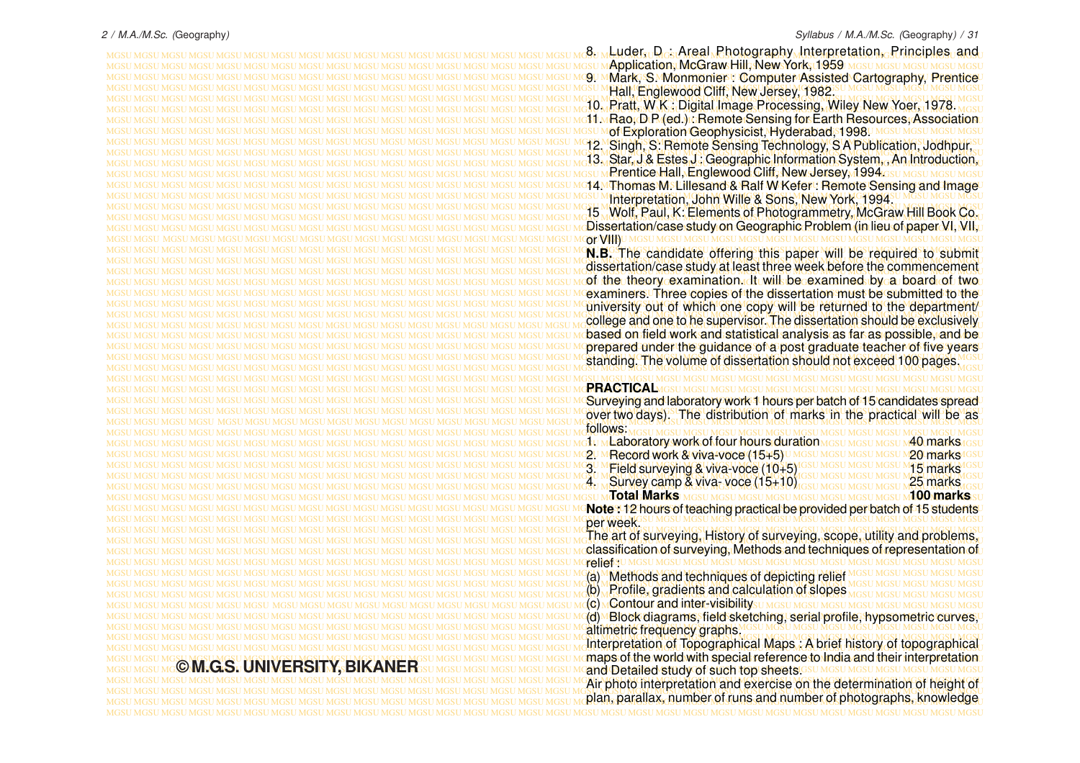MGSU MGSU MGSU MGSU MGSU MGSU MGSU MGSU MGSU MGSU MGSU MGSU MGSU MGSU MGSU MGSU MGSU MGSU MGSU MGSU MGSU MGSU MGSU MGSU MGSU MGSU MGSU MGSU MGSU MGSU MGSU MGSU 8. Luder, D : Areal Photography Interpretation, Principles and MGSU MGSU MGSU MGSU MGSU MGSU MGSU MGSU MGSU MGSU MGSU MGSU MGSU MGSU MGSU MGSU MGSU MGSU MGSU MGSU MGSU MGSU MGSU MGSU MGSU MGSU MGSU MGSU MGSU MGSU MGSU MGSU Application, McGraw Hill, New York, 1959 MGSU MGSU MGSU MGSU MGSU MGSU MGSU MGSU MGSU MGSU MGSU MGSU MGSU MGSU MGSU MGSU MGSU MGSU MGSU MGSU MGSU MGSU MGSU MGSU MGSU MGSU MGSU MGSU MGSU MGSU MGSU MGSU 9. Mark, S. Monmonier : Computer Assisted Cartography, Prentice MGSU MGSU MGSU MGSU MGSU MGSU MGSU MGSU MGSU MGSU MGSU MGSU MGSU MGSU MGSU MGSU MGSU MGSU MGSU MGSU MGSU MGSU MGSU MGSU MGSU MGSU MGSU MGSU MGSU MGSU MGSU MGSU Hall, Englewood Cliff, New Jersey, 1982. MGSU MGSU MGSU MGSU MGSU MGSU MGSU MGSU MGSU MGSU MGSU MGSU MGSU MGSU MGSU MGSU MGSU MGSU MGSU MGSU MGSU MGSU MGSU MGSU MGSU MGSU MGSU MGSU MGSU MGSU MGSU MGSU MGSU MGSU MGSU MGSU MGSU MGSU MGSU MGSU MGSU MGSU MGSU MGSU MGSU MGSU MGSU MGSU MGSU MGSU MGSU MGSU MGSU MGSU MGSU MGSU MGSU MGSU MGSU MGSU MGSU MGSU MGSU MGSU 10. Pratt, W K : Digital Image Processing, Wiley New Yoer, 1978. MGSU MGSU MGSU MGSU MGSU MGSU MGSU MGSU MGSU MGSU MGSU MGSU MGSU MGSU MGSU MGSU MGSU MGSU MGSU MGSU MGSU MGSU MGSU MGSU MGSU MGSU MGSU MGSU MGSU MGSU MGSU MGSU 11. Rao, D P (ed.) : Remote Sensing for Earth Resources, Association MGSU MGSU MGSU MGSU MGSU MGSU MGSU MGSU MGSU MGSU MGSU MGSU MGSU MGSU MGSU MGSU MGSU MGSU MGSU MGSU MGSU MGSU MGSU MGSU MGSU MGSU MGSU MGSU MGSU MGSU MGSU MGSU of Exploration Geophysicist, Hyderabad, 1998. MGSU MGSU MGSU MGSU MGSU MGSU MGSU MGSU MGSU MGSU MGSU MGSU MGSU MGSU MGSU MGSU MGSU MGSU MGSU MGSU MGSU MGSU MGSU MGSU MGSU MGSU MGSU MGSU MGSU MGSU MGSU MGSU 12. Singh, S: Remote Sensing Technology, S A Publication, Jodhpur, MGSU MGSU MGSU MGSU MGSU MGSU MGSU MGSU MGSU MGSU MGSU MGSU MGSU MGSU MGSU MGSU MGSU MGSU MGSU MGSU MGSU MGSU MGSU MGSU MGSU MGSU MGSU MGSU MGSU MGSU MGSU MGSU MGSU MGSU MGSU MGSU MGSU MGSU MGSU MGSU MGSU MGSU MGSU MGSU MGSU MGSU MGSU MGSU MGSU MGSU MGSU MGSU MGSU MGSU MGSU MGSU MGSU MGSU MGSU MGSU MGSU MGSU MGSU MGSU 13. Star, J & Estes J : Geographic Information System, , An Introduction, MGSU MGSU MGSU MGSU MGSU MGSU MGSU MGSU MGSU MGSU MGSU MGSU MGSU MGSU MGSU MGSU MGSU MGSU MGSU MGSU MGSU MGSU MGSU MGSU MGSU MGSU MGSU MGSU MGSU MGSU MGSU MGSU Prentice Hall, Englewood Cliff, New Jersey, 1994. MGSU MGSU MGSU MGSU MGSU MGSU MGSU MGSU MGSU MGSU MGSU MGSU MGSU MGSU MGSU MGSU MGSU MGSU MGSU MGSU MGSU MGSU MGSU MGSU MGSU MGSU MGSU MGSU MGSU MGSU MGSU MGSU 14. Thomas M. Lillesand & Ralf W Kefer : Remote Sensing and Image MGSU MGSU MGSU MGSU MGSU MGSU MGSU MGSU MGSU MGSU MGSU MGSU MGSU MGSU MGSU MGSU MGSU MGSU MGSU MGSU MGSU MGSU MGSU MGSU MGSU MGSU MGSU MGSU MGSU MGSU MGSU MGSU Interpretation, John Wille & Sons, New York, 1994. MGSU MGSU MGSU MGSU MGSU MGSU MGSU MGSU MGSU MGSU MGSU MGSU MGSU MGSU MGSU MGSU MGSU MGSU MGSU MGSU MGSU MGSU MGSU MGSU MGSU MGSU MGSU MGSU MGSU MGSU MGSU MGSU MGSU MGSU MGSU MGSU MGSU MGSU MGSU MGSU MGSU MGSU MGSU MGSU MGSU MGSU MGSU MGSU MGSU MGSU MGSU MGSU MGSU MGSU MGSU MGSU MGSU MGSU MGSU MGSU MGSU MGSU MGSU MGSU 15 Wolf, Paul, K: Elements of Photogrammetry, McGraw Hill Book Co. MGSU MGSU MGSU MGSU MGSU MGSU MGSU MGSU MGSU MGSU MGSU MGSU MGSU MGSU MGSU MGSU MGSU MGSU MGSU MGSU MGSU MGSU MGSU MGSU MGSU MGSU MGSU MGSU MGSU MGSU MGSU MGSU Dissertation/case study on Geographic Problem (in lieu of paper VI, VII, MGSU MGSU MGSU MGSU MGSU MGSU MGSU MGSU MGSU MGSU MGSU MGSU MGSU MGSU MGSU MGSU MGSU MGSU MGSU MGSU MGSU MGSU MGSU MGSU MGSU MGSU MGSU MGSU MGSU MGSU MGSU MGSU or VIII) MGSU MGSU MGSU MGSU MGSU MGSU MGSU MGSU MGSU MGSU MGSU MGSU MGSU MGSU MGSU MGSU MGSU MGSU MGSU MGSU MGSU MGSU MGSU MGSU MGSU MGSU MGSU MGSU MGSU MGSU MGSU MGSU **N.B.** The candidate offering this paper will be required to submit MGSU MGSU MGSU MGSU MGSU MGSU MGSU MGSU MGSU MGSU MGSU MGSU MGSU MGSU MGSU MGSU MGSU MGSU MGSU MGSU MGSU MGSU MGSU MGSU MGSU MGSU MGSU MGSU MGSU MGSU MGSU MGSU MGSU MGSU MGSU MGSU MGSU MGSU MGSU MGSU MGSU MGSU MGSU MGSU MGSU MGSU MGSU MGSU MGSU MGSU MGSU MGSU MGSU MGSU MGSU MGSU MGSU MGSU MGSU MGSU MGSU MGSU MGSU MGSU dissertation/case study at least three week before the commencement MGSU MGSU MGSU MGSU MGSU MGSU MGSU MGSU MGSU MGSU MGSU MGSU MGSU MGSU MGSU MGSU MGSU MGSU MGSU MGSU MGSU MGSU MGSU MGSU MGSU MGSU MGSU MGSU MGSU MGSU MGSU MGSU of the theory examination. It will be examined by a board of two MGSU MGSU MGSU MGSU MGSU MGSU MGSU MGSU MGSU MGSU MGSU MGSU MGSU MGSU MGSU MGSU MGSU MGSU MGSU MGSU MGSU MGSU MGSU MGSU MGSU MGSU MGSU MGSU MGSU MGSU MGSU MGSU examiners. Three copies of the dissertation must be submitted to the MGSU MGSU MGSU MGSU MGSU MGSU MGSU MGSU MGSU MGSU MGSU MGSU MGSU MGSU MGSU MGSU MGSU MGSU MGSU MGSU MGSU MGSU MGSU MGSU MGSU MGSU MGSU MGSU MGSU MGSU MGSU MGSU university out of which one copy will be returned to the department/ MGSU MGSU MGSU MGSU MGSU MGSU MGSU MGSU MGSU MGSU MGSU MGSU MGSU MGSU MGSU MGSU MGSU MGSU MGSU MGSU MGSU MGSU MGSU MGSU MGSU MGSU MGSU MGSU MGSU MGSU MGSU MGSU MGSU MGSU MGSU MGSU MGSU MGSU MGSU MGSU MGSU MGSU MGSU MGSU MGSU MGSU MGSU MGSU MGSU MGSU MGSU MGSU MGSU MGSU MGSU MGSU MGSU MGSU MGSU MGSU MGSU MGSU MGSU MGSU college and one to he supervisor. The dissertation should be exclusively MGSU MGSU MGSU MGSU MGSU MGSU MGSU MGSU MGSU MGSU MGSU MGSU MGSU MGSU MGSU MGSU MGSU MGSU MGSU MGSU MGSU MGSU MGSU MGSU MGSU MGSU MGSU MGSU MGSU MGSU MGSU MGSU based on field work and statistical analysis as far as possible, and be MGSU MGSU MGSU MGSU MGSU MGSU MGSU MGSU MGSU MGSU MGSU MGSU MGSU MGSU MGSU MGSU MGSU MGSU MGSU MGSU MGSU MGSU MGSU MGSU MGSU MGSU MGSU MGSU MGSU MGSU MGSU MGSU prepared under the guidance of a post graduate teacher of five years MGSU MGSU MGSU MGSU MGSU MGSU MGSU MGSU MGSU MGSU MGSU MGSU MGSU MGSU MGSU MGSU MGSU MGSU MGSU MGSU MGSU MGSU MGSU MGSU MGSU MGSU MGSU MGSU MGSU MGSU MGSU MGSU standing. The volume of dissertation should not exceed 100 pages. MGSU MGSU MGSU MGSU MGSU MGSU MGSU MGSU MGSU MGSU MGSU MGSU MGSU MGSU MGSU MGSU MGSU MGSU MGSU MGSU MGSU MGSU MGSU MGSU MGSU MGSU MGSU MGSU MGSU MGSU MGSU MGSU MGSU MGSU MGSU MGSU MGSU MGSU MGSU MGSU MGSU MGSU MGSU MGSU MGSU MGSU MGSU MGSU MGSU MGSU MGSU MGSU MGSU MGSU MGSU MGSU MGSU MGSU MGSU MGSU MGSU MGSU MGSU MGSU MGSU MGSU MGSU MGSU MGSU MGSU MGSU MGSU MGSU MGSU MGSU MGSU MGSU MGSU MGSU MGSU MGSU MGSU MGSU MGSU MGSU MGSU MGSU MGSU MGSU MGSU MGSU MGSU MGSU MGSU MGSU MGSU Surveying and laboratory work 1 hours per batch of 15 candidates spread MGSU MGSU MGSU MGSU MGSU MGSU MGSU MGSU MGSU MGSU MGSU MGSU MGSU MGSU MGSU MGSU MGSU MGSU MGSU MGSU MGSU MGSU MGSU MGSU MGSU MGSU MGSU MGSU MGSU MGSU MGSU MGSU over two days). The distribution of marks in the practical will be as MGSU MGSU MGSU MGSU MGSU MGSU MGSU MGSU MGSU MGSU MGSU MGSU MGSU MGSU MGSU MGSU MGSU MGSU MGSU MGSU MGSU MGSU MGSU MGSU MGSU MGSU MGSU MGSU MGSU MGSU MGSU MGSU MGSU MGSU MGSU MGSU MGSU MGSU MGSU MGSU MGSU MGSU MGSU MGSU MGSU MGSU MGSU MGSU MGSU MGSU MGSU MGSU MGSU MGSU MGSU MGSU MGSU MGSU MGSU MGSU MGSU MGSU MGSU MGSU MGSU MGSU MGSU MGSU MGSU MGSU MGSU MGSU MGSU MGSU MGSU MGSU MGSU MGSU MGSU MGSU MGSU MGSU MGSU MGSU MGSU MGSU MGSU MGSU MGSU MGSU MGSU MGSU MGSU MGSU MGSU MGSU 1. Laboratory work of four hours duration 40 marks MGSU MGSU MGSU MGSU MGSU MGSU MGSU MGSU MGSU MGSU MGSU MGSU MGSU MGSU MGSU MGSU MGSU MGSU MGSU MGSU MGSU MGSU MGSU MGSU MGSU MGSU MGSU MGSU MGSU MGSU MGSU MGSU 2. Record work & viva-voce (15+5) 20 marks MGSU MGSU MGSU MGSU MGSU MGSU MGSU MGSU MGSU MGSU MGSU MGSU MGSU MGSU MGSU MGSU MGSU MGSU MGSU MGSU MGSU MGSU MGSU MGSU MGSU MGSU MGSU MGSU MGSU MGSU MGSU MGSU 3. Field surveying & viva-voce (10+5) 15 marks MGSU MGSU MGSU MGSU MGSU MGSU MGSU MGSU MGSU MGSU MGSU MGSU MGSU MGSU MGSU MGSU MGSU MGSU MGSU MGSU MGSU MGSU MGSU MGSU MGSU MGSU MGSU MGSU MGSU MGSU MGSU MGSU MGSU MGSU MGSU MGSU MGSU MGSU MGSU MGSU MGSU MGSU MGSU MGSU MGSU MGSU MGSU MGSU MGSU MGSU MGSU MGSU MGSU MGSU MGSU MGSU MGSU MGSU MGSU MGSU MGSU MGSU MGSU MGSU 4. Survey camp & viva- voce (15+10) 25 marks MGSU MGSU MGSU MGSU MGSU MGSU MGSU MGSU MGSU MGSU MGSU MGSU MGSU MGSU MGSU MGSU MGSU MGSU MGSU MGSU MGSU MGSU MGSU MGSU MGSU MGSU MGSU MGSU MGSU MGSU MGSU MGSU **Total Marks 100 marks** MGSU MGSU MGSU MGSU MGSU MGSU MGSU MGSU MGSU MGSU MGSU MGSU MGSU MGSU MGSU MGSU MGSU MGSU MGSU MGSU MGSU MGSU MGSU MGSU MGSU MGSU MGSU MGSU MGSU MGSU MGSU MGSU **Note :** 12 hours of teaching practical be provided per batch of 15 students MGSU MGSU MGSU MGSU MGSU MGSU MGSU MGSU MGSU MGSU MGSU MGSU MGSU MGSU MGSU MGSU MGSU MGSU MGSU MGSU MGSU MGSU MGSU MGSU MGSU MGSU MGSU MGSU MGSU MGSU MGSU MGSU MGSU MGSU MGSU MGSU MGSU MGSU MGSU MGSU MGSU MGSU MGSU MGSU MGSU MGSU MGSU MGSU MGSU MGSU MGSU MGSU MGSU MGSU MGSU MGSU MGSU MGSU MGSU MGSU MGSU MGSU MGSU MGSU MGSU MGSU MGSU MGSU MGSU MGSU MGSU MGSU MGSU MGSU MGSU MGSU MGSU MGSU MGSU MGSU MGSU MGSU MGSU MGSU MGSU MGSU MGSU MGSU MGSU MGSU MGSU MGSU MGSU MGSU MGSU MGSU The art of surveying, History of surveying, scope, utility and problems, MGSU MGSU MGSU MGSU MGSU MGSU MGSU MGSU MGSU MGSU MGSU MGSU MGSU MGSU MGSU MGSU MGSU MGSU MGSU MGSU MGSU MGSU MGSU MGSU MGSU MGSU MGSU MGSU MGSU MGSU MGSU MGSU classification of surveying, Methods and techniques of representation of MGSU MGSU MGSU MGSU MGSU MGSU MGSU MGSU MGSU MGSU MGSU MGSU MGSU MGSU MGSU MGSU MGSU MGSU MGSU MGSU MGSU MGSU MGSU MGSU MGSU MGSU MGSU MGSU MGSU MGSU MGSU MGSU MGSU MGSU MGSU MGSU MGSU MGSU MGSU MGSU MGSU MGSU MGSU MGSU MGSU MGSU MGSU MGSU MGSU MGSU MGSU MGSU MGSU MGSU MGSU MGSU MGSU MGSU MGSU MGSU MGSU MGSU MGSU MGSU (a) Methods and techniques of depicting relief MGSU MGSU MGSU MGSU MGSU MGSU MGSU MGSU MGSU MGSU MGSU MGSU MGSU MGSU MGSU MGSU MGSU MGSU MGSU MGSU MGSU MGSU MGSU MGSU MGSU MGSU MGSU MGSU MGSU MGSU MGSU MGSU MGSU MGSU MGSU MGSU MGSU MGSU MGSU MGSU MGSU MGSU MGSU MGSU MGSU MGSU MGSU MGSU MGSU MGSU MGSU MGSU MGSU MGSU MGSU MGSU MGSU MGSU MGSU MGSU MGSU MGSU MGSU MGSU (b) Profile, gradients and calculation of slopes MGSU MGSU MGSU MGSU MGSU MGSU MGSU MGSU MGSU MGSU MGSU MGSU MGSU MGSU MGSU MGSU MGSU MGSU MGSU MGSU MGSU MGSU MGSU MGSU MGSU MGSU MGSU MGSU MGSU MGSU MGSU MGSU (c) Contour and inter-visibility MGSU MGSU MGSU MGSU MGSU MGSU MGSU MGSU MGSU MGSU MGSU MGSU MGSU MGSU MGSU MGSU MGSU MGSU MGSU MGSU MGSU MGSU MGSU MGSU MGSU MGSU MGSU MGSU MGSU MGSU MGSU MGSU (d) Block diagrams, field sketching, serial profile, hypsometric curves, MGSU MGSU MGSU MGSU MGSU MGSU MGSU MGSU MGSU MGSU MGSU MGSU MGSU MGSU MGSU MGSU MGSU MGSU MGSU MGSU MGSU MGSU MGSU MGSU MGSU MGSU MGSU MGSU MGSU MGSU MGSU MGSU altimetric frequency graphs. MGSU MGSU MGSU MGSU MGSU MGSU MGSU MGSU MGSU MGSU MGSU MGSU MGSU MGSU MGSU MGSU MGSU MGSU MGSU MGSU MGSU MGSU MGSU MGSU MGSU MGSU MGSU MGSU MGSU MGSU MGSU MGSU

## **© M.G.S. UNIVERSITY, BIKANER**

MGSU MGSU MGSU MGSU MGSU MGSU MGSU MGSU MGSU MGSU MGSU MGSU MGSU MGSU MGSU MGSU MGSU MGSU MGSU MGSU MGSU MGSU MGSU MGSU MGSU MGSU MGSU MGSU MGSU MGSU MGSU MGSU Air photo interpretation and exercise on the determination of height of MGSU MGSU MGSU MGSU MGSU MGSU MGSU MGSU MGSU MGSU MGSU MGSU MGSU MGSU MGSU MGSU MGSU MGSU MGSU MGSU MGSU MGSU MGSU MGSU MGSU MGSU MGSU MGSU MGSU MGSU MGSU MGSU plan, parallax, number of runs and number of photographs, knowledge

MGSU MGSU MGSU MGSU MGSU MGSU MGSU MGSU MGSU MGSU MGSU MGSU MGSU MGSU MGSU MGSU MGSU MGSU MGSU MGSU MGSU MGSU MGSU MGSU MGSU MGSU MGSU MGSU MGSU MGSU MGSU MGSU Interpretation of Topographical Maps : A brief history of topographical MGSU MGSU MGSU MGSU MGSU MGSU MGSU MGSU MGSU MGSU MGSU MGSU MGSU MGSU MGSU MGSU MGSU MGSU MGSU MGSU MGSU MGSU MGSU MGSU MGSU MGSU MGSU MGSU MGSU MGSU MGSU MGSU maps of the world with special reference to India and their interpretation MGSU MGSU MGSU MGSU MGSU MGSU MGSU MGSU MGSU MGSU MGSU MGSU MGSU MGSU MGSU MGSU MGSU MGSU MGSU MGSU MGSU MGSU MGSU MGSU MGSU MGSU MGSU MGSU MGSU MGSU MGSU MGSU and Detailed study of such top sheets. MGSU MGSU MGSU MGSU MGSU MGSU MGSU MGSU MGSU MGSU MGSU MGSU MGSU MGSU MGSU MGSU MGSU MGSU MGSU MGSU MGSU MGSU MGSU MGSU MGSU MGSU MGSU MGSU MGSU MGSU MGSU MGSU **PRACTICAL** follows: per week. Grelief su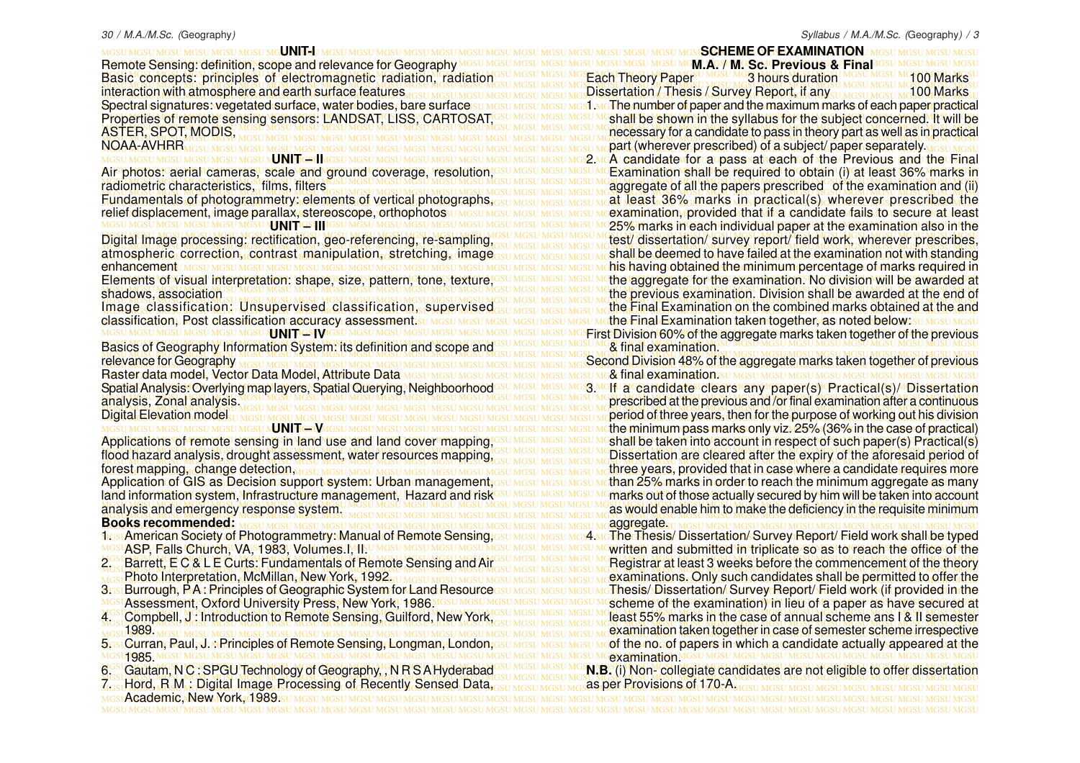MGSU MGSU MGSU MGSU MGSU MGSU MGSU MGSU MGSU MGSU MGSU MGSU MGSU MGSU MGSU MGSU MGSU MGSU MGSU MGSU MGSU MGSU MGSU MGSU MGSU MGSU MGSU MGSU MGSU MGSU MGSU MGSU **UNIT-I** MGSU MGSU MGSU MGSU MGSU MGSU MGSU MGSU MGSU MGSU MGSU MGSU MGSU MGSU MGSU MGSU MGSU MGSU MGSU MGSU MGSU MGSU MGSU MGSU MGSU MGSU MGSU MGSU MGSU MGSU MGSU MGSU Remote Sensing: definition, scope and relevance for Geography MGSU MGSU MGSU MGSU MGSU MGSU MGSU MGSU MGSU MGSU MGSU MGSU MGSU MGSU MGSU MGSU MGSU MGSU MGSU MGSU MGSU MGSU MGSU MGSU MGSU MGSU MGSU MGSU MGSU MGSU MGSU MGSU Basic concepts: principles of electromagnetic radiation, radiation MGSU MGSU MGSU MGSU MGSU MGSU MGSU MGSU MGSU MGSU MGSU MGSU MGSU MGSU MGSU MGSU MGSU MGSU MGSU MGSU MGSU MGSU MGSU MGSU MGSU MGSU MGSU MGSU MGSU MGSU MGSU MGSU interaction with atmosphere and earth surface features <sub>dosu Mgsu Mgsu Mgsu Mgsu Mgsu Mg</sub> Dissertation / Thesis / Survey Report, if any <sub>3U Mgsu Mgsu Mg</sub>100 Marks <sub>U</sub> Spectral signatures: vegetated surface, water bodies, bare surface su MGSU MGSU MGSU MGSI MGThe number of paper and the maximum marks of each paper practical Properties of remote sensing sensors: LANDSAT, LISS, CARTOSAT, GSU MGSU MGSU MGSU MGSU MGSU MGSU PROPERTIT THE Syllabus for the subject concerned. It will be MGSU MGSU MGSU MGSU MGSU MGSU MGSU MGSU MGSU MGSU MGSU MGSU MGSU MGSU MGSU MGSU MGSU MGSU MGSU MGSU MGSU MGSU MGSU MGSU MGSU MGSU MGSU MGSU MGSU MGSU MGSU MGSU necessary for a candidate to pass in theory part as well as in practical MGSU MGSU MGSU MGSU MGSU MGSU MGSU MGSU MGSU MGSU MGSU MGSU MGSU MGSU MGSU MGSU MGSU MGSU MGSU MGSU MGSU MGSU MGSU MGSU MGSU MGSU MGSU MGSU MGSU MGSU MGSU MGSU MGSU MGSU MGSU MGSU MGSU MGSU MGSU MGSU MGSU MGSU MGSU MGSU MGSU MGSU MGSU MGSU MGSU MGSU MGSU MGSU MGSU MGSU MGSU MGSU MGSU MGSU MGSU MGSU MGSU MGSU MGSU MGSU part (wherever prescribed) of a subject/ paper separately. MGSU MGSU MGSU MGSU MGSU MGSU MGSU MGSU MGSU MGSU MGSU MGSU MGSU MGSU MGSU MGSU MGSU MGSU MGSU MGSU MGSU MGSU MGSU MGSU MGSU MGSU MGSU MGSU MGSU MGSU MGSU MGSU **UNIT – II** Air photos: aerial cameras, scale and ground coverage, resolution,<sup>GSU MGSU MGSU MGSU MG</sup>Examination shall be required to obtain (i) at least 36% marks in MGSU MGSU MGSU MGSU MGSU MGSU MGSU MGSU MGSU MGSU MGSU MGSU MGSU MGSU MGSU MGSU MGSU MGSU MGSU MGSU MGSU MGSU MGSU MGSU MGSU MGSU MGSU MGSU MGSU MGSU MGSU MGSU aggregate of all the papers prescribed of the examination and (ii) MGSU MGSU MGSU MGSU MGSU MGSU MGSU MGSU MGSU MGSU MGSU MGSU MGSU MGSU MGSU MGSU MGSU MGSU MGSU MGSU MGSU MGSU MGSU MGSU MGSU MGSU MGSU MGSU MGSU MGSU MGSU MGSU **Fundamentals of photogrammetry: elements of vertical photographs, GSU MGSU MGSU MGSU MGSU MGAL Jeast, 36%, marks Jn. practical(s), wherever, prescribed, the** relief displacement, image parallax, stereoscope, orthophotos u Mgsu Mgsu Mgsu Mgsu Mg**su Mgexamination, provided that if a candidate fails to secure at leas**t MGSU MGSU MGSU MGSU MGSU MGSU MGSU MGSU MGSU MGSU MGSU MGSU MGSU MGSU MGSU MGSU MGSU MGSU MGSU MGSU MGSU MGSU MGSU MGSU MGSU MGSU MGSU MGSU MGSU MGSU MGSU MGSU 25% marks in each individual paper at the examination also in the MGSU MGSU MGSU MGSU MGSU MGSU MGSU MGSU MGSU MGSU MGSU MGSU MGSU MGSU MGSU MGSU MGSU MGSU MGSU MGSU MGSU MGSU MGSU MGSU MGSU MGSU MGSU MGSU MGSU MGSU MGSU MGSU Digital Image processing: rectification, geo-referencing, re-sampling, MGSU MGSU MGSU MGSU MGSU MGSU MGSU MGSU MGSU MGSU MGSU MGSU MGSU MGSU MGSU MGSU MGSU MGSU MGSU MGSU MGSU MGSU MGSU MGSU MGSU MGSU MGSU MGSU MGSU MGSU MGSU MGSU shall be deemed to have failed at the examination not with standing atmospheric correction, contrast manipulation, stretching, image<sub>GSU MGSU MGSU MGSU MGSU MG</sub>shall be deemed to have failed at the examination not with standing MGSU MGSU MGSU MGSU MGSU MGSU MGSU MGSU MGSU MGSU MGSU MGSU MGSU MGSU MGSU MGSU MGSU MGSU MGSU MGSU MGSU MGSU MGSU MGSU MGSU MGSU MGSU MGSU MGSU MGSU MGSU MGSU enhancement Elements of visual interpretation: shape, size, pattern, tone, texture,<sup>iasu Masu Masu Masu Ma</sup>the aggregate for the examination. No division will be awarded at MGSU MGSU MGSU MGSU MGSU MGSU MGSU MGSU MGSU MGSU MGSU MGSU MGSU MGSU MGSU MGSU MGSU MGSU MGSU MGSU MGSU MGSU MGSU MGSU MGSU MGSU MGSU MGSU MGSU MGSU MGSU MGSU the previous examination. Division shall be awarded at the end of MGSU MGSU MGSU MGSU MGSU MGSU MGSU MGSU MGSU MGSU MGSU MGSU MGSU MGSU MGSU MGSU MGSU MGSU MGSU MGSU MGSU MGSU MGSU MGSU MGSU MGSU MGSU MGSU MGSU MGSU MGSU MGSU the Final Examination on the combined marks obtained at the and Image classification: Unsupervised classification, supervised<sub>GSU MGSU MGSU MGSU MGSU MG</sub>the Final Examination on the combined marks obtained at the and classification, Post classification accuracy assessment.su masu masu masu masu masu mathe Final Examination taken together, as noted below:su masu masu MGSU MGSU MGSU MGSU MGSU MGSU MGSU MGSU MGSU MGSU MGSU MGSU MGSU MGSU MGSU MGSU MGSU MGSU MGSU MGSU MGSU MGSU MGSU MGSU MGSU MGSU MGSU MGSU MGSU MGSU MGSU MGSU First Division 60% of the aggregate marks taken together of the previous Basics of Geography Information System: its definition and scope and structures under most malexamination.sumestimes under internation and scope and connective sumes in that examination.sumestimes under internation and scr MGSU MGSU MGSU MGSU MGSU MGSU MGSU MGSU MGSU MGSU MGSU MGSU MGSU MGSU MGSU MGSU MGSU MGSU MGSU MGSU MGSU MGSU MGSU MGSU MGSU MGSU MGSU MGSU MGSU MGSU MGSU MGSU MGSU MGSU MGSU MGSU MGSU MGSU MGSU MGSU MGSU MGSU MGSU MGSU MGSU MGSU MGSU MGSU MGSU MGSU MGSU MGSU MGSU MGSU MGSU MGSU MGSU MGSU MGSU MGSU MGSU MGSU MGSU MGSU Second Division 48% of the aggregate marks taken together of previous MGSU MGSU MGSU MGSU MGSU MGSU MGSU MGSU MGSU MGSU MGSU MGSU MGSU MGSU MGSU MGSU MGSU MGSU MGSU MGSU MGSU MGSU MGSU MGSU MGSU MGSU MGSU MGSU MGSU MGSU MGSU MGSU Raster data model, Vector Data Model, Attribute Dat a Spatial Analysis: Overlying map layers, Spatial Querying, Neighboorhood<sup>esu Mesu Mesu Mes Me</sup>lt La candidate clears any paper(s) Practical(s)/ Dissertation MGSU MGSU MGSU MGSU MGSU MGSU MGSU MGSU MGSU MGSU MGSU MGSU MGSU MGSU MGSU MGSU MGSU MGSU MGSU MGSU MGSU MGSU MGSU MGSU MGSU MGSU MGSU MGSU MGSU MGSU MGSU MGSU prescribed at the previous and /or final examination after a continuous MGSU MGSU MGSU MGSU MGSU MGSU MGSU MGSU MGSU MGSU MGSU MGSU MGSU MGSU MGSU MGSU MGSU MGSU MGSU MGSU MGSU MGSU MGSU MGSU MGSU MGSU MGSU MGSU MGSU MGSU MGSU MGSU MGSU MGSU MGSU MGSU MGSU MGSU MGSU MGSU MGSU MGSU MGSU MGSU MGSU MGSU MGSU MGSU MGSU MGSU MGSU MGSU MGSU MGSU MGSU MGSU MGSU MGSU MGSU MGSU MGSU MGSU MGSU MGSU period of three years, then for the purpose of working out his division MGSU MGSU MGSU MGSU MGSU MGSU MGSU MGSU MGSU MGSU MGSU MGSU MGSU MGSU MGSU MGSU MGSU MGSU MGSU MGSU MGSU MGSU MGSU MGSU MGSU MGSU MGSU MGSU MGSU MGSU MGSU MGSU the minimum pass marks only viz. 25% (36% in the case of practical) Applications of remote sensing in land use and land cover mapping,<sup>iesu MGSU MGSU MGSU MGSU MG</sup>Shall be taken into account in respect of such paper(s) Practical(s) flood hazard analysis, drought assessment, water resources mapping, GSU MGSU MGSU MGSU MCDissertation are cleared after the expiry of the aforesaid period of MGSU MGSU MGSU MGSU MGSU MGSU MGSU MGSU MGSU MGSU MGSU MGSU MGSU MGSU MGSU MGSU MGSU MGSU MGSU MGSU MGSU MGSU MGSU MGSU MGSU MGSU MGSU MGSU MGSU MGSU MGSU MGSU MGSU MGSU MGSU MGSU MGSU MGSU MGSU MGSU MGSU MGSU MGSU MGSU MGSU MGSU MGSU MGSU MGSU MGSU MGSU MGSU MGSU MGSU MGSU MGSU MGSU MGSU MGSU MGSU MGSU MGSU MGSU MGSU three years, provided that in case where a candidate requires more Application of GIS as Decision support system: Urban management, <u>esu mesu mesu methan 25% m</u>arks in ordento reach the minimum aggregate as many land information system, Infrastructure management, "Hazard and risk<sup>asu Masu Masu Ma</sup>su Marks out of those actually secured by him will be taken into account MGSU MGSU MGSU MGSU MGSU MGSU MGSU MGSU MGSU MGSU MGSU MGSU MGSU MGSU MGSU MGSU MGSU MGSU MGSU MGSU MGSU MGSU MGSU MGSU MGSU MGSU MGSU MGSU MGSU MGSU MGSU MGSU MGSU MGSU MGSU MGSU MGSU MGSU MGSU MGSU MGSU MGSU MGSU MGSU MGSU MGSU MGSU MGSU MGSU MGSU MGSU MGSU MGSU MGSU MGSU MGSU MGSU MGSU MGSU MGSU MGSU MGSU MGSU MGSU as would enable him to make the deficiency in the requisite minimum <u>flosuAmerican Society of Photogrammetry: Manual of Remote Sensing, esu Mesu Mesu MasA MeThe Thesis/ Dissertation/ Survey Report/ Field work shall be typed</u> MGSUASP, Falls Church, VA, 1983, Volumes.I, II.U MGSU MGSU MGSU MGSU MGSU MGSU MGSU MGWritten and submitted in triplicate so as to reach the office of the 2.5 Barrett, E C & L E Curts: Fundamentals of Remote Sensing and AliGSU MGSU MGSU MGSU MCRegistrar at least 3 weeks before the commencement of the theory MGSU MGSU MGSU MGSU MGSU MGSU MGSU MGSU MGSU MGSU MGSU MGSU MGSU MGSU MGSU MGSU MGSU MGSU MGSU MGSU MGSU MGSU MGSU MGSU MGSU MGSU MGSU MGSU MGSU MGSU MGSU MGSU MGSU MGSU MGSU MGSU MGSU MGSU MGSU MGSU MGSU MGSU MGSU MGSU MGSU MGSU MGSU MGSU MGSU MGSU MGSU MGSU MGSU MGSU MGSU MGSU MGSU MGSU MGSU MGSU MGSU MGSU MGSU MGSU examinations. Only such candidates shall be permitted to offer the 3os:Burrough, R.A.: Principles of Geographic System for Land Resourcessu Mesu Mesu Mesu Mesis/ Dissertation/ Survey Report/ Field work (if provided in the MGSU MGSU MGSU MGSU MGSU MGSU MGSU MGSU MGSU MGSU MGSU MGSU MGSU MGSU MGSU MGSU MGSU MGSU MGSU MGSU MGSU MGSU MGSU MGSU MGSU MGSU MGSU MGSU MGSU MGSU MGSU MGSU Assessment, Oxford University Press, New York, 1986. 4. Compbell, J. Introduction to Remote Sensing, Guilford, New York, GSU MGSU MGSU MGSU MCRAST 55% marks in the case of annual scheme ans I & II semester MGSU MGSU MGSU MGSU MGSU MGSU MGSU MGSU MGSU MGSU MGSU MGSU MGSU MGSU MGSU MGSU MGSU MGSU MGSU MGSU MGSU MGSU MGSU MGSU MGSU MGSU MGSU MGSU MGSU MGSU MGSU MGSU MGSU MGSU MGSU MGSU MGSU MGSU MGSU MGSU MGSU MGSU MGSU MGSU MGSU MGSU MGSU MGSU MGSU MGSU MGSU MGSU MGSU MGSU MGSU MGSU MGSU MGSU MGSU MGSU MGSU MGSU MGSU MGSU examination taken together in case of semester scheme irrespective 5os։Curran, Paul,ՎաPrinciples of Remote Sensing, Longman, London,esս Mesu Mesu Most Moof the nocof papers in which a candidate actually appeared at the MGSU MGSU MGSU MGSU MGSU MGSU MGSU MGSU MGSU MGSU MGSU MGSU MGSU MGSU MGSU MGSU MGSU MGSU MGSU MGSU MGSU MGSU MGSU MGSU MGSU MGSU MGSU MGSU MGSU MGSU MGSU MGSU interaction with atmosphere and earth surface features. **CSUMGSUMGSUM** Spectral signatures: vegetated surface, water bodies, bare surfaces ASTER, SPOT, MODIS, NOAA-AVHRR radiometric characteristics, films, filters **NGNI PIGSUH** shadows, association MGSU MGSU MGSU MGSU MGSU MGSU N**I NITAGSI W**GSU MGSU MGSU MGSU MGSU NGSU N relevance for Geography analysis, Zonal analysis. **Digital Elevation model** MGSU MGSU MGSU MGSU MGSU MGSU MGSU MG**U MGSU MGSU MGSU MGSU MGSU MGSU** forest mapping, change detection, analysis and emergency response system. **Books recommended:** Photo Interpretation, McMillan, New York, 1992. 1989. 1985.

MGSU MGSU MGSU MGSU MGSU MGSU MGSU MGSU MGSU MGSU MGSU MGSU MGSU MGSU MGSU MGSU MGSU MGSU MGSU MGSU MGSU MGSU MGSU MGSU MGSU MGSU MGSU MGSU MGSU MGSU MGSU MGSU 7. Hord, R M : Digital Image Processing of Recently Sensed Data, MGSU MGSU MGSU MGSU MGSU MGSU MGSU MGSU MGSU MGSU MGSU MGSU MGSU MGSU MGSU MGSU MGSU MGSU MGSU MGSU MGSU MGSU MGSU MGSU MGSU MGSU MGSU MGSU MGSU MGSU MGSU MGSU Academic, New York, 1989.

UMGSUMGSUMGSU**MGSI<b>SCHEME OF EXAMINATION** IMGSUMGSUMGSU **SUMGSUMGSUMGM.AGSUMGSCIPFEVIOUS & FinaMG** Each Theory Paper MGSU MGSU MGS Hours duration MGSU MGSU MG 100 Marks shall be shown in the syllabus for the subject concerned. It will be 2. A candidate for a pass at each of the Previous and the Final Examination shall be required to obtain (i) at least 36% marks in at least 36% marks in practical(s) wherever prescribed the examination, provided that if a candidate fails to secure at least test/ dissertation/ survey report/ field work, wherever prescribes, his having obtained the minimum percentage of marks required in the aggregate for the examination. No division will be awarded at the Final Examination taken together, as noted below: SUMGSU MGSU & final examination.

& final examination.

3. Molf a ceandidate clears any paper(s) Practical(s) MDissertation shall be taken into account in respect of such paper(s) Practical(s) Dissertation are cleared after the expiry of the aforesaid period of than 25% marks in order to reach the minimum aggregate as manymarks out of those actually secured by him will be taken into account aggregate.

MGSU MGSU MGSU MGSU MGSU MGSU MGSU MGSU MGSU MGSU MGSU MGSU MGSU MGSU MGSU MGSU MGSU MGSU MGSU MGSU MGSU MGSU MGSU MGSU MGSU MGSU MGSU MGSU MGSU MGSU MGSU MGSU 4. The Thesis/ Dissertation/ Survey Report/ Field work shall be typed written and submitted in triplicate so as to reach the office of the Registrar at least 3 weeks before the commencement of the theory Thesis/ Dissertation/ Survey Report/ Field work (if provided in the scheme of the examination) in lieu of a paper as have secured at least 55% marks in the case of annual scheme ans I & II semester of the no. of papers in which a candidate actually appeared at the examination.

6. Gautam, N C : SPGU Technology of Geography, , N R S A Hyderabad GSU MGSU MGSU MC N.B. (i) Non-collegiate candidates are not eligible to offer dissertation **N.B.** (i) Non- collegiate candidates are not eligible to offer dissertation as per Provisions of 170-A.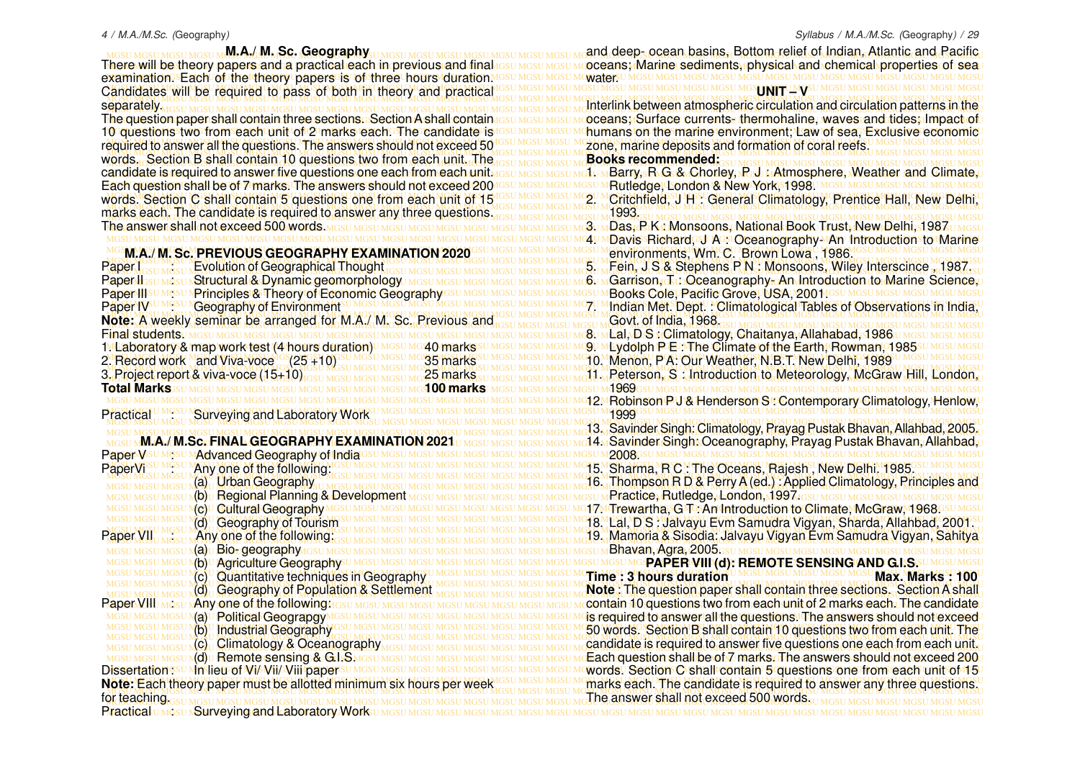<u>MGSU MGSU MGSU MGAL MLA. AMLSC. Geography u MGSU MGSU MGSU MGSU MGSU MGSU MGSU MAQ deeps ocean basins, Bottom relief of Indian. Atlantic and Racific</u> MGSU MGSU MGSU MGSU MGSU MGSU MGSU MGSU MGSU MGSU MGSU MGSU MGSU MGSU MGSU MGSU MGSU MGSU MGSU MGSU MGSU MGSU MGSU MGSU MGSU MGSU MGSU MGSU MGSU MGSU MGSU MGSU words. Section B shall contain 10 questions two from each unit. The words. Section C shall contain 5 questions one from each unit of 1546SUMGSUMGSUM 2. MCritchfield, J H : General Climatology, Prentice Hall, New Delhi, **M.A./ M. Sc. Geography** There will be theory papers and a practical each in previous and final examination. Each of the theory papers is of three hours duration. separately. The question paper shall contain three sections. Section A shall contain 10 questions two from each unit of 2 marks each. The candidate is candidate is required to answer five questions one each from each unit. The answer shall not exceed 500 words. **Paper I can be a Evolution of Geographical Thought Paper II:** SUMGSU **Structural & Dynamic geomorphology** MGSU MGSU Paper III su Mosu N Principles & Theory of Economic Geography GSU<br>Paper IV<sup>su Mosu</sup> N Geography of Environments<sup>u</sup> Mosu Mosu Mosu Mosu **Geography of Environment** 2. Record work Mand Viva-voce (25 +10) 35 Marks 2. Record work and Viva-voce (25 +10) 35 marks 3. Project report & viva-voce (15+10) 25 more more more more 25 marks **Total Marks M.A./ M.Sc. FINAL GEOGRAPHY EXAMINATION** Paper V<sub>5U MGSU MAdvanced</sub> Geography of India GSU PaperVi<sup>SU MGSU</sup> Many one of the following<sup>M</sup> (a) Urban Geography (b) Regional Planning & Development **Mc) Cultural Geography MGSU MGSI** (d) Geography of Tourism Paper VII . Any one of the following: мсsu м**(а)u Bio- geography** исзи мсsт Mb) **Agriculture Geography** UMGSU (d) Geography of Population & Settlement **Raper VIII** MGSU **Any one of the following MGSU MGSU M** MGSU Ma) U Political GeograpgyM (b) Industrial Geography (c) Climatology & Oceanography **AGSU MGSU MC Remote sensing & GdsS MGSU MGSU** Dissertationssu Mpslieu of Wi/ Wii/ Viii papersu MGS **Note:** Each theory paper must be allotted minimum six hours per week for teaching.

There will be theory papers and a practical each in previous and final result mesulm oceans; Marine sediments, physical and chemical properties of sea MGSU MGSU MGSU MGSU MGSU MGSU MGSU MGSU MGSU MGSU MGSU MGSU MGSU MGSU MGSU MGSU MGSU MGSU MGSU MGSU MGSU MGSU MGSU MGSU MGSU MGSU MGSU MGSU MGSU MGSU MGSU MGSU water. Candidates will be required to pass of both in theory and practical assumes unesumes undsumes undsumes undsumes undsumes undsumes unconnectment of the component of the component of the component of the component of the com MGSU MGSU MGSU MGSU MGSU MGSU MGSU MGSU MGSU MGSU MGSU MGSU MGSU MGSU MGSU MGSU MGSU MGSU MGSU MGSU MGSU MGSU MGSU MGSU MGSU MGSU MGSU MGSU MGSU MGSU MGSU MGSU MGSU MGSU MGSU MGSU MGSU MGSU MGSU MGSU MGSU MGSU MGSU MGSU MGSU MGSU MGSU MGSU MGSU MGSU MGSU MGSU MGSU MGSU MGSU MGSU MGSU MGSU MGSU MGSU MGSU MGSU MGSU MGSU Interlink between atmospheric circulation and circulation patterns in the The question paper shall contain three sections. Section A shall contain result mesulm oceans; Surface currents, thermohaline, waves and tides; Impact of O questions two from each unit of 2 marks each. The candidate is GSU MGSU MGSU MGSU MG**humans on the marine environment; Law of sea, Exclusive economic** MGSU MGSU MGSU MGSU MGSU MGSU MGSU MGSU MGSU MGSU MGSU MGSU MGSU MGSU MGSU MGSU MGSU MGSU MGSU MGSU MGSU MGSU MGSU MGSU MGSU MGSU MGSU MGSU MGSU MGSU MGSU MGSU required to answer all the questions. The answers should not exceed 50 MGSU MGSU MGSU MGSU MGSU MGSU MGSU MGSU MGSU MGSU MGSU MGSU MGSU MGSU MGSU MGSU MGSU MGSU MGSU MGSU MGSU MGSU MGSU MGSU MGSU MGSU MGSU MGSU MGSU MGSU MGSU MGSU andidate is required to answer five questions one each from each unit MGsu MGSU MGSU MG**tu MBarry, R.G. & Chorley, R.J. uAtmosphere, Weather and Climate,**u MGSU MGSU MGSU MGSU MGSU MGSU MGSU MGSU MGSU MGSU MGSU MGSU MGSU MGSU MGSU MGSU MGSU MGSU MGSU MGSU MGSU MGSU MGSU MGSU MGSU MGSU MGSU MGSU MGSU MGSU MGSU MGSU Each question shall be of 7 marks. The answers should not exceed 200 MGSU MGSU MGSU MGSU MGSU MGSU MGSU MGSU MGSU MGSU MGSU MGSU MGSU MGSU MGSU MGSU MGSU MGSU MGSU MGSU MGSU MGSU MGSU MGSU MGSU MGSU MGSU MGSU MGSU MGSU MGSU MGSU MGSU MGSU MGSU MGSU MGSU MGSU MGSU MGSU MGSU MGSU MGSU MGSU MGSU MGSU MGSU MGSU MGSU MGSU MGSU MGSU MGSU MGSU MGSU MGSU MGSU MGSU MGSU MGSU MGSU MGSU MGSU MGSU marks each. The candidate is required to answer any three questions. MGSU MGSU MGSU MGSU MGSU MGSU MGSU MGSU MGSU MGSU MGSU MGSU MGSU MGSU MGSU MGSU MGSU MGSU MGSU MGSU MGSU MGSU MGSU MGSU MGSU MGSU MGSU MGSU MGSU MGSU MGSU MGSU 3. Das, P K : Monsoons, National Book Trust, New Delhi, 1987 MGSU MGSU MGSU MGSU MGSU MGSU MGSU MGSU MGSU MGSU MGSU MGSU MGSU MGSU MGSU MGSU MGSU MGSU MGSU MGSU MGSU MGSU MGSU MGSU MGSU MGSU MGSU MGSU MGSU MGSU MGSU MGSU 4. Davis Richard, J A : Oceanography- An Introduction to Marine MGSU MGSU MGSU MGSU MGSU MGSU MGSU MGSU MGSU MGSU MGSU MGSU MGSU MGSU MGSU MGSU MGSU MGSU MGSU MGSU MGSU MGSU MGSU MGSU MGSU MGSU MGSU MGSU MGSU MGSU MGSU MGSU **M.A./ M. Sc. PREVIOUS GEOGRAPHY EXAMINATION 2020** MGSU MGSU MGSU MGSU MGSU MGSU MGSU MGSU MGSU MGSU MGSU MGSU MGSU MGSU MGSU MGSU MGSU MGSU MGSU MGSU MGSU MGSU MGSU MGSU MGSU MGSU MGSU MGSU MGSU MGSU MGSU MGSU MGSU MGSU MGSU MGSU MGSU MGSU MGSU MGSU MGSU MGSU MGSU MGSU MGSU MGSU MGSU MGSU MGSU MGSU MGSU MGSU MGSU MGSU MGSU MGSU MGSU MGSU MGSU MGSU MGSU MGSU MGSU MGSU 5. Fein, J S & Stephens P N : Monsoons, Wiley Interscince , 1987. RapenllssumesunStructural & Dynamic geomorphologyumssumssumssumssumssumc6umGarrison, GunOceanography പAn Introduction to Marine Science,u MGSU MGSU MGSU MGSU MGSU MGSU MGSU MGSU MGSU MGSU MGSU MGSU MGSU MGSU MGSU MGSU MGSU MGSU MGSU MGSU MGSU MGSU MGSU MGSU MGSU MGSU MGSU MGSU MGSU MGSU MGSU MGSU Books Cole, Pacific Grove, USA, 2001. Paper IV<sup>CUMGSU</sup> NGeography of Environmentsu MGSUMGSUMGSUMGSUMGSUMGSUMGSUMGSUMGTUM Indian Met. Dept. : Climatological Tables of Observations in India, MGSU MGSU MGSU MGSU MGSU MGSU MGSU MGSU MGSU MGSU MGSU MGSU MGSU MGSU MGSU MGSU MGSU MGSU MGSU MGSU MGSU MGSU MGSU MGSU MGSU MGSU MGSU MGSU MGSU MGSU MGSU MGSU MGSU MGSU MGSU MGSU MGSU MGSU MGSU MGSU MGSU MGSU MGSU MGSU MGSU MGSU MGSU MGSU MGSU MGSU MGSU MGSU MGSU MGSU MGSU MGSU MGSU MGSU MGSU MGSU MGSU MGSU MGSU MGSU **Note:**  A weekly seminar be arranged for M.A./ M. Sc. Previous and MGSU MGSU MGSU MGSU MGSU MGSU MGSU MGSU MGSU MGSU MGSU MGSU MGSU MGSU MGSU MGSU MGSU MGSU MGSU MGSU MGSU MGSU MGSU MGSU MGSU MGSU MGSU MGSU MGSU MGSU MGSU MGSU Final students. 1. Laboratory & map work test (4 hours duration)∪ MGSU MG40 markssu MGSU MGSU MC9U MLydolph PJE! The Climate of the Earth, Rowman, 1985su MGsu MGsu MGSU MGSU MGSU MGSU MGSU MGSU MGSU MGSU MGSU MGSU MGSU MGSU MGSU MGSU MGSU MGSU MGSU MGSU MGSU MGSU MGSU MGSU MGSU MGSU MGSU MGSU MGSU MGSU MGSU MGSU MGSU MGSU 10. Menon, PA: Our Weather, N.B.T. New Delhi, 1989 MGSU MGSU MGSU MGSU MGSU MGSU MGSU MGSU MGSU MGSU MGSU MGSU MGSU MGSU MGSU MGSU MGSU MGSU MGSU MGSU MGSU MGSU MGSU MGSU MGSU MGSU MGSU MGSU MGSU MGSU MGSU MGSU l. Project report & viva-voce (15+10) issuario mosulmosu we 25 marks su mosulmosu mosulmosu mosulmosu mosulmosu mosulmosu mosulmosu mosulmosu mosulmosu mosulmosu mosulmosu mosulmosu mosulmosu mosulmosu mosulmosu mosulmosu MGSU MGSU MGSU MGSU MGSU MGSU MGSU MGSU MGSU MGSU MGSU MGSU MGSU MGSU MGSU MGSU MGSU MGSU MGSU MGSU MGSU MGSU MGSU MGSU MGSU MGSU MGSU MGSU MGSU MGSU MGSU MGSU 12. Robinson P J & Henderson S : Contemporary Climatology, Henlow, MGSU MGSU MGSU MGSU MGSU MGSU MGSU MGSU MGSU MGSU MGSU MGSU MGSU MGSU MGSU MGSU MGSU MGSU MGSU MGSU MGSU MGSU MGSU MGSU MGSU MGSU MGSU MGSU MGSU MGSU MGSU MGSU Practical : Surveying and Laboratory Work MGSU MGSU MGSU MGSU MGSU MGSU MGSU MGSU MGSU MGSU MGSU MGSU MGSU MGSU MGSU MGSU MGSU MGSU MGSU MGSU MGSU MGSU MGSU MGSU MGSU MGSU MGSU MGSU MGSU MGSU MGSU MGSU MGSU MGSU MGSU MGSU MGSU MGSU MGSU MGSU MGSU MGSU MGSU MGSU MGSU MGSU MGSU MGSU MGSU MGSU MGSU MGSU MGSU MGSU MGSU MGSU MGSU MGSU MGSU MGSU MGSU MGSU MGSU MGSU 13. Savinder Singh: Climatology, Prayag Pustak Bhavan, Allahbad, 2005. <u>мөsu м</u>М.А.∕.М.Sc. FINAL GEOGRAPHY EXAMINATION 2021 u меsu меsu меsu меsu ме14 мSavinder Singh: Oceanography, Prayag Pustak Bhavan, Allahbad,u MGSU MGSU MGSU MGSU MGSU MGSU MGSU MGSU MGSU MGSU MGSU MGSU MGSU MGSU MGSU MGSU MGSU MGSU MGSU MGSU MGSU MGSU MGSU MGSU MGSU MGSU MGSU MGSU MGSU MGSU MGSU MGSU 2008. MGSU MGSU MGSU MGSU MGSU MGSU MGSU MGSU MGSU MGSU MGSU MGSU MGSU MGSU MGSU MGSU MGSU MGSU MGSU MGSU MGSU MGSU MGSU MGSU MGSU MGSU MGSU MGSU MGSU MGSU MGSU MGSU 15. Sharma, R C : The Oceans, Rajesh , New Delhi. 1985. MGSU MGSU MGSU MGSU MGSU MGSU MGSU MGSU MGSU MGSU MGSU MGSU MGSU MGSU MGSU MGSU MGSU MGSU MGSU MGSU MGSU MGSU MGSU MGSU MGSU MGSU MGSU MGSU MGSU MGSU MGSU MGSU MGSU MGSU MGSU MGSU MGSU MGSU MGSU MGSU MGSU MGSU MGSU MGSU MGSU MGSU MGSU MGSU MGSU MGSU MGSU MGSU MGSU MGSU MGSU MGSU MGSU MGSU MGSU MGSU MGSU MGSU MGSU MGSU 16. Thompson R D & Perry A (ed.) : Applied Climatology, Principles and MGSU MGSU MGSU MGSU MGSU MGSU MGSU MGSU MGSU MGSU MGSU MGSU MGSU MGSU MGSU MGSU MGSU MGSU MGSU MGSU MGSU MGSU MGSU MGSU MGSU MGSU MGSU MGSU MGSU MGSU MGSU MGSU Practice, Rutledge, London, 1997. MGSU MGSU MGSU MGSU MGSU MGSU MGSU MGSU MGSU MGSU MGSU MGSU MGSU MGSU MGSU MGSU MGSU MGSU MGSU MGSU MGSU MGSU MGSU MGSU MGSU MGSU MGSU MGSU MGSU MGSU MGSU MGSU 17. Trewartha, G T : An Introduction to Climate, McGraw, 1968. MGSU MGSU MGSU MGSU MGSU MGSU MGSU MGSU MGSU MGSU MGSU MGSU MGSU MGSU MGSU MGSU MGSU MGSU MGSU MGSU MGSU MGSU MGSU MGSU MGSU MGSU MGSU MGSU MGSU MGSU MGSU MGSU 18. Lal, D S : Jalvayu Evm Samudra Vigyan, Sharda, Allahbad, 2001. MGSU MGSU MGSU MGSU MGSU MGSU MGSU MGSU MGSU MGSU MGSU MGSU MGSU MGSU MGSU MGSU MGSU MGSU MGSU MGSU MGSU MGSU MGSU MGSU MGSU MGSU MGSU MGSU MGSU MGSU MGSU MGSU MGSU MGSU MGSU MGSU MGSU MGSU MGSU MGSU MGSU MGSU MGSU MGSU MGSU MGSU MGSU MGSU MGSU MGSU MGSU MGSU MGSU MGSU MGSU MGSU MGSU MGSU MGSU MGSU MGSU MGSU MGSU MGSU 19. Mamoria & Sisodia: Jalvayu Vigyan Evm Samudra Vigyan, Sahitya MGSU MGSU MGSU MGSU MGSU MGSU MGSU MGSU MGSU MGSU MGSU MGSU MGSU MGSU MGSU MGSU MGSU MGSU MGSU MGSU MGSU MGSU MGSU MGSU MGSU MGSU MGSU MGSU MGSU MGSU MGSU MGSU **PAPER VIII (d): REMOTE SENSING AND G.I.S.** MGSU MGSU MGSU MGSU MGU Quantitative techniques in Geography UMGSU MGSU MGSU MGSU MGSU MGTI**me<sup>s</sup>: 3 hours duration** UMGSU MGSU MGSU MGSU MGSU **Mgx. Marks<sup>8</sup>: 100** MGSU MGSU MGSU MGSU MGSU MGSU MGSU MGSU MGSU MGSU MGSU MGSU MGSU MGSU MGSU MGSU MGSU MGSU MGSU MGSU MGSU MGSU MGSU MGSU MGSU MGSU MGSU MGSU MGSU MGSU MGSU MGSU **MGSU MGSU MGSU NG)** Geography of Population & Settlement MGSU MGSU MGSU MGSU MGSU MCSU MC**Note:** The question paper shall contain three sections. Section A shall MGSU MGSU MGSU MGSU MGSU MGSU MGSU MGSU MGSU MGSU MGSU MGSU MGSU MGSU MGSU MGSU MGSU MGSU MGSU MGSU MGSU MGSU MGSU MGSU MGSU MGSU MGSU MGSU MGSU MGSU MGSU MGSU contain 10 questions two from each unit of 2 marks each. The candidate MGSU MGSU MGSU MGSU MGSU MGSU MGSU MGSU MGSU MGSU MGSU MGSU MGSU MGSU MGSU MGSU MGSU MGSU MGSU MGSU MGSU MGSU MGSU MGSU MGSU MGSU MGSU MGSU MGSU MGSU MGSU MGSU is required to answer all the questions. The answers should not exceed MGSU MGSU MGSU MGSU MGSU MGSU MGSU MGSU MGSU MGSU MGSU MGSU MGSU MGSU MGSU MGSU MGSU MGSU MGSU MGSU MGSU MGSU MGSU MGSU MGSU MGSU MGSU MGSU MGSU MGSU MGSU MGSU 50 words. Section B shall contain 10 questions two from each unit. The MGSU MGSU MGSU MGSU MGSU MGSU MGSU MGSU MGSU MGSU MGSU MGSU MGSU MGSU MGSU MGSU MGSU MGSU MGSU MGSU MGSU MGSU MGSU MGSU MGSU MGSU MGSU MGSU MGSU MGSU MGSU MGSU MGSU MGSU MGSU MGSU MGSU MGSU MGSU MGSU MGSU MGSU MGSU MGSU MGSU MGSU MGSU MGSU MGSU MGSU MGSU MGSU MGSU MGSU MGSU MGSU MGSU MGSU MGSU MGSU MGSU MGSU MGSU MGSU candidate is required to answer five questions one each from each unit. MGSU MGSU MGSU MGSU MGSU MGSU MGSU MGSU MGSU MGSU MGSU MGSU MGSU MGSU MGSU MGSU MGSU MGSU MGSU MGSU MGSU MGSU MGSU MGSU MGSU MGSU MGSU MGSU MGSU MGSU MGSU MGSU Each question shall be of 7 marks. The answers should not exceed 200 DissertationssuMp∰ieu of Wi∕ Vii/ Viii papersu MesuMesuMesuMesuMesuMesuMesuMe**words. Section C shall contain 5 questions one from each unit of 45** I MGSU MGSU MGSU MGSU MGSU MGSU MGSU MGSU MGSU MGSU MGSU MGSU MGSU MGSU MGSU MGSU MGSU MGSU MGSU MGSU MGSU MGSU MGSU MGSU MGSU MGSU MGSU MGSU MGSU MGSU MGSU MGSU lote: Each theory paper must be allotted minimum six hours per week lose MGSU MGSU MCRIARKS each. The candidate is required to answer any three questions. MGSU MGSU MGSU MGSU MGSU MGSU MGSU MGSU MGSU MGSU MGSU MGSU MGSU MGSU MGSU MGSU MGSU MGSU MGSU MGSU MGSU MGSU MGSU MGSU MGSU MGSU MGSU MGSU MGSU MGSU MGSU MGSU The answer shall not exceed 500 words.MGSU MGSU MGSU MGSU MGSU MGSU MGSU MGSU MGSU MGSU MGSU MGSU MGSU MGSU MGSU MGSU MGSU MGSU MGSU MGSU MGSU MGSU MGSU MGSU MGSU MGSU MGSU MGSU MGSU MGSU MGSU MGSU Practical : Surveying and Laboratory Work **SHNIFFUMYSU** zone, marine deposits and formation of coral reefs. **Books recommended:** Rutledge, London & New York, 1998. **Critchfield, J H : General Climatology, Prentice Hall, New Delhi,** 1993. environments, Wm. C. Brown Lowa , 1986. Govt. of India, 1968. 8. MLal, D S : Climatology, Chaitanya, Allahabad, 1986. 9. MLydolph P E : The Climate of the Earth, Rowman, 1985 1969 1999 Bhavan, Agra, 2005. **Time : 3 hours duration** *MGSU MGSU MGSU MGSU MGSU* Max. Marks : 100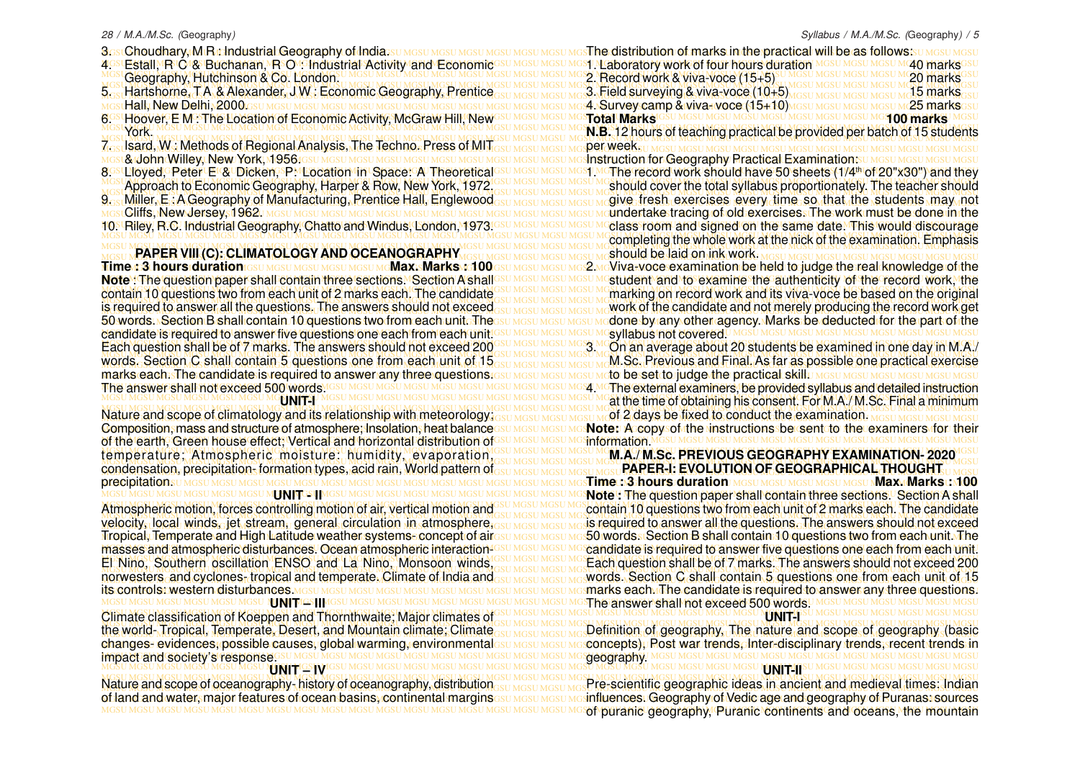- 3ostChoudhary, MtR ishdustrial Geography of India.su mgsu mgsu mgsu mgsu mgsu mgs**The distribution of marks in the practical will be as follows** su mgsu mgsu mgsu
- MGSU MGSU MGSU MGSU MGSU MGSU MGSU MGSU MGSU MGSU MGSU MGSU MGSU MGSU MGSU MGSU MGSU MGSU MGSU MGSU MGSU MGSU MGSU MGSU MGSU MGSU MGSU MGSU MGSU MGSU MGSU MGSU 4. Estall, R C & Buchanan, R O : Industrial Activity and Economic Geography, Hutchinson & Co. London.
- 
- Hall, New Delhi, 2000.
- MGSU MGSU MGSU MGSU MGSU MGSU MGSU MGSU MGSU MGSU MGSU MGSU MGSU MGSU MGSU MGSU MGSU MGSU MGSU MGSU MGSU MGSU MGSU MGSU MGSU MGSU MGSU MGSU MGSU MGSU MGSU MGSU 6. Hoover, E M : The Location of Economic Activity, McGraw Hill, New
- MGSU MGSU MGSU MGSU MGSU MGSU MGSU MGSU MGSU MGSU MGSU MGSU MGSU MGSU MGSU MGSU MGSU MGSU MGSU MGSU MGSU MGSU MGSU MGSU MGSU MGSU MGSU MGSU MGSU MGSU MGSU MGSU MGSU MGSU MGSU MGSU MGSU MGSU MGSU MGSU MGSU MGSU MGSU MGSU MGSU MGSU MGSU MGSU MGSU MGSU MGSU MGSU MGSU MGSU MGSU MGSU MGSU MGSU MGSU MGSU MGSU MGSU MGSU MGSU 7. Isard, W : Methods of Regional Analysis, The Techno. Press of MIT York.
- 
- 
- MGSU MGSU MGSU MGSU MGSU MGSU MGSU MGSU MGSU MGSU MGSU MGSU MGSU MGSU MGSU MGSU MGSU MGSU MGSU MGSU MGSU MGSU MGSU MGSU MGSU MGSU MGSU MGSU MGSU MGSU MGSU MGSU
- 
- 

Time a 3 hours duration csumesumesumesumesumeMax: Marks ve100 esumesumesumes2 meViva+voce examination be held to judge the real knowledge of the Note ! The question paper shall contain three sections. A Section A shall<sup>esu MGSU MGSU MGSU MG</sup>Student and to examine the lauthenticity of the record work, the contain 10 questions two from each unit of 2 marks each. The candidate GSU MGSU MGSU MGSU MGSU MGG and record work and its viva-voce be based on the original MGSU MGSU MGSU MGSU MGSU MGSU MGSU MGSU MGSU MGSU MGSU MGSU MGSU MGSU MGSU MGSU MGSU MGSU MGSU MGSU MGSU MGSU MGSU MGSU MGSU MGSU MGSU MGSU MGSU MGSU MGSU MGSU is required to answer all the questions. The answers should not exceed<sub>GSU MGSU MGSU MGSU MGSU MG</sub>work of the candidate and not merely producing the record work get 50 words. Section B shall contain 10 questions two from each unite Theesu Mesu Mesu Medone by lany other agency. Marks be deducted for the part of the MGSU MGSU MGSU MGSU MGSU MGSU MGSU MGSU MGSU MGSU MGSU MGSU MGSU MGSU MGSU MGSU MGSU MGSU MGSU MGSU MGSU MGSU MGSU MGSU MGSU MGSU MGSU MGSU MGSU MGSU MGSU MGSU candidate is required to answer five questions one each from each unit. Each question shall be of 7 marks. The answers should not exceed 200 GSU MGSU MGSU MGS MCOn an average about 20 students be examined in one day in M.A./ MGSU MGSU MGSU MGSU MGSU MGSU MGSU MGSU MGSU MGSU MGSU MGSU MGSU MGSU MGSU MGSU MGSU MGSU MGSU MGSU MGSU MGSU MGSU MGSU MGSU MGSU MGSU MGSU MGSU MGSU MGSU MGSU words. Section C shall contain 5 questions one from each unit of 15<sub>GSU MGSU MGSU MGSU MG</sub>M.Sc. Previous and Final. As far as possible one practical exercise MGSU MGSU MGSU MGSU MGSU MGSU MGSU MGSU MGSU MGSU MGSU MGSU MGSU MGSU MGSU MGSU MGSU MGSU MGSU MGSU MGSU MGSU MGSU MGSU MGSU MGSU MGSU MGSU MGSU MGSU MGSU MGSU marks each. The candidate is required to answer any three questions. MGSU MGSU MGSU MGSU MGSU MGSU MGSU MGSU MGSU MGSU MGSU MGSU MGSU MGSU MGSU MGSU MGSU MGSU MGSU MGSU MGSU MGSU MGSU MGSU MGSU MGSU MGSU MGSU MGSU MGSU MGSU MGSU 4. The external examiners, be provided syllabus and detailed instruction **Time : 3 hours duration (GSU MGSU MGSU MGSU MGSU MGNJ Marks : Marks : 100** The answer shall not exceed 500 words.

#### **UNIT-I**

Nature and scope of climatology and its relationship with meteorology; GSU MGSU MGSU MGSU MGSU MGSU MGSU Be fixed to conduct the examination. MGSU MGSU MGSU MGSU MGSU AND THE METER OF THE MAG UNITED ASSESSING OF THE METER Composition, mass and structure of atmosphere; Insolation, heat balancessumesumesumes**Note: A copysolythe vinstructions be c**sent to the examiners for their MGSU MGSU MGSU MGSU MGSU MGSU MGSU MGSU MGSU MGSU MGSU MGSU MGSU MGSU MGSU MGSU MGSU MGSU MGSU MGSU MGSU MGSU MGSU MGSU MGSU MGSU MGSU MGSU MGSU MGSU MGSU MGSU of the earth, Green house effect; Vertical and horizontal distribution of temperature: Atmospheric moisture: humidity Mevaporation<sup>icsu Mgsu Mgsu Mgsu Mg</sup>**M.A./ M.Sc. PREVIOUS GEOGRAPHY EXAMINATION- 2020**<sup>/Gsu</sup> MGSU MGSU MGSU MGSU MGSU MGSU MGSU MGSU MGSU MGSU MGSU MGSU MGSU MGSU MGSU MGSU MGSU MGSU MGSU MGSU MGSU MGSU MGSU MGSU MGSU MGSU MGSU MGSU MGSU MGSU MGSU MGSU **PAPER-I: EVOLUTION OF GEOGRAPHICAL THOUGHT** condensation, precipitation, formation types, acid rain, World pattern of<sub>GSU MGSU MGSU MGSU MGSU R</sub>APER-I: EVOLUTION OF GEOGRAPHICAL THOUGHT.<sub>U MGSU</sub> MGSU MGSU MGSU MGSU MGSU MGSU MGSU MGSU MGSU MGSU MGSU MGSU MGSU MGSU MGSU MGSU MGSU MGSU MGSU MGSU MGSU MGSU MGSU MGSU MGSU MGSU MGSU MGSU MGSU MGSU MGSU MGSU **Time : 3 hours duration Max. Marks : 100** Composition, mass and structure of atmosphere; Insolation, heat balance temperature; Atmospheric moisture: humidity, evaporation, precipitation.

#### **UNIT AND A TABLE STATES**

MGSU MGSU MGSU MGSU MGSU MGSU MGSU MGSU MGSU MGSU MGSU MGSU MGSU MGSU MGSU MGSU MGSU MGSU MGSU MGSU MGSU MGSU MGSU MGSU MGSU MGSU MGSU MGSU MGSU MGSU MGSU MGSU velocity, local winds, jet stream, general circulation in atmosphere, <sub>GSU MGSU MGSU MGS</sub>U medical to answer all the questions. The answers should not exceed Tropical, Temperate and High Latitude weather systems- concept of airesu <u>Mesu Mesu Meso Mords a</u>Section B shall contain 10 questions two from each unit. The masses and atmospheric disturbances. Ocean atmospheric interaction<sup>1680 MGSU MGSU MG</sup>candidate is required to answer five questions one each from each unit. El Nino, Southern oscillation ENSO and La Nino, Monsoon winds, GRI MGSU MGSU MGSU MG Each question shall be of 7 marks. The answers should not exceed 200 MGSU MGSU MGSU MGSU MGSU MGSU MGSU MGSU MGSU MGSU MGSU MGSU MGSU MGSU MGSU MGSU MGSU MGSU MGSU MGSU MGSU MGSU MGSU MGSU MGSU MGSU MGSU MGSU MGSU MGSU MGSU MGSU words. Section C shall contain 5 questions one from each unit of 15 norwesters, and cyclones, tropical and temperate. Climate of India and<sub>osu Mosu Mosumo</sub> words. Section C shall contain 5 questions one from each unit of 15 MGSU MGSU MGSU MGSU MGSU MGSU MGSU MGSU MGSU MGSU MGSU MGSU MGSU MGSU MGSU MGSU MGSU MGSU MGSU MGSU MGSU MGSU MGSU MGSU MGSU MGSU MGSU MGSU MGSU MGSU MGSU MGSU marks each. The candidate is required to answer any three questions. Atmospheric motion, forces controlling motion of air, vertical motion and masses and atmospheric disturbances. Ocean atmospheric interaction-El Nino, Southern oscillation ENSO and La Nino, Monsoon winds, its controls: western disturbances MGSU MGSU MGSU MGSU MGSU MGSU I

## MGSU MGSU MGSU MGSU MGSU MGSU MGSU MGSU MGSU MGSU MGSU MGSU MGSU MGSU MGSU MGSU MGSU MGSU MGSU MGSU MGSU MGSU MGSU MGSU MGSU MGSU MGSU MGSU MGSU MGSU MGSU MGSU Climate classification of Koeppen and Thornthwaite; Major climates of

changes- evidences, possible causes, global warming, environmentalssu Mesu Mesoncepts), Rost war trends, Inter-disciplinary trends, recent trends in MGSU MGSU MGSU MGSU MGSU MGSU MGSU MGSU MGSU MGSU MGSU MGSU MGSU MGSU MGSU MGSU MGSU MGSU MGSU MGSU MGSU MGSU MGSU MGSU MGSU MGSU MGSU MGSU MGSU MGSU MGSU MGSU impact and society's response. MGSU MGSU MGSU MGSU MGSU MGSU MGSU MGSU MGSU MGSU MGSU MGSU MGSU MGSU MGSU MGSU MGSU MGSU MGSU MGSU MGSU MGSU MGSU MGSU MGSU MGSU MGSU MGSU MGSU MGSU MGSU MGSU changes- evidences, possible causes, global warming, environmental

#### **UNIT<sup>IGS</sup>IV**

Nature and scope of oceanography-history of oceanography, distribution<sub>GSU MGSU MGSU MGS</sub>Pre-scientific geographic ideas in ancient and medieval times: Indian of land and water, major features of ocean basins, continental marginsesu Mesu Mesu Mesinfluences. Geography of Vedic age and geography of Puranas: sources

MGSU MGSU MGSU MGSU MGSU MGSU MGSU MGSU MGSU MGSU MGSU MGSU MGSU MGSU MGSU MGSU MGSU MGSU MGSU MGSU MGSU MGSU MGSU MGSU MGSU MGSU MGSU MGSU MGSU MGSU MGSU MGSU 2. Record work & viva-voce (15+5) 20 marks MGSU MGSU MGSU MGSU MGSU MGSU MGSU MGSU MGSU MGSU MGSU MGSU MGSU MGSU MGSU MGSU MGSU MGSU MGSU MGSU MGSU MGSU MGSU MGSU MGSU MGSU MGSU MGSU MGSU MGSU MGSU MGSU MGSU MGSU MGSU MGSU MGSU MGSU MGSU MGSU MGSU MGSU MGSU MGSU MGSU MGSU MGSU MGSU MGSU MGSU MGSU MGSU MGSU MGSU MGSU MGSU MGSU MGSU MGSU MGSU MGSU MGSU MGSU MGSU 5. Hartshorne, T A & Alexander, J W : Economic Geography, Prentice MGSU MGSU MGSU MGSU MGSU MGSU MGSU MGSU MGSU MGSU MGSU MGSU MGSU MGSU MGSU MGSU MGSU MGSU MGSU MGSU MGSU MGSU MGSU MGSU MGSU MGSU MGSU MGSU MGSU MGSU MGSU MGSU 4. Survey camp & viva- voce (15+10) 25 marks MGSU MGSU MGSU MGSU MGSU MGSU MGSU MGSU MGSU MGSU MGSU MGSU MGSU MGSU MGSU MGSU MGSU MGSU MGSU MGSU MGSU MGSU MGSU MGSU MGSU MGSU MGSU MGSU MGSU MGSU MGSU MGSU **N.B.** 12 hours of teaching practical be provided per batch of 15 students MGSU MGSU MGSU MGSU MGSU MGSU MGSU MGSU MGSU MGSU MGSU MGSU MGSU MGSU MGSU MGSU MGSU MGSU MGSU MGSU MGSU MGSU MGSU MGSU MGSU MGSU MGSU MGSU MGSU MGSU MGSU MGSU & John Willey, New York, 1956. 8GSLLloyed, PeterLEL&LDicken, SP: Llocation In Space: A Theoretical<sup>esu Mesu Mesu Mesu Mest Mo</sup>The record work should have 50 sheets (1/4<sup>th</sup> of 20"x30") and they MGSU MGSU MGSU MGSU MGSU MGSU MGSU MGSU MGSU MGSU MGSU MGSU MGSU MGSU MGSU MGSU MGSU MGSU MGSU MGSU MGSU MGSU MGSU MGSU MGSU MGSU MGSU MGSU MGSU MGSU MGSU MGSU Approach to Economic Geography, Harper & Row, New York, 1972. MGSU MGSU MGSU MGSU MGSU MGSU MGSU MGSU MGSU MGSU MGSU MGSU MGSU MGSU MGSU MGSU MGSU MGSU MGSU MGSU MGSU MGSU MGSU MGSU MGSU MGSU MGSU MGSU MGSU MGSU MGSU MGSU 9. Miller, E : A Geography of Manufacturing, Prentice Hall, Englewood MGSU MGSU MGSU MGSU MGSU MGSU MGSU MGSU MGSU MGSU MGSU MGSU MGSU MGSU MGSU MGSU MGSU MGSU MGSU MGSU MGSU MGSU MGSU MGSU MGSU MGSU MGSU MGSU MGSU MGSU MGSU MGSU Cliffs, New Jersey, 1962. 10. Riley, R.C. Industrial Geography, Chatto and Windus, London, 1973.<sup>IGSU MGSU MGSU MGSU MC</sup>class room and signed on the same date. This would discourage MGSU MGSU MGSU MGSU MGSU MGSU MGSU MGSU MGSU MGSU MGSU MGSU MGSU MGSU MGSU MGSU MGSU MGSU MGSU MGSU MGSU MGSU MGSU MGSU MGSU MGSU MGSU MGSU MGSU MGSU MGSU MGSU completing the whole work at the nick of the examination. Emphasis MGSU MGSU MGSU MGSU MGSU MGSU MGSU MGSU MGSU MGSU MGSU MGSU MGSU MGSU MGSU MGSU MGSU MGSU MGSU MGSU MGSU MGSU MGSU MGSU MGSU MGSU MGSU MGSU MGSU MGSU MGSU MGSU MGSU MGSU MGSU MGSU MGSU MGSU MGSU MGSU MGSU MGSU MGSU MGSU MGSU MGSU MGSU MGSU MGSU MGSU MGSU MGSU MGSU MGSU MGSU MGSU MGSU MGSU MGSU MGSU MGSU MGSU MGSU MGSU **PAPER VIII (C): CLIMATOLOGYAND OCEANOGRAPHY** sThe distribution of marks in the practical will be as follows: TU MGSU MGSU 51. Laboratory work of four hours duration MGSU MGSU MGSU M40 marksG 3. Field surveying & viva-voce (10+5) **Marks Most Most Mest Mest 15 marks Total Marks 100 marks** per week. **Instruction for Geography Practical Examination:su** 1. The record work should have 50 sheets (1/4th of 20"x30") and they should cover the total syllabus proportionately. The teacher should give fresh exercises every time so that the students may not undertake tracing of old exercises. The work must be done in the class room and signed on the same date. This would discourage should be laid on ink work. student and to examine the authenticity of the record work, the

marking on record work and its viva-voce be based on the original work of the candidate and not merely producing the record work get done by any other agency. Marks be deducted for the part of the syllabus not covered. 3. On an average about 20 students be examined in one day in M.A./

MGSU MGSU MGSU MGSU MGSU MGSU MGSU MGSU MGSU MGSU MGSU MGSU MGSU MGSU MGSU MGSU MGSU MGSU MGSU MGSU MGSU MGSU MGSU MGSU MGSU MGSU MGSU MGSU MGSU MGSU MGSU MGSU at the time of obtaining his consent. For M.A./ M.Sc. Final a minimum M.Sc. Previous and Final. As far as possible one practical exercise to be set to judge the practical skill **DMAGSU MGSU MGSU MGSU MGSU MGSU** 

MGSU MGSU MGSU MGSU MGSU MGSU MGSU MGSU MGSU MGSU MGSU MGSU MGSU MGSU MGSU MGSU MGSU MGSU MGSU MGSU MGSU MGSU MGSU MGSU MGSU MGSU MGSU MGSU MGSU MGSU MGSU MGSU of 2 days be fixed to conduct the examination. information.

MGSU MGSU MGSU MGSU MGSU MGSU MGSU MGSU MGSU MGSU MGSU MGSU MGSU MGSU MGSU MGSU MGSU MGSU MGSU MGSU MGSU MGSU MGSU MGSU MGSU MGSU MGSU MGSU MGSU MGSU MGSU MGSU **Note :** The question paper shall contain three sections. Section A shall Atmospheric motion, forces controlling motion of air, vertical motion and GSU MGSU MGSU MGS contain 10 questions two from each unit of 2 marks each. The candidate MGSU MGSU MGSU MGSU MGSU MGSU MGSU MGSU MGSU MGSU MGSU MGSU MGSU MGSU MGSU MGSU MGSU MGSU MGSU MGSU MGSU MGSU MGSU MGSU MGSU MGSU MGSU MGSU MGSU MGSU MGSU MGSU **UNIT – III** is required to answer all the questions. The answers should not exceed 50 words. Section B shall contain 10 questions two from each unit. The The answer shall not exceed 500 words. **UNIT-I**

#### MGSU MGSU MGSU MGSU MGSU MGSU MGSU MGSU MGSU MGSU MGSU MGSU MGSU MGSU MGSU MGSU MGSU MGSU MGSU MGSU MGSU MGSU MGSU MGSU MGSU MGSU MGSU MGSU MGSU MGSU MGSU MGSU the world-Tropical, Temperate, Desert, and Mountain climate, Climate<sub>GSU MGSU MGSU MGSU MG</sub> Definition of geography, The nature and scope of geography (basic Definition of geography, The nature and scope of geography (basic geography. **UNIT-II**

#### MGSU MGSU MGSU MGSU MGSU MGSU MGSU MGSU MGSU MGSU MGSU MGSU MGSU MGSU MGSU MGSU MGSU MGSU MGSU MGSU MGSU MGSU MGSU MGSU MGSU MGSU MGSU MGSU MGSU MGSU MGSU MGSU of puranic geography, Puranic continents and oceans, the mountain Pre-scientific geographic ideas in ancient and medieval times: Indian influences. Geography of Vedic age and geography of Puranas: sources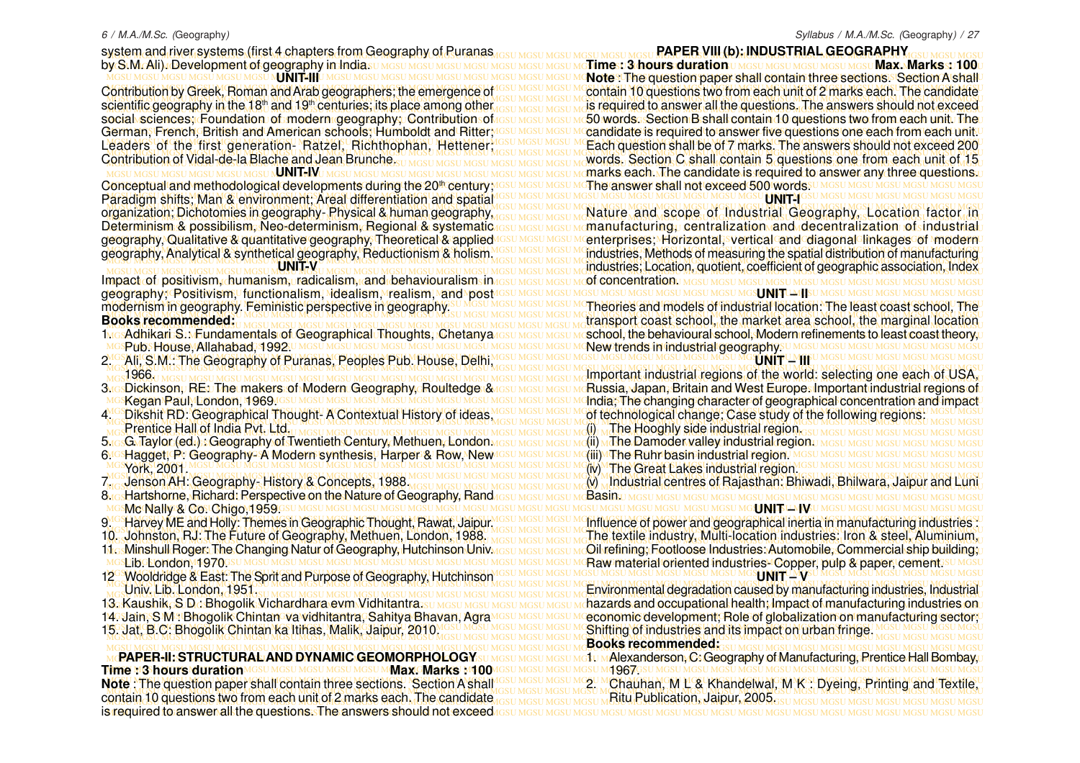#### 6 / M.A./M.Sc. (Geography)

system and river systems (first 4 chapters from Geography of Puranas <sub>desti</sub> Mesu Mesu Mesu Mesu **PAPER VIII (b): INDUSTRIAL GEOGRAPHY** GSU Mesu Mesu Mesu by S.M. Ali). Development of geography in Indiasu mgsu mgsu mgsu mgsu mgsu mgsu mgsu m**gTime:: 3 hours duration** u mgsu mgsu mgsu mgsu **Max. Marks:: 100**u MGSU MGSU MGSU MGSU MGSU MGSU MGSU MGSU MGSU MGSU MGSU MGSU MGSU MGSU MGSU MGSU MGSU MGSU MGSU MGSU MGSU MGSU MGSU MGSU MGSU MGSU MGSU MGSU MGSU MGSU MGSU MGSU **Note** : The question paper shall contain three sections. Section A shall Contribution by Greek, Roman and Arab geographers; the emergence of IGSU MGSU MGSU MCcontain 10 questions two from each unit of 2 marks each. The candidate MGSU MGSU MGSU MGSU MGSU MGSU MGSU MGSU MGSU MGSU MGSU MGSU MGSU MGSU MGSU MGSU MGSU MGSU MGSU MGSU MGSU MGSU MGSU MGSU MGSU MGSU MGSU MGSU MGSU MGSU MGSU MGSU cientific geography in the 18<sup>th</sup> and 19<sup>th</sup> centuries; its place among other result mosulings in required to answer all the questions. The answers should not exceed ocial sciences; Foundation of modern geography; Contribution of <sub>GSU MGSU MGSU MC</sub>50 words. Section B shall contain 10 questions two from each unit. The erman, French, British and American schools, Humboldt and Ritter, IGSU MGSU MGSU MCandidate is required to answer five questions one each from each unit.U eaders of the first generation- Ratzel, Richthophan, Hettener MGSU MGSU MGSU MCEach question shall be of 7 marks. The answers should not exceed 200 MGSU MGSU MGSU MGSU MGSU MGSU MGSU MGSU MGSU MGSU MGSU MGSU MGSU MGSU MGSU MGSU MGSU MGSU MGSU MGSU MGSU MGSU MGSU MGSU MGSU MGSU MGSU MGSU MGSU MGSU MGSU MGSU Contribution of Vidal-de-la Blache and Jean Brunche Sumasumasumasumasumasumasumasumasuma words. Section C shall contain 5 questions one from each unit of 15 MGSU MGSU MGSU MGSU MGSU MGSU N**JNIT-II**I U M Contribution by Greek, Roman and Arab geographers; the emergence of scientific geography in the 18<sup>th</sup> and 19<sup>th</sup> centuries; its place among other social sciences; Foundation of modern geography; Contribution of German, French, British and American schools; Humboldt and Ritter; Leaders of the first generation- Ratzel, Richthophan, Hettener; Contribution of Vidal-de-la Blache and Jean Brunche.

MGSU MGSU MGSU MGSU MGSU MGSU MGSU MGSU MGSU MGSU MGSU MGSU MGSU MGSU MGSU MGSU MGSU MGSU MGSU MGSU MGSU MGSU MGSU MGSU MGSU MGSU MGSU MGSU MGSU MGSU MGSU MGSU Paradigm shifts; Man & environment; Areal differentiation and spatial MGSU MGSU MGSU MGSU MGSU MGSU MGSU MGSU MGSU MGSU MGSU MGSU MGSU MGSU MGSU MGSU MGSU MGSU MGSU MGSU MGSU MGSU MGSU MGSU MGSU MGSU MGSU MGSU MGSU MGSU MGSU MGSU MGSUMGSUMGSUMGSUMGSUMGSUM**CNIT-IV**UMGSUMGSUMG organization; Dichotomies in geography- Physical & human geography, Determinism & possibilism, Neo-determinism, Regional & systematic geography, Qualitative & quantitative geography, Theoretical & applied

#### **UNIT-V**

MGSU MGSU MGSU MGSU MGSU MGSU MGSU MGSU MGSU MGSU MGSU MGSU MGSU MGSU MGSU MGSU MGSU MGSU MGSU MGSU MGSU MGSU MGSU MGSU MGSU MGSU MGSU MGSU MGSU MGSU MGSU MGSU geography; Positivism, functionalism, idealism, realism, and post Impact of positivism, humanism, radicalism, and behaviouralism in modernism in geography. Feministic perspective in geography. **Books recommended:**

- 1McsAdhikari S.: MEundamentals of Geographical Thoughts, Chetanya<br>MGSPNbSHouse Melababad 31,9920 MGSU MGSU MGSU MGSU MGSU MGSU MGSU SPub. House, Allahabad, 1992.
- MGSU MGSU MGSU MGSU MGSU MGSU MGSU MGSU MGSU MGSU MGSU MGSU MGSU MGSU MGSU MGSU MGSU MGSU MGSU MGSU MGSU MGSU MGSU MGSU MGSU MGSU MGSU MGSU MGSU MGSU MGSU MGSU 2. Ali, S.M.: The Geography of Puranas, Peoples Pub. House, Delhi, MGSU MGSU MGSU MGSU MGSU MGSU MGSU MGSU MGSU MGSU MGSU MGSU MGSU MGSU MGSU MGSU MGSU MGSU MGSU MGSU MGSU MGSU MGSU MGSU MGSU MGSU MGSU MGSU MGSU MGSU MGSU MGSU 1966.
- 3. Dickinson, RE: The makers of Modern Geography, Roultedge & Kegan Paul, London, 1969.
- MGSU MGSU MGSU MGSU MGSU MGSU MGSU MGSU MGSU MGSU MGSU MGSU MGSU MGSU MGSU MGSU MGSU MGSU MGSU MGSU MGSU MGSU MGSU MGSU MGSU MGSU MGSU MGSU MGSU MGSU MGSU MGSU MGSU MGSU MGSU MGSU MGSU MGSU MGSU MGSU MGSU MGSU MGSU MGSU MGSU MGSU MGSU MGSU MGSU MGSU MGSU MGSU MGSU MGSU MGSU MGSU MGSU MGSU MGSU MGSU MGSU MGSU MGSU MGSU (i) The Hooghly side industrial region. Prentice Hall of India Pvt. Ltd.
- MGSU MGSU MGSU MGSU MGSU MGSU MGSU MGSU MGSU MGSU MGSU MGSU MGSU MGSU MGSU MGSU MGSU MGSU MGSU MGSU MGSU MGSU MGSU MGSU MGSU MGSU MGSU MGSU MGSU MGSU MGSU MGSU 5. G. Taylor (ed.) : Geography of Twentieth Century, Methuen, London.
- MGSU MGSU MGSU MGSU MGSU MGSU MGSU MGSU MGSU MGSU MGSU MGSU MGSU MGSU MGSU MGSU MGSU MGSU MGSU MGSU MGSU MGSU MGSU MGSU MGSU MGSU MGSU MGSU MGSU MGSU MGSU MGSU 6. Hagget, P: Geography-A Modern synthesis, Harper & Row, New MGSU MGSU MGSU MGSU MGSU MGSU MGSU MGSU MGSU MGSU MGSU MGSU MGSU MGSU MGSU MGSU MGSU MGSU MGSU MGSU MGSU MGSU MGSU MGSU MGSU MGSU MGSU MGSU MGSU MGSU MGSU MGSU (iv) The Great Lakes industrial region. MGSU MGSU MGSU MGSU MGSU MGSU MGSU MGSU MGSU MGSU MGSU MGSU MGSU MGSU MGSU MGSU MGSU MGSU MGSU MGSU MGSU MGSU MGSU MGSU MGSU MGSU MGSU MGSU MGSU MGSU MGSU MGSU York, 2001.
- 7. Jenson AH: Geography- History & Concepts, 1988.
- MGSU MGSU MGSU MGSU MGSU MGSU MGSU MGSU MGSU MGSU MGSU MGSU MGSU MGSU MGSU MGSU MGSU MGSU MGSU MGSU MGSU MGSU MGSU MGSU MGSU MGSU MGSU MGSU MGSU MGSU MGSU MGSU 8. Hartshorne, Richard: Perspective on the Nature of Geography, Rand Mc Nally & Co. Chigo,1959.
- 9.<sup>16</sup> Harvey ME and Holly: Themes in Geographic Thought, Rawat, Jaipur.
- 10. Johnston, RJ: The Future of Geography, Methuen, London, 1988.
- 11. Minshull Roger: The Changing Natur of Geography, Hutchinson Univ.
- sLib. Eondon, 1970.
- MGSU MGSU MGSU MGSU MGSU MGSU MGSU MGSU MGSU MGSU MGSU MGSU MGSU MGSU MGSU MGSU MGSU MGSU MGSU MGSU MGSU MGSU MGSU MGSU MGSU MGSU MGSU MGSU MGSU MGSU MGSU MGSU 12 Wooldridge & East: The Sprit and Purpose of Geography, Hutchinson MGSU MGSU MGSU MGSU MGSU MGSU MGSU MGSU MGSU MGSU MGSU MGSU MGSU MGSU MGSU MGSU MGSU MGSU MGSU MGSU MGSU MGSU MGSU MGSU MGSU MGSU MGSU MGSU MGSU MGSU MGSU MGSU Univ. Lib. London, 1951.
- 13. Kaushik, S D : Bhogolik Vichardhara evm Vidhitantra.
- 14. Jain, S M : Bhogolik Chintan va vidhitantra, Sahitya Bhavan, Agra
- 

MGSU MGSU MGSU MGSU MGSU MGSU MGSU MGSU MGSU MGSU MGSU MGSU MGSU MGSU MGSU MGSU MGSU MGSU MGSU MGSU MGSU MGSU MGSU MGSU MGSU MGSU MGSU MGSU MGSU MGSU MGSU MGSU 1967. lote: The question paper shall contain three sections. Section A shall GSU MGSU MGSU MC2. Chauhan, M L & Khandelwal, M K : Dyeing, Printing and Textile, MGSU MGSU MGSU MGSU MGSU MGSU MGSU MGSU MGSU MGSU MGSU MGSU MGSU MGSU MGSU MGSU MGSU MGSU MGSU MGSU MGSU MGSU MGSU MGSU MGSU MGSU MGSU MGSU MGSU MGSU MGSU MGSU MGSU MGSU MGSU MGSU MGSU MGSU MGSU MGSU MGSU MGSU MGSU MGSU MGSU MGSU MGSU MGSU MGSU MGSU MGSU MGSU MGSU MGSU MGSU MGSU MGSU MGSU MGSU MGSU MGSU MGSU MGSU MGSU contain 10 questions two from each unit of 2 marks each. The candidate MGSU MGSU MGSU MGSU MGSU MGSU MGSU MGSU MGSU MGSU MGSU MGSU MGSU MGSU MGSU MGSU MGSU MGSU MGSU MGSU MGSU MGSU MGSU MGSU MGSU MGSU MGSU MGSU MGSU MGSU MGSU MGSU is required to answer all the questions. The answers should not exceed **PAPER-II: STRUCTURALAND DYNAMIC GEOMORPHOLOGY Time : 3 hours duration MGSU MGSU MGSU MGSU MGSU MNAx. Marks : 1400 Note** : The question paper shall contain three sections. Section A shall

**PAPER VIII (b): INDUSTRIAL GEOGRAPHY**

MGSU MGSU MGSU MGSU MGSU MGSU MGSU MGSU MGSU MGSU MGSU MGSU MGSU MGSU MGSU MGSU MGSU MGSU MGSU MGSU MGSU MGSU MGSU MGSU MGSU MGSU MGSU MGSU MGSU MGSU MGSU MGSU marks each. The candidate is required to answer any three questions. MGSU MGSU MGSU MGSU MGSU MGSU MGSU MGSU MGSU MGSU MGSU MGSU MGSU MGSU MGSU MGSU MGSU MGSU MGSU MGSU MGSU MGSU MGSU MGSU MGSU MGSU MGSU MGSU MGSU MGSU MGSU MGSU Conceptual and methodological developments during the 20th century; **Time : 3 hours duration**  $\mu$  **Mass Limes U.Mass Limes : Max. Marks : 100** The answer shall not exceed 500 words.

**LUNITH** 

rganization; Dichotomies in geography-Physical & human geography, <sub>MGSU MGSU MGSU MG</sub>SU MG**su Mga Scope, of Industrial Geography, Loc**ation, factor, in )eterminism & possibilism, Neo-determinism, Regional & systematic resu mesu memanufacturing,u centralization nand rdecentralization rofsindustrialu leography, Qualitative & quantitative geography, Theoretical & applied¤Gs∪ MGs∪ MGs∪ Menterprises; Morizontal, svertical cand diagonal linkages of Modern geography, Analytical & synthetical geography, Reductionism & holism MGSU MGSU MGSU MC industries, Methods of measuring the spatial distribution of manufacturing MGSU MGSU MGSU MGSU MGSU MGSU MGSU MGSU MGSU MGSU MGSU MGSU MGSU MGSU MGSU MGSU MGSU MGSU MGSU MGSU MGSU MGSU MGSU MGSU MGSU MGSU MGSU MGSU MGSU MGSU MGSU MGSU MGSU MGSU MGSU MGSU MGSU MGSU MGSU MGSU MGSU MGSU MGSU MGSU MGSU MGSU MGSU MGSU MGSU MGSU MGSU MGSU MGSU MGSU MGSU MGSU MGSU MGSU MGSU MGSU MGSU MGSU MGSU MGSU industries; Location, quotient, coefficient of geographic association, Index MGSU MGSU MGSU MGSU MGSU MGSU MGSU MGSU MGSU MGSU MGSU MGSU MGSU MGSU MGSU MGSU MGSU MGSU MGSU MGSU MGSU MGSU MGSU MGSU MGSU MGSU MGSU MGSU MGSU MGSU MGSU MGSU of concentration. industries, Methods of measuring the spatial distribution of manufacturing SU MGSU MGSU MGSU MGSU MGS**U M**GS**U MTUMI** SU MGSU MGSI

nodernism in geography. Feministic perspective in geography.<sup>su MGSU MGSU MGSU MGCU MG</sup>NOT Theories and models of industrial location: The least coast school, The MGSU MGSU MGSU MGSU MGSU MGSU MGSU MGSU MGSU MGSU MGSU MGSU MGSU MGSU MGSU MGSU MGSU MGSU MGSU MGSU MGSU MGSU MGSU MGSU MGSU MGSU MGSU MGSU MGSU MGSU MGSU MGSU MGSU MGSU MGSU MGSU MGSU MGSU MGSU MGSU MGSU MGSU MGSU MGSU MGSU MGSU MGSU MGSU MGSU MGSU MGSU MGSU MGSU MGSU MGSU MGSU MGSU MGSU MGSU MGSU MGSU MGSU MGSU MGSU transport coast school, the market area school, the marginal location <u>MosAdhikari.S.MFundamentals of Geographical Thoughts, Chetanya/Gsu MGsu MGsu McChool, the behavioural school, Modern refinements to least coast theory,u</u> MGSU MGSU MGSU MGSU MGSU MGSU MGSU MGSU MGSU MGSU MGSU MGSU MGSU MGSU MGSU MGSU MGSU MGSU MGSU MGSU MGSU MGSU MGSU MGSU MGSU MGSU MGSU MGSU MGSU MGSU MGSU MGSU New trends in industrial geography. **UNIFUMIFU** 

MGSU MGSU MGSU MGSU MGSU MGSU MGSU MGSU MGSU MGSU MGSU MGSU MGSU MGSU MGSU MGSU MGSU MGSU MGSU MGSU MGSU MGSU MGSU MGSU MGSU MGSU MGSU MGSU MGSU MGSU MGSU MGSU Important industrial regions of the world: selecting one each of USA, krosDickinson, RE: The makers of Modern Geography, Roultedge & resul<u>nesu mesum R</u>ussia, Japan, Britain and West Europe. Important industrial regions of MGSU MGSU MGSU MGSU MGSU MGSU MGSU MGSU MGSU MGSU MGSU MGSU MGSU MGSU MGSU MGSU MGSU MGSU MGSU MGSU MGSU MGSU MGSU MGSU MGSU MGSU MGSU MGSU MGSU MGSU MGSU MGSU India; The changing character of geographical concentration and impact MGSU MGSU MGSU MGSU MGSU MGSU MGSU MGSU MGSU MGSU MGSU MGSU MGSU MGSU MGSU MGSU MGSU MGSU MGSU MGSU MGSU MGSU MGSU MGSU MGSU MGSU MGSU MGSU MGSU MGSU MGSU MGSU 4. Dikshit RD: Geographical Thought-A Contextual History of ideas, of technological change; Case study of the following regions:

- 
- (ii) The Damoder valley industrial region.
- **(iii) The Ruhr basin industrial region.** MGS
- 

<mark>', <sub>G</sub> Jenson AH: Geography- History & Concepts, 1988, yosu MGSU MGSU MGSU MGSU MGSU MGSU MG</mark>CU **, Industrial centres of Rajasthan: Bhiwadi, Bhilwara, Jaipur and Luni Basin.** 

. Harvey ME and Holly: Themes in Geographic Thought, Rawat, Jaipur MGSU MGSU MGSU MC Influence of power and geographical inertia in manufacturing industries. MGSU MGSU MGSU MGSU MGSU MGSU MGSU MGSU MGSU MGSU MGSU MGSU MGSU MGSU MGSU MGSU MGSU MGSU MGSU MGSU MGSU MGSU MGSU MGSU MGSU MGSU MGSU MGSU MGSU MGSU MGSU MGSU 0. Johnston, RJ; The Future of Geography, Methuen, London, 1988. MGSU MGSU MGSU MCThe textile industry, Multi-location industries; Iron & steel, Aluminium, <u>1csMinshull Roger: The Changing Natur of Geography, Hutchinson Univagsu Mesu Mesu MCil refining; Footloose Industries: Automobile, Commercial ship building; </u> MGSU MGSU MGSU MGSU MGSU MGSU MGSU MGSU MGSU MGSU MGSU MGSU MGSU MGSU MGSU MGSU MGSU MGSU MGSU MGSU MGSU MGSU MGSU MGSU MGSU MGSU MGSU MGSU MGSU MGSU MGSU MGSU Raw material oriented industries- Copper, pulp & paper, cement. **UNIT SUMAST UNITUMY** 

MGSU MGSU MGSU MGSU MGSU MGSU MGSU MGSU MGSU MGSU MGSU MGSU MGSU MGSU MGSU MGSU MGSU MGSU MGSU MGSU MGSU MGSU MGSU MGSU MGSU MGSU MGSU MGSU MGSU MGSU MGSU MGSU Environmental degradation caused by manufacturing industries, Industrial 3. Kaushik, S.D.: Bhogolik Vichardhara evm Vidhitantra.su Mgsu Mgsu Mgsu Mgsu Mdazards and occupational health; Impact of manufacturing industries on '4. Jain, S M : Bhogolik Chintan va vidhitantra, Sahitya Bhavan, Agra<u>мcsu мesu мeconomic development; Role of globalization on manufacturing sector;</u> MGSU MGSU MGSU MGSU MGSU MGSU MGSU MGSU MGSU MGSU MGSU MGSU MGSU MGSU MGSU MGSU MGSU MGSU MGSU MGSU MGSU MGSU MGSU MGSU MGSU MGSU MGSU MGSU MGSU MGSU MGSU MGSU MGSU MGSU MGSU MGSU MGSU MGSU MGSU MGSU MGSU MGSU MGSU MGSU MGSU MGSU MGSU MGSU MGSU MGSU MGSU MGSU MGSU MGSU MGSU MGSU MGSU MGSU MGSU MGSU MGSU MGSU MGSU MGSU 15. Jat, B.C: Bhogolik Chintan ka Itihas, Malik, Jaipur, 2010. Shifting of industries and its impact on urban fringe. **Books recommended:**

MGSU MGSU MGSU MGSU MGSU MGSU MGSU MGSU MGSU MGSU MGSU MGSU MGSU MGSU MGSU MGSU MGSU MGSU MGSU MGSU MGSU MGSU MGSU MGSU MGSU MGSU MGSU MGSU MGSU MGSU MGSU MGSU MCPAPER-II: STRUCTURAL AND DYNAMIC GEOMORPHOLOGY su MGSU MGSU MG1u MAlexanderson, C: Geography of Manufacturing, Prentice Hall Bombay,u

- - Ritu Publication, Jaipur, 2005.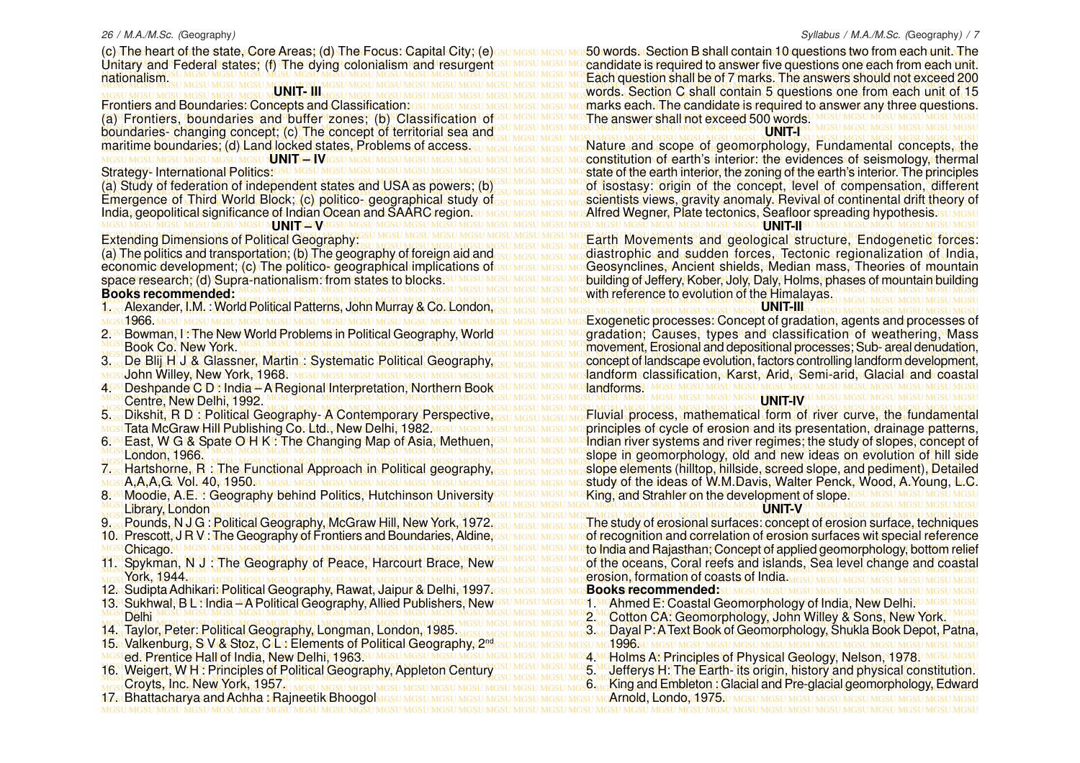#### 26 / M.A./M.Sc. (Geography)

(c) The heart of the state, Core Areas; (d) The Focus: Capital City; (e) asu Masu Masu Maso Mords a Section B shall contain 10 questions two from each unit. The Unitary and Federal states; (f) The dying colonialism and resurgent<sup>esu MGSU MGSU MG</sup>candidate is required to answer five questions one each from each unit. MGSU MGSU MGSU MGSU MGSU MGSU MGSU MGSU MGSU MGSU MGSU MGSU MGSU MGSU MGSU MGSU MGSU MGSU MGSU MGSU MGSU MGSU MGSU MGSU MGSU MGSU MGSU MGSU MGSU MGSU MGSU MGSU Each question shall be of 7 marks. The answers should not exceed 200 Unitary and Federal states; (f) The dying colonialism and resurgent nationalism.

### **UNIT- III**

Frontiers and Boundaries: Concepts and Classification: asu MGSU MGSU MGSU MGSU MGSTU MGSTARKS each The candidate is required to answer any three questions. MGSU MGSU MGSU MGSU MGSU MGSU MGSU MGSU MGSU MGSU MGSU MGSU MGSU MGSU MGSU MGSU MGSU MGSU MGSU MGSU MGSU MGSU MGSU MGSU MGSU MGSU MGSU MGSU MGSU MGSU MGSU MGSU (a) Frontiers, boundaries and buffer zones; (b) Classification of MGSU MGSU MGSU MGSU MGSU MGSU MGSU MGSU MGSU MGSU MGSU MGSU MGSU MGSU MGSU MGSU MGSU MGSU MGSU MGSU MGSU MGSU MGSU MGSU MGSU MGSU MGSU MGSU MGSU MGSU MGSU MGSU boundaries- changing concept; (c) The concept of territorial sea and MGSU MGSU MGSU MGSU MGSU MGSU MGSU MGSU MGSU MGSU MGSU MGSU MGSU MGSU MGSU MGSU MGSU MGSU MGSU MGSU MGSU MGSU MGSU MGSU MGSU MGSU MGSU MGSU MGSU MGSU MGSU MGSU maritime boundaries; (d) Land locked states, Problems of access, su mgsu mgsu mgsu mg Nature, and, scope, of geomorphology, Fundamental, concepts, the Frontiers and Boundaries: Concepts and Classification: maritime boundaries; (d) Land locked states, Problems of access. MGSU MGSU MGSU MGSU MGSU MGSU N**UNIT 4-5 I M**GSU MGSU MGSU MGSU MGSI MGSI MGS

#### Strategy- International Politics:

(a) Study of federation of independent states and USA as powers; (b)GSU MGSU MGSU MGSU MGSU MGSU MGSU of the concept, level of compensation, different MGSU MGSU MGSU MGSU MGSU MGSU MGSU MGSU MGSU MGSU MGSU MGSU MGSU MGSU MGSU MGSU MGSU MGSU MGSU MGSU MGSU MGSU MGSU MGSU MGSU MGSU MGSU MGSU MGSU MGSU MGSU MGSU Emergence of Third World Block; (c) politico- geographical study of<sub>GSU MGSU MGSU MGS</sub>cientists views, gravity anomaly, Revival of continental drift theory of India, geopolitical significance of Indian Ocean and SAARC region.su Mgsu Mgsu Mgs**Alfred Wegner, Plate tectonics, Seafloor spreading hypothesis.su** Mgsu (a) Study of federation of independent states and USA as powers; (b) India, geopolitical significance of Indian Ocean and SAARC region. **MC NUMGS WM** 

#### Extending Dimensions of Political Geography:

MGSU MGSU MGSU MGSU MGSU MGSU MGSU MGSU MGSU MGSU MGSU MGSU MGSU MGSU MGSU MGSU MGSU MGSU MGSU MGSU MGSU MGSU MGSU MGSU MGSU MGSU MGSU MGSU MGSU MGSU MGSU MGSU (a) The politics and transportation; (b) The geography of foreign aid and economic development; (c) The politico<del>k</del> geographical implications ofesu Mgsu Mgsu Mg**SGeosynclines, Ancient shields, Median mass, Theories of mountain** space research; (d) Supra-nationalism: from states to blocks:<u>SUMGSUMGSUMGSUMGSUMG</u>Sulding of Jeffery, Kober, Joly, Daly, Holms, phases of mountain building economic development; (c) The politico- geographical implications of space research; (d) Supra-nationalism: from states to blocks. **Books recommended:**

- MGSU MGSU MGSU MGSU MGSU MGSU MGSU MGSU MGSU MGSU MGSU MGSU MGSU MGSU MGSU MGSU MGSU MGSU MGSU MGSU MGSU MGSU MGSU MGSU MGSU MGSU MGSU MGSU MGSU MGSU MGSU MGSU MGSU MGSU MGSU MGSU MGSU MGSU MGSU MGSU MGSU MGSU MGSU MGSU MGSU MGSU MGSU MGSU MGSU MGSU MGSU MGSU MGSU MGSU MGSU MGSU MGSU MGSU MGSU MGSU MGSU MGSU MGSU MGSU 1. Alexander, I.M. : World Political Patterns, John Murray & Co. London, MGSLI 1966. MGSLI MGSLI MGSLI MGSLI MGSLI MGSLI MGSLI MGSLI MGSLI MGSLI MGSLI MGSLI MGSLI MGSLI MG
- 2GSI Bowman, He The New World Problems in Political Geography, World<sup>esu Mesu Mes</sup>gradation; Causes, types and classification of weathering, Mass 2. Bowman, I . The New World Problems in Political Geography, World Book Co. New York.
- 3.<sub>Sa</sub>De Blij HJ& Glassner, Martin : Systematic Political Geography,<sub>GSU MGSU MGSU MGSU MG</sub> concept of landscape evolution, factors controlling landform development, MGSU MGSU MGSU MGSU MGSU MGSU MGSU MGSU MGSU MGSU MGSU MGSU MGSU MGSU MGSU MGSU MGSU MGSU MGSU MGSU MGSU MGSU MGSU MGSU MGSU MGSU MGSU MGSU MGSU MGSU MGSU MGSU landform classification, Karst, Arid, Semi-arid, Glacial and coastal John Willey, New York, 1968.
- MGSU MGSU MGSU MGSU MGSU MGSU MGSU MGSU MGSU MGSU MGSU MGSU MGSU MGSU MGSU MGSU MGSU MGSU MGSU MGSU MGSU MGSU MGSU MGSU MGSU MGSU MGSU MGSU MGSU MGSU MGSU MGSU 4. Deshpande C D : India A Regional Interpretation, Northern Book MGSU MGSU MGSU MGSU MGSU MGSU MGSU MGSU MGSU MGSU MGSU MGSU MGSU MGSU MGSU MGSU MGSU MGSU MGSU MGSU MGSU MGSU MGSU MGSU MGSU MGSU MGSU MGSU MGSU MGSU MGSU MGSU Centre, New Delhi, 1992.
- 5. Dikshit, R D : Political Geography-A Contemporary Perspective,
- Tata McGraw Hill Publishing Co. Ltd., New Delhin 1982 MGSU MGSU
- MGSU MGSU MGSU MGSU MGSU MGSU MGSU MGSU MGSU MGSU MGSU MGSU MGSU MGSU MGSU MGSU MGSU MGSU MGSU MGSU MGSU MGSU MGSU MGSU MGSU MGSU MGSU MGSU MGSU MGSU MGSU MGSU slope in geomorphology, old and new ideas on evolution of hill side 6. East, W G & S pate O H K : The Changing Map of Asia, Methuen, London, 1966.
- MGSU MGSU MGSU MGSU MGSU MGSU MGSU MGSU MGSU MGSU MGSU MGSU MGSU MGSU MGSU MGSU MGSU MGSU MGSU MGSU MGSU MGSU MGSU MGSU MGSU MGSU MGSU MGSU MGSU MGSU MGSU MGSU slope elements (hilltop, hillside, screed slope, and pediment), Detailed
- MGSU MGSU MGSU MGSU MGSU MGSU MGSU MGSU MGSU MGSU MGSU MGSU MGSU MGSU MGSU MGSU MGSU MGSU MGSU MGSU MGSU MGSU MGSU MGSU MGSU MGSU MGSU MGSU MGSU MGSU MGSU MGSU study of the ideas of W.M.Davis, Walter Penck, Wood, A.Young, L.C. A,A,A,G. Vol. 40, 1950.
- MGSU MGSU MGSU MGSU MGSU MGSU MGSU MGSU MGSU MGSU MGSU MGSU MGSU MGSU MGSU MGSU MGSU MGSU MGSU MGSU MGSU MGSU MGSU MGSU MGSU MGSU MGSU MGSU MGSU MGSU MGSU MGSU Library, London
- 
- 10. Prescott, J R V : The Geography of Frontiers and Boundaries, Aldine,
- MGSU MGSU MGSU MGSU MGSU MGSU MGSU MGSU MGSU MGSU MGSU MGSU MGSU MGSU MGSU MGSU MGSU MGSU MGSU MGSU MGSU MGSU MGSU MGSU MGSU MGSU MGSU MGSU MGSU MGSU MGSU MGSU Chicago.
- York, 1944.
- MGSU MGSU MGSU MGSU MGSU MGSU MGSU MGSU MGSU MGSU MGSU MGSU MGSU MGSU MGSU MGSU MGSU MGSU MGSU MGSU MGSU MGSU MGSU MGSU MGSU MGSU MGSU MGSU MGSU MGSU MGSU MGSU 12. Sudipta Adhikari: Political Geography, Rawat, Jaipur & Delhi, 1997.
- 13S Sukhwal, B Dalindia ™A Political Geography, Allied Publishers, Newssu Mosu Mosu Mosu MoAhmed E. Coastal Geomorphology of India, New Delhisu Mosu Mosu MGSU MGSU MGSU MGSU MGSU MGSU MGSU MGSU MGSU MGSU MGSU MGSU MGSU MGSU MGSU MGSU MGSU MGSU MGSU MGSU MGSU MGSU MGSU MGSU MGSU MGSU MGSU MGSU MGSU MGSU MGSU MGSU 2. Cotton CA: Geomorphology, John Willey & Sons, New York. Delhi
- 14. Taylor, Peter: Political Geography, Longman, London, 1985. MGSU MGSU MGSU MGSU MGS WADARD P: A Text Book of Geomorphology, Shukla Book Depot, Patna, 14. Taylor, Peter: Political Geography, Longman, London, 1985.
- MGSU MGSU MGSU MGSU MGSU MGSU MGSU MGSU MGSU MGSU MGSU MGSU MGSU MGSU MGSU MGSU MGSU MGSU MGSU MGSU MGSU MGSU MGSU MGSU MGSU MGSU MGSU MGSU MGSU MGSU MGSU MGSU 4. Holms A: Principles of Physical Geology, Nelson, 1978. ed. Prentice Hall of India, New Delhi, 1963.
- MGSU MGSU MGSU MGSU MGSU MGSU MGSU MGSU MGSU MGSU MGSU MGSU MGSU MGSU MGSU MGSU MGSU MGSU MGSU MGSU MGSU MGSU MGSU MGSU MGSU MGSU MGSU MGSU MGSU MGSU MGSU MGSU 16. Weigert, W.H.: Principles of Political Geography, Appleton Century GSU MGSU MGSU MGSU MGSU Jefferys H: The Earth- its origin, history and physical constitution. Croyts, Inc. New York, 1957.

Syllabus / M.A./M.Sc. (Geography) / 7

MGSU MGSU MGSU MGSU MGSU MGSU MGSU MGSU MGSU MGSU MGSU MGSU MGSU MGSU MGSU MGSU MGSU MGSU MGSU MGSU MGSU MGSU MGSU MGSU MGSU MGSU MGSU MGSU MGSU MGSU MGSU MGSU MGSU MGSU MGSU MGSU MGSU MGSU MGSU MGSU MGSU MGSU MGSU MGSU MGSU MGSU MGSU MGSU MGSU MGSU MGSU MGSU MGSU MGSU MGSU MGSU MGSU MGSU MGSU MGSU MGSU MGSU MGSU MGSU words. Section C shall contain 5 questions one from each unit of 15 50 words. Section B shall contain 10 questions two from each unit. The The answer shall not exceed 500 words. **UNIT-I**

MGSU MGSU MGSU MGSU MGSU MGSU MGSU MGSU MGSU MGSU MGSU MGSU MGSU MGSU MGSU MGSU MGSU MGSU MGSU MGSU MGSU MGSU MGSU MGSU MGSU MGSU MGSU MGSU MGSU MGSU MGSU MGSU constitution of earth's interior: the evidences of seismology, thermal MGSU MGSU MGSU MGSU MGSU MGSU MGSU MGSU MGSU MGSU MGSU MGSU MGSU MGSU MGSU MGSU MGSU MGSU MGSU MGSU MGSU MGSU MGSU MGSU MGSU MGSU MGSU MGSU MGSU MGSU MGSU MGSU state of the earth interior, the zoning of the earth's interior. The principles MGSU MGSU MGSU MGSU MGSU MGSU MGSU MGSU MGSU MGSU MGSU MGSU MGSU MGSU MGSU MGSU MGSU MGSU MGSU MGSU MGSU MGSU MGSU MGSU MGSU MGSU MGSU MGSU MGSU MGSU MGSU MGSU scientists views, gravity anomaly. Revival of continental drift theory of **MINITALIS** 

MGSU MGSU MGSU MGSU MGSU MGSU MGSU MGSU MGSU MGSU MGSU MGSU MGSU MGSU MGSU MGSU MGSU MGSU MGSU MGSU MGSU MGSU MGSU MGSU MGSU MGSU MGSU MGSU MGSU MGSU MGSU MGSU MGSU MGSU MGSU MGSU MGSU MGSU MGSU MGSU MGSU MGSU MGSU MGSU MGSU MGSU MGSU MGSU MGSU MGSU MGSU MGSU MGSU MGSU MGSU MGSU MGSU MGSU MGSU MGSU MGSU MGSU MGSU MGSU Earth Movements and geological structure, Endogenetic forces: MGSU MGSU MGSU MGSU MGSU MGSU MGSU MGSU MGSU MGSU MGSU MGSU MGSU MGSU MGSU MGSU MGSU MGSU MGSU MGSU MGSU MGSU MGSU MGSU MGSU MGSU MGSU MGSU MGSU MGSU MGSU MGSU with reference to evolution of the Himalayas. diastrophic and sudden forces, Tectonic regionalization of India,

MGSU MGSU MGSU MGSU MGSU MGSU MGSU MGSU MGSU MGSU MGSU MGSU MGSU MGSU MGSU MGSU MGSU MGSU MGSU MGSU MGSU MGSU MGSU MGSU MGSU MGSU MGSU MGSU MGSU MGSU MGSU MGSU Exogenetic processes: Concept of gradation, agents and processes of MGSU MGSU MGSU MGSU MGSU MGSU MGSU MGSU MGSU MGSU MGSU MGSU MGSU MGSU MGSU MGSU MGSU MGSU MGSU MGSU MGSU MGSU MGSU MGSU MGSU MGSU MGSU MGSU MGSU MGSU MGSU MGSU movement, Erosional and depositional processes; Sub- areal denudation, 3<sub>GS</sub> De Blij H J & Glassner, Martin : Systematic Political Geography, GSU MGSU MGSU MGSU MGSU MGSU MGCU COLOR DE EVOLUTION, factors controlling landform development, **UNIT-III** landforms<sup>U MGSU</sup> MGSU MGSU MGSU **UNIT-IV**

MGSU MGSU MGSU MGSU MGSU MGSU MGSU MGSU MGSU MGSU MGSU MGSU MGSU MGSU MGSU MGSU MGSU MGSU MGSU MGSU MGSU MGSU MGSU MGSU MGSU MGSU MGSU MGSU MGSU MGSU MGSU MGSU 5<sub>cs</sub> Dikshit, R D : Political Geography- A Contemporary Perspective,<sub>GSU MGSU MGSU MGSU MGS</sub>Fluvial process, mathematical form of river\_curve, the fundamental <u>MGsuTataiMcGraw Hill Publishing Cocktdig New Delhiu 1982 Mgsu Mgsu Mgsu Mgsu Mgsu Masprinciples iof icycle iof erosion and its ipresentation, idrainage patterns,</u> 6GSLEast, W.G.& Spate O.H.KL: The Changing Map of Asia, Methuen, GSUMGSUMGSUM of Indian river systems and river regimes; the study of slopes, concept of MGSU MGSU MGSU MGSU MGSU MGSU MGSU MGSU MGSU MGSU MGSU MGSU MGSU MGSU MGSU MGSU MGSU MGSU MGSU MGSU MGSU MGSU MGSU MGSU MGSU MGSU MGSU MGSU MGSU MGSU MGSU MGSU 7. Hartshorne, R : The Functional Approach in Political geography, MGSU MGSU MGSU MGSU MGSU MGSU MGSU MGSU MGSU MGSU MGSU MGSU MGSU MGSU MGSU MGSU MGSU MGSU MGSU MGSU MGSU MGSU MGSU MGSU MGSU MGSU MGSU MGSU MGSU MGSU MGSU MGSU 8. Moodie, A.E. : Geography behind Politics, Hutchinson University King, and Strahler on the development of slope. **LINIT-V** 

#### MGSU MGSU MGSU MGSU MGSU MGSU MGSU MGSU MGSU MGSU MGSU MGSU MGSU MGSU MGSU MGSU MGSU MGSU MGSU MGSU MGSU MGSU MGSU MGSU MGSU MGSU MGSU MGSU MGSU MGSU MGSU MGSU 9. Pounds, N J G : Political Geography, McGraw Hill, New York, 1972. 9<sub>cs</sub> Rounds, NJG : Rolitical Geography, McGraw Hill, New York, 1972.<sub>GSU MGSU MGSU MGSU MGSU MGSU M</sub>e etudy of erosional surfaces: concept of erosion surface, techniques 10s: Prescott, J R.V.: The Geography of Frontiers and Boundaries, Aldine;Gsu MGSU MGSU MGSO frecognition and correlation of erosion surfaces wit special reference MGSU MGSU MGSU MGSU MGSU MGSU MGSU MGSU MGSU MGSU MGSU MGSU MGSU MGSU MGSU MGSU MGSU MGSU MGSU MGSU MGSU MGSU MGSU MGSU MGSU MGSU MGSU MGSU MGSU MGSU MGSU MGSU to India and Rajasthan; Concept of applied geomorphology, bottom relief 11. Spykman, N J : The Geography of Peace, Harcourt Brace, New GSU MGSU MGSU MGSU MGGU MGCU The oceans, Coral reefs and islands, Sea level change and coastal MGSU MGSU MGSU MGSU MGSU MGSU MGSU MGSU MGSU MGSU MGSU MGSU MGSU MGSU MGSU MGSU MGSU MGSU MGSU MGSU MGSU MGSU MGSU MGSU MGSU MGSU MGSU MGSU MGSU MGSU MGSU MGSU erosion, formation of coasts of India. of the oceans, Coral reefs and islands, Sea level change and coastal

#### **Books recommended:**

- **1. MCAhmed E: Coastal Geomorphology of India, New Delhi. I**<br>2. MCCotton CA: Geomorphology, John Willey & Sons, New Y
- MGSU MGSU MGSU MGSU MGSU MGSU MGSU MGSU MGSU MGSU MGSU MGSU MGSU MGSU MGSU MGSU MGSU MGSU MGSU MGSU MGSU MGSU MGSU MGSU MGSU MGSU MGSU MGSU MGSU MGSU MGSU MGSU
	-
- MGSU MGSU MGSU MGSU MGSU MGSU MGSU MGSU MGSU MGSU MGSU MGSU MGSU MGSU MGSU MGSU MGSU MGSU MGSU MGSU MGSU MGSU MGSU MGSU MGSU MGSU MGSU MGSU MGSU MGSU MGSU MGSU 15. Valkenburg, S V & Stoz, C L : Elements of Political Geography, 2nd 31996.s
	- 5. Jefferys H: The Earth- its origin, history and physical constitution.
- MGSU MGSU MGSU MGSU MGSU MGSU MGSU MGSU MGSU MGSU MGSU MGSU MGSU MGSU MGSU MGSU MGSU MGSU MGSU MGSU MGSU MGSU MGSU MGSU MGSU MGSU MGSU MGSU MGSU MGSU MGSU MGSU 6. King and Embleton : Glacial and Pre-glacial geomorphology, Edward
- MGSU MGSU MGSU MGSU MGSU MGSU MGSU MGSU MGSU MGSU MGSU MGSU MGSU MGSU MGSU MGSU MGSU MGSU MGSU MGSU MGSU MGSU MGSU MGSU MGSU MGSU MGSU MGSU MGSU MGSU MGSU MGSU 17. Bhattacharya and Achha : Rajneetik BhoogolArnold, Londo, 1975.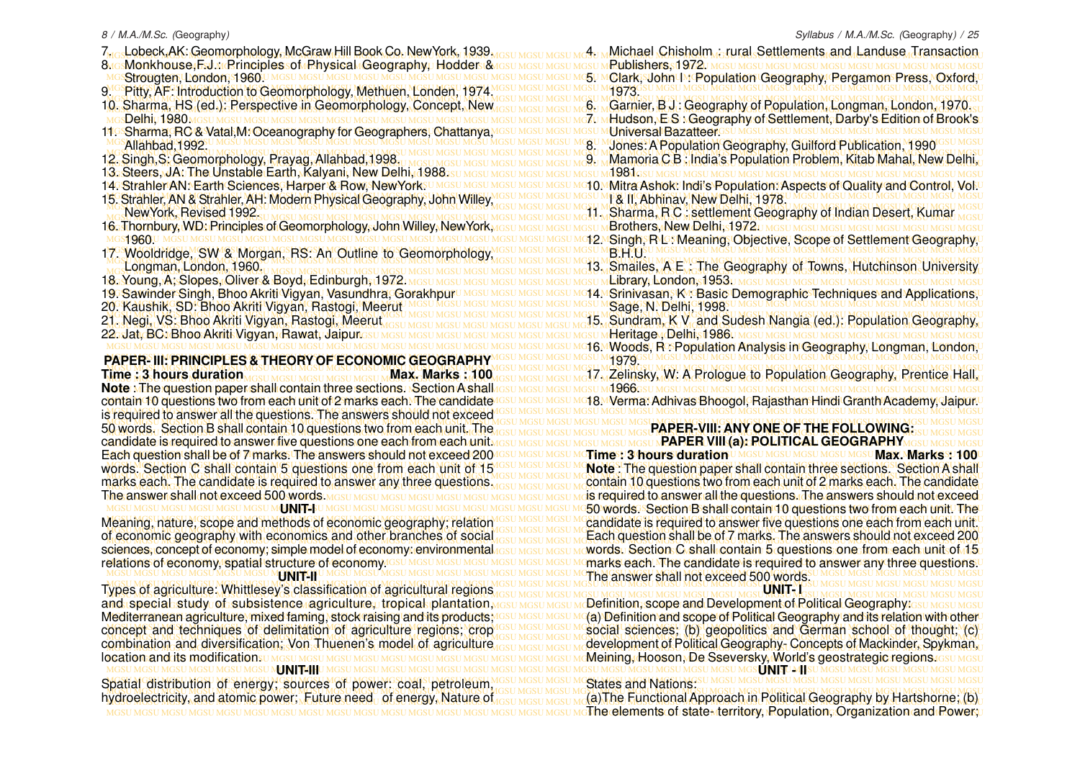- 
- MGSU MGSU MGSU MGSU MGSU MGSU MGSU MGSU MGSU MGSU MGSU MGSU MGSU MGSU MGSU MGSU MGSU MGSU MGSU MGSU MGSU MGSU MGSU MGSU MGSU MGSU MGSU MGSU MGSU MGSU MGSU MGSU 8. Monkhouse,F.J.: Principles of Physical Geography, Hodder & Strougten, London, 1960.
- 
- MGSU MGSU MGSU MGSU MGSU MGSU MGSU MGSU MGSU MGSU MGSU MGSU MGSU MGSU MGSU MGSU MGSU MGSU MGSU MGSU MGSU MGSU MGSU MGSU MGSU MGSU MGSU MGSU MGSU MGSU MGSU MGSU
- Delhi, 1980.
- MGSU MGSU MGSU MGSU MGSU MGSU MGSU MGSU MGSU MGSU MGSU MGSU MGSU MGSU MGSU MGSU MGSU MGSU MGSU MGSU MGSU MGSU MGSU MGSU MGSU MGSU MGSU MGSU MGSU MGSU MGSU MGSU 11. Sharma, RC & Vatal,M: Oceanography for Geographers, Chattanya, Allahbad,1992.
- 12. Singh,S: Geomorphology, Prayag, Allahbad,1998.
- 13. Steers, JA: The Unstable Earth, Kalyani, New Delhi, 1988.
- 14. Strahler AN: Earth Sciences, Harper & Row, New York. UMG
- MGSU MGSU MGSU MGSU MGSU MGSU MGSU MGSU MGSU MGSU MGSU MGSU MGSU MGSU MGSU MGSU MGSU MGSU MGSU MGSU MGSU MGSU MGSU MGSU MGSU MGSU MGSU MGSU MGSU MGSU MGSU MGSU 15. Strahler, AN & Strahler, AH: Modern Physical Geography, John Willey, NewYork, Revised 1992.
- 
- s**1960**U
- MGSU MGSU MGSU MGSU MGSU MGSU MGSU MGSU MGSU MGSU MGSU MGSU MGSU MGSU MGSU MGSU MGSU MGSU MGSU MGSU MGSU MGSU MGSU MGSU MGSU MGSU MGSU MGSU MGSU MGSU MGSU MGSU 17. Wooldridge, SW & Morgan, RS: An Outline to Geomorphology, MGSU MGSU MGSU MGSU MGSU MGSU MGSU MGSU MGSU MGSU MGSU MGSU MGSU MGSU MGSU MGSU MGSU MGSU MGSU MGSU MGSU MGSU MGSU MGSU MGSU MGSU MGSU MGSU MGSU MGSU MGSU MGSU Longman, London, 1960.
- 18. Young, A; Slopes, Oliver & Boyd, Edinburgh, 1972.
- 19. Sawinder Singh, Bhoo Akriti Vigyan, Vasundhra, Gorakhpur
- 
- 21. Negi, VS: Bhoo Akriti Vigyan, Rastogi, Meerut
- 22. Jat, BC: Bhoo Akriti Vigyan, Rawat, Jaipur.
- 

## **Time : 3 hours duration** Maximus Maximus Max. Marks : 100

MGSU MGSU MGSU MGSU MGSU MGSU MGSU MGSU MGSU MGSU MGSU MGSU MGSU MGSU MGSU MGSU MGSU MGSU MGSU MGSU MGSU MGSU MGSU MGSU MGSU MGSU MGSU MGSU MGSU MGSU MGSU MGSU **Note** : The question paper shall contain three sections. Section A shall iontain 10 questions two from each unit of 2 marks each. The candidate IGSU MGSU MGSU MOSU M**OTA. Verma: Adhivas Bhoogol, Rajasthan Hindi Granth Academy, Jaipur.∪** MGSU MGSU MGSU MGSU MGSU MGSU MGSU MGSU MGSU MGSU MGSU MGSU MGSU MGSU MGSU MGSU MGSU MGSU MGSU MGSU MGSU MGSU MGSU MGSU MGSU MGSU MGSU MGSU MGSU MGSU MGSU MGSU is required to answer all the questions. The answers should not exceed MGSU MGSU MGSU MGSU MGSU MGSU MGSU MGSU MGSU MGSU MGSU MGSU MGSU MGSU MGSU MGSU MGSU MGSU MGSU MGSU MGSU MGSU MGSU MGSU MGSU MGSU MGSU MGSU MGSU MGSU MGSU MGSU 50 words. Section B shall contain 10 questions two from each unit. The result MGSU MGSU MGSU MGSU MGSU MGSU MG**SU RAPER-VIII: ANY ONE OF THE FOLLOWING** the UNISSU MGSU **MGSU AN** candidate is required to answer five questions one each from each unit MGSU MGSU MGSU MGSU MGSU N**PAPER VIII (a): POLITICAL GEOGRAPHY**MGSU MGSU MGSU MGSU contain 10 questions two from each unit of 2 marks each. The candidate Each question shall be of 7 marks. The answers should not exceed 200 words. Section C shall contain 5 questions one from each unit of 15 The answer shall not exceed 500 words.

#### **UNIT-I**

Meaning, nature, scope and methods of economic geography; relation of economic geography with economics and other branches of social sciences, concept of economy; simple model of economy: environmental relations of economy, spatial structure of economy.

#### **UNIT-II**

MGSU MGSU MGSU MGSU MGSU MGSU MGSU MGSU MGSU MGSU MGSU MGSU MGSU MGSU MGSU MGSU MGSU MGSU MGSU MGSU MGSU MGSU MGSU MGSU MGSU MGSU MGSU MGSU MGSU MGSU MGSU MGSU Types of agriculture: Whittlesey's classification of agricultural regions Mediterranean agriculture, mixed faming, stock raising and its products; concept and techniques of delimitation of agriculture regions; crop combination and diversification; Von Thuenen's model of agriculture **location and its modifications** under mosul mosul mosul mosul mosul mosul

MGSU MGSU MGSU MGSU MGSU MGSU MGSU MGSU MGSU MGSU MGSU MGSU MGSU MGSU MGSU MGSU MGSU MGSU MGSU MGSU MGSU MGSU MGSU MGSU MGSU MGSU MGSU MGSU MGSU MGSU MGSU MGSU **UNIT-III** MGSU MGSU MGSU MGSU MGSU MGSU MGSU MGSU MGSU MGSU MGSU MGSU MGSU MGSU MGSU MGSU MGSU MGSU MGSU MGSU MGSU MGSU MGSU MGSU MGSU MGSU MGSU MGSU MGSU MGSU MGSU MGSU Spatial distribution of energy; sources of power: coal, petroleum, MGSU MGSU MGSU MGSU MGSU MGSU MGSU MGSU MGSU MGSU MGSU MGSU MGSU MGSU MGSU MGSU MGSU MGSU MGSU MGSU MGSU MGSU MGSU MGSU MGSU MGSU MGSU MGSU MGSU MGSU MGSU MGSU hydroelectricity, and atomic power; Future need of energy, Nature of

7. <sub>Go</sub>Lobeck,AK: Geomorphology, McGraw Hill Book Co. NewYork, 1939. Jost Mosu Mgsu Mg. Michael "Chisholm"; rural Settlements, and Landuse Transaction, MGSU MGSU MGSU MGSU MGSU MGSU MGSU MGSU MGSU MGSU MGSU MGSU MGSU MGSU MGSU MGSU MGSU MGSU MGSU MGSU MGSU MGSU MGSU MGSU MGSU MGSU MGSU MGSU MGSU MGSU MGSU MGSU 5. Clark, John I : Population Geography, Pergamon Press, Oxford, MGSU MGSU MGSU MGSU MGSU MGSU MGSU MGSU MGSU MGSU MGSU MGSU MGSU MGSU MGSU MGSU MGSU MGSU MGSU MGSU MGSU MGSU MGSU MGSU MGSU MGSU MGSU MGSU MGSU MGSU MGSU MGSU 9. Pitty, AF: Introduction to Geomorphology, Methuen, Londen, 1974. 10. Sharma, HS (ed.): Perspective in Geomorphology, Concept, New <sub>IGSU MGSU MGSU MGSU MG</sub> Garnier, B J: Geography of Population, Longman, London, 1970. MGSU MGSU MGSU MGSU MGSU MGSU MGSU MGSU MGSU MGSU MGSU MGSU MGSU MGSU MGSU MGSU MGSU MGSU MGSU MGSU MGSU MGSU MGSU MGSU MGSU MGSU MGSU MGSU MGSU MGSU MGSU MGSU 7. Hudson, E S : Geography of Settlement, Darby's Edition of Brook's MGSU MGSU MGSU MGSU MGSU MGSU MGSU MGSU MGSU MGSU MGSU MGSU MGSU MGSU MGSU MGSU MGSU MGSU MGSU MGSU MGSU MGSU MGSU MGSU MGSU MGSU MGSU MGSU MGSU MGSU MGSU MGSU 8. Jones: A Population Geography, Guilford Publication, 1990 MGSU MGSU MGSU MGSU MGSU MGSU MGSU MGSU MGSU MGSU MGSU MGSU MGSU MGSU MGSU MGSU MGSU MGSU MGSU MGSU MGSU MGSU MGSU MGSU MGSU MGSU MGSU MGSU MGSU MGSU MGSU MGSU MGSU MGSU MGSU MGSU MGSU MGSU MGSU MGSU MGSU MGSU MGSU MGSU MGSU MGSU MGSU MGSU MGSU MGSU MGSU MGSU MGSU MGSU MGSU MGSU MGSU MGSU MGSU MGSU MGSU MGSU MGSU MGSU 9. Mamoria C B : India's Population Problem, Kitab Mahal, New Delhi, MGSU MGSU MGSU MGSU MGSU MGSU MGSU MGSU MGSU MGSU MGSU MGSU MGSU MGSU MGSU MGSU MGSU MGSU MGSU MGSU MGSU MGSU MGSU MGSU MGSU MGSU MGSU MGSU MGSU MGSU MGSU MGSU 1981. A. Strahler AN. Earth Sciences, Harper & Row, New York:UMGSUMGSUMGSUMGSUMG10MMitra Ashok: Indi's Population: Aspects of Quality and Control, Vol.U MGSU MGSU MGSU MGSU MGSU MGSU MGSU MGSU MGSU MGSU MGSU MGSU MGSU MGSU MGSU MGSU MGSU MGSU MGSU MGSU MGSU MGSU MGSU MGSU MGSU MGSU MGSU MGSU MGSU MGSU MGSU MGSU MGSU MGSU MGSU MGSU MGSU MGSU MGSU MGSU MGSU MGSU MGSU MGSU MGSU MGSU MGSU MGSU MGSU MGSU MGSU MGSU MGSU MGSU MGSU MGSU MGSU MGSU MGSU MGSU MGSU MGSU MGSU MGSU 11. Sharma, R C : settlement Geography of Indian Desert, Kumar MGSU MGSU MGSU MGSU MGSU MGSU MGSU MGSU MGSU MGSU MGSU MGSU MGSU MGSU MGSU MGSU MGSU MGSU MGSU MGSU MGSU MGSU MGSU MGSU MGSU MGSU MGSU MGSU MGSU MGSU MGSU MGSU 16. Thornbury, WD: Principles of Geomorphology, John Willey, NewYork, MGSU MGSU MGSU MGSU MGSU MGSU MGSU MGSU MGSU MGSU MGSU MGSU MGSU MGSU MGSU MGSU MGSU MGSU MGSU MGSU MGSU MGSU MGSU MGSU MGSU MGSU MGSU MGSU MGSU MGSU MGSU MGSU 12. Singh, R L : Meaning, Objective, Scope of Settlement Geography, MGSU MGSU MGSU MGSU MGSU MGSU MGSU MGSU MGSU MGSU MGSU MGSU MGSU MGSU MGSU MGSU MGSU MGSU MGSU MGSU MGSU MGSU MGSU MGSU MGSU MGSU MGSU MGSU MGSU MGSU MGSU MGSU 13. Smailes, A E : The Geography of Towns, Hutchinson University MGSU MGSU MGSU MGSU MGSU MGSU MGSU MGSU MGSU MGSU MGSU MGSU MGSU MGSU MGSU MGSU MGSU MGSU MGSU MGSU MGSU MGSU MGSU MGSU MGSU MGSU MGSU MGSU MGSU MGSU MGSU MGSU Library, London, 1953. '9. Sawinder Singh, Bhoo Akriti Vigyan, Vasundhra, Gorakhpur∪ MGs∪ MGs∪ MGs∪ MG14.MSrinivasan, KA: Basic Demographic Techniques and Applications,∪ MGSU MGSU MGSU MGSU MGSU MGSU MGSU MGSU MGSU MGSU MGSU MGSU MGSU MGSU MGSU MGSU MGSU MGSU MGSU MGSU MGSU MGSU MGSU MGSU MGSU MGSU MGSU MGSU MGSU MGSU MGSU MGSU 20. Kaushik, SD: Bhoo Akriti Vigyan, Rastogi, Meerut MGSU MGSU MGSU MGSU MGSU MGSU MGSU MGSU MGSU MGSU MGSU MGSU MGSU MGSU MGSU MGSU MGSU MGSU MGSU MGSU MGSU MGSU MGSU MGSU MGSU MGSU MGSU MGSU MGSU MGSU MGSU MGSU MGSU MGSU MGSU MGSU MGSU MGSU MGSU MGSU MGSU MGSU MGSU MGSU MGSU MGSU MGSU MGSU MGSU MGSU MGSU MGSU MGSU MGSU MGSU MGSU MGSU MGSU MGSU MGSU MGSU MGSU MGSU MGSU 15. Sundram, K V and Sudesh Nangia (ed.): Population Geography, MGSU MGSU MGSU MGSU MGSU MGSU MGSU MGSU MGSU MGSU MGSU MGSU MGSU MGSU MGSU MGSU MGSU MGSU MGSU MGSU MGSU MGSU MGSU MGSU MGSU MGSU MGSU MGSU MGSU MGSU MGSU MGSU Heritage , Delhi, 1986. MGSU MGSU MGSU MGSU MGSU MGSU MGSU MGSU MGSU MGSU MGSU MGSU MGSU MGSU MGSU MGSU MGSU MGSU MGSU MGSU MGSU MGSU MGSU MGSU MGSU MGSU MGSU MGSU MGSU MGSU MGSU MGSU 16. Woods, R : Population Analysis in Geography, Longman, London, MGSU MGSU MGSU MGSU MGSU MGSU MGSU MGSU MGSU MGSU MGSU MGSU MGSU MGSU MGSU MGSU MGSU MGSU MGSU MGSU MGSU MGSU MGSU MGSU MGSU MGSU MGSU MGSU MGSU MGSU MGSU MGSU **PAPER- III: PRINCIPLES & THEOR Y OF ECONOMIC GEOGRAPHY** MGSU MGSU MGSU MGSU MGSU MGSU MGSU MGSU MGSU MGSU MGSU MGSU MGSU MGSU MGSU MGSU MGSU MGSU MGSU MGSU MGSU MGSU MGSU MGSU MGSU MGSU MGSU MGSU MGSU MGSU MGSU MGSU <u>Time: 3 hours duration Mosu MGSU MGSU MGSU MGSU MAX. Marks: 100 MGSU MGSU MGSU MGSU MCSU MCC Zelinsky, W. A Prologue to Population Geography, Prentice Hall,</u> 4. Michael Chisholm : rural Settlements and Landuse Transaction Publishers, 1972. 1973. 6. Garnier, B J : Geography of Population, Longman, London, 1970. Universal Bazatteer. Studies was also make make make make make make the Universal Bazatteer I & II, Abhinav, New Delhi, 1978. Brothers, New Delhi, 1972. **BELLMOS** Sage N. Delhi<sup>61</sup>998. 1979. M<sub>4966</sub>.

 $\tt{Each}$  question shall be of 7 marks. The answers should not exceed 2004GSU MGSU MGSU MGTi**me : 3 hours duration** U MGSU MGSU MGSU MGSU **Mgsu <b>Max. Marks** : 1000 vords. Section C shall contain 5 questions one from each unit of 15<sup>/(GSU MGSU MGSU MC</sup>Note: The question paper shall contain three sections. Section A shall narks each. The candidate is required to answer any three questions. Most MGSU MGSU MCCONTROL TO Questions two from each unit of 2 marks each. The candidate marks each. The candidate is required to answer any three questions <sub>MGSU MGSU MGSU MGSU</sub> M **contain 10 questions two from each unit of** 2 marks each. The candidate MGSU MGSU MGSU MGSU MGSU MGSU MGSU MGSU MGSU MGSU MGSU MGSU MGSU MGSU MGSU MGSU MGSU MGSU MGSU MGSU MGSU MGSU MGSU MGSU MGSU MGSU MGSU MGSU MGSU MGSU MGSU MGSU is required to answer all the questions. The answers should not exceed MGSU MGSU MGSU MGSU MGSU MGSU MGSU MGSU MGSU MGSU MGSU MGSU MGSU MGSU MGSU MGSU MGSU MGSU MGSU MGSU MGSU MGSU MGSU MGSU MGSU MGSU MGSU MGSU MGSU MGSU MGSU MGSU 50 words. Section B shall contain 10 questions two from each unit. The Meaning, nature, scope and methods of economic geography; relation *IGSU MGSU MGSU MC* andidate is required to answer five questions one each from each unit. MGSU MGSU MGSU MGSU MGSU MGSU MGSU MGSU MGSU MGSU MGSU MGSU MGSU MGSU MGSU MGSU MGSU MGSU MGSU MGSU MGSU MGSU MGSU MGSU MGSU MGSU MGSU MGSU MGSU MGSU MGSU MGSU <u>If economic geography with economics and other branches of social resulting mesuling Each question shall be of 7 marks. The answers should not exceed 200</u> ciences, concept of economy; simple model of economy: environmental result Mesu Mesu Mewords. Section: Cashall, contain: 5 questions, one, from, each, unit of 15 r elations of economy, spatial structure of economy.<sup>resu Mesu Mesu Mesu Mesu Mesu Me</sup>marks each. The candidate is required to answer any three questions.U MGSU MGSU MGSU MGSU MGSU MGSU MGSU MGSU MGSU MGSU MGSU MGSU MGSU MGSU MGSU MGSU MGSU MGSU MGSU MGSU MGSU MGSU MGSU MGSU MGSU MGSU MGSU MGSU MGSU MGSU MGSU MGSU The answer shall not exceed 500 words. MGSU MGSU MGSU MGSU MGSU MGSU MGSU MGSU MGSU MGSU MGSU MGSU MGSU MGSU MGSU MGSU MGSU MGSU MGSU MGSU MGSU MGSU MGSU MGSU MGSU MGSU MGSU MGSU MGSU MGSU MGSU MGSU **PAPER-VIII: ANY ONE OF THE FOLLOWING: PAPER VIII (a): POLITICAL GEOGRAPHY**

and special study of subsistence agriculture, tropical plantation,<u>wesu Mesu Mesu Mo</u>efinition, scope and Development of Political Geography:<sub>GSU MGSU MGSU</sub> Mesu Mesu "Mediterranean agriculture, mixed faming, stock raising and its products, IGSU MGSU MGSU MC(a) Definition and scope of Political Geography and its relation with other concept and techniques of delimitation of agriculture regions; crop (GSU MGSU MGSU MCSOCial sciences; (b) geopolitics and German school of thought; (c) MGSU MGSU MGSU MGSU MGSU MGSU MGSU MGSU MGSU MGSU MGSU MGSU MGSU MGSU MGSU MGSU MGSU MGSU MGSU MGSU MGSU MGSU MGSU MGSU MGSU MGSU MGSU MGSU MGSU MGSU MGSU MGSU ombination and diversification; Von Thuenen's model of agriculture <sub>IGSU MGSU MGSU MGSU M</sub>development of Political Geography- Concepts of Mackinder, Spykman, MGSU MGSU MGSU MGSU MGSU MGSU MGSU MGSU MGSU MGSU MGSU MGSU MGSU MGSU MGSU MGSU MGSU MGSU MGSU MGSU MGSU MGSU MGSU MGSU MGSU MGSU MGSU MGSU MGSU MGSU MGSU MGSU Meining, Hooson, De Sseversky, World's geostrategic regions. **UNIT- I** Definition, scope and Development of Political Geography: Gsu **SUNISUMIS** 

#### States and Nations:

MGSU MGSU MGSU MGSU MGSU MGSU MGSU MGSU MGSU MGSU MGSU MGSU MGSU MGSU MGSU MGSU MGSU MGSU MGSU MGSU MGSU MGSU MGSU MGSU MGSU MGSU MGSU MGSU MGSU MGSU MGSU MGSU (a)The Functional Approach in Political Geography by Hartshorne; (b) MGSU MGSU MGSU MGSU MGSU MGSU MGSU MGSU MGSU MGSU MGSU MGSU MGSU MGSU MGSU MGSU MGSU MGSU MGSU MGSU MGSU MGSU MGSU MGSU MGSU MGSU MGSU MGSU MGSU MGSU MGSU MGSU The elements of state- territory, Population, Organization and Power;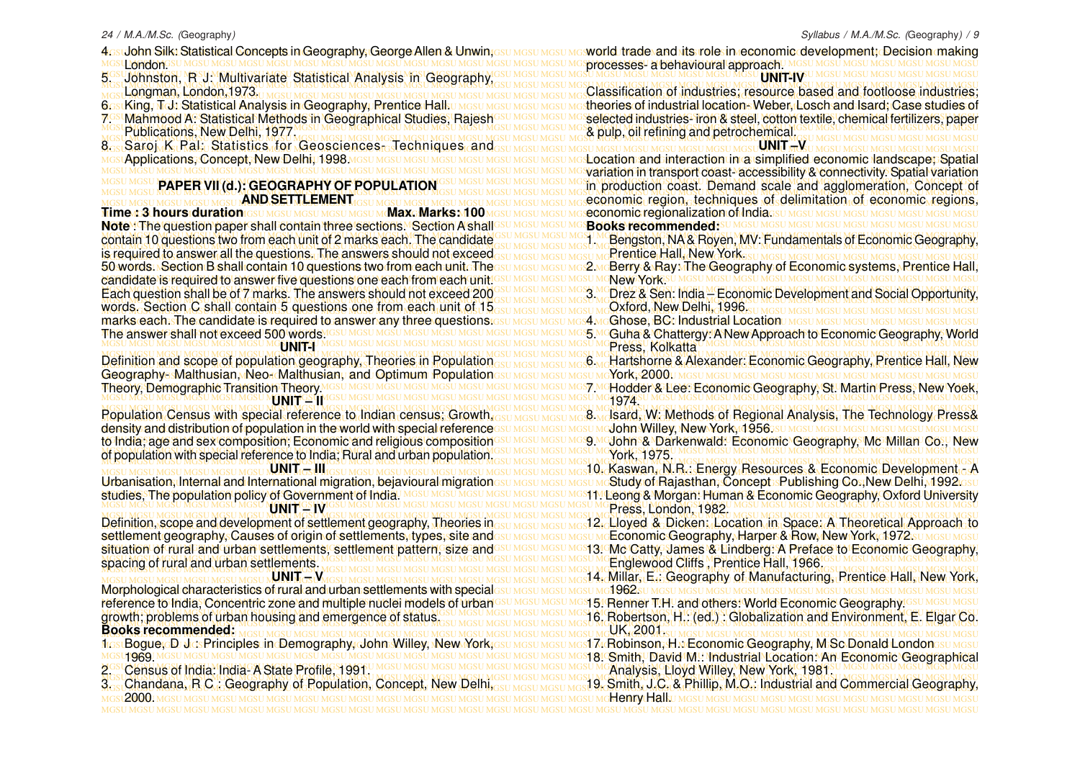<u>4osuJohn Silk: Statistical Concepts in Geography, George Allen & Unwin;esu Mesu Mesu Mesworld, trade and lits rolesin economic development; Decision making</u> MGSU MGSU MGSU MGSU MGSU MGSU MGSU MGSU MGSU MGSU MGSU MGSU MGSU MGSU MGSU MGSU MGSU MGSU MGSU MGSU MGSU MGSU MGSU MGSU MGSU MGSU MGSU MGSU MGSU MGSU MGSU MGSU processes- a behavioural approach. MGSU MGSU MGSU MGSU MGSU MGSU MGSU MGSU MGSU MGSU MGSU MGSU MGSU MGSU MGSU MGSU MGSU MGSU MGSU MGSU MGSU MGSU MGSU MGSU MGSU MGSU MGSU MGSU MGSU MGSU MGSU MGSU MGSU MGSU MGSU MGSU MGSU MGSU MGSU MGSU MGSU MGSU MGSU MGSU MGSU MGSU MGSU MGSU MGSU MGSU MGSU MGSU MGSU MGSU MGSU MGSU MGSU MGSU MGSU MGSU MGSU MGSU MGSU MGSU 5. Johnston, R J: Multivariate Statistical Analysis in Geography, **LLondon**GS Longman, London,1973.

6.stKing, Td: Statistical Analysis in Geography, Prentice Hall.

7.58 Mahmood A: Statistical Methods in Geographical Studies, Rajesh<sup>osu Mosu Mosul Mo</sup>selected industries- iron & steel, cotton textile, chemical fertilizers, paper 7. Mahmood A: Statistical Methods in Geographical Studies, Rajesh Publications, New Delhi, 1977.

MGSU MGSU MGSU MGSU MGSU MGSU MGSU MGSU MGSU MGSU MGSU MGSU MGSU MGSU MGSU MGSU MGSU MGSU MGSU MGSU MGSU MGSU MGSU MGSU MGSU MGSU MGSU MGSU MGSU MGSU MGSU MGSU 8. Saroj K Pal: Statistics for Geosciences-Techniques and <u>мсs</u>rApplications, Concept, New Delhi,n1998 <u>мсsu мсsu мсsu мсsu мсsu мсsu мсsu мс</u>sLocation and interaction in a simplified economic landscape; Spatial Applications, Concept, New Delhin 1998 MGSU MGSU MGSU MGSU MC

#### **PAPER VII (d.): GEOGRAPHY OF POPULATION AND SETTLEMENT**

MGSU MGSU MGSU MGSU MGSU MGSU MGSU MGSU MGSU MGSU MGSU MGSU MGSU MGSU MGSU MGSU MGSU MGSU MGSU MGSU MGSU MGSU MGSU MGSU MGSU MGSU MGSU MGSU MGSU MGSU MGSU MGSU economic regionalization of India. MGSU MGSU MGSU MGSU MGSU MGSU MGSU MGSU MGSU MGSU MGSU MGSU MGSU MGSU MGSU MGSU MGSU MGSU MGSU MGSU MGSU MGSU MGSU MGSU MGSU MGSU MGSU MGSU MGSU MGSU MGSU MGSU **Note** : The question paper shall contain three sections. Section A shall MGSU MGSU MGSU MGSU MGSU MGSU MGSU MGSU MGSU MGSU MGSU MGSU MGSU MGSU MGSU MGSU MGSU MGSU MGSU MGSU MGSU MGSU MGSU MGSU MGSU MGSU MGSU MGSU MGSU MGSU MGSU MGSU contain 10 questions two from each unit of 2 marks each. The candidate Su MGSU MGSU MGSU MGSU MGSU MGSU MGSU MG MGSU MGSU MGSU MGSU MGSU MGSU MGSU MGSU MGSU MGSU MGSU MGSU MGSU MGSU MGSU MGSU MGSU MGSU MGSU MGSU MGSU MGSU MGSU MGSU MGSU MGSU MGSU MGSU MGSU MGSU MGSU MGSU is required to answer all the questions. The answers should not exceed 50 words.⊾Section B shall contain 10 questions two from each uniteTheesu Mesu Mesu Mes2 McBerry & Ray ⊼he Geography of Economic systems, Prentice Hall, MGSU MGSU MGSU MGSU MGSU MGSU MGSU MGSU MGSU MGSU MGSU MGSU MGSU MGSU MGSU MGSU MGSU MGSU MGSU MGSU MGSU MGSU MGSU MGSU MGSU MGSU MGSU MGSU MGSU MGSU MGSU MGSU candidate is required to answer five questions one each from each unit. MGSU MGSU MGSU MGSU MGSU MGSU MGSU MGSU MGSU MGSU MGSU MGSU MGSU MGSU MGSU MGSU MGSU MGSU MGSU MGSU MGSU MGSU MGSU MGSU MGSU MGSU MGSU MGSU MGSU MGSU MGSU MGSU Each question shall be of 7 marks. The answers should not exceed 200 SUMGSUMGSUMGSUMGSUMGSUMGRASCHI, India - Economic Development and Social Opportunity, MGSU MGSU MGSU MGSU MGSU MGSU MGSU MGSU MGSU MGSU MGSU MGSU MGSU MGSU MGSU MGSU MGSU MGSU MGSU MGSU MGSU MGSU MGSU MGSU MGSU MGSU MGSU MGSU MGSU MGSU MGSU MGSU words. Section C shall contain 5 questions one from each unit of 15 MGSU MGSU MGSU MGSU MGSU MGSU MGSU MGSU MGSU MGSU MGSU MGSU MGSU MGSU MGSU MGSU MGSU MGSU MGSU MGSU MGSU MGSU MGSU MGSU MGSU MGSU MGSU MGSU MGSU MGSU MGSU MGSU marks each. The candidate is required to answer any three questions. MGSU MGSU MGSU MGSU MGSU MGSU MGSU MGSU MGSU MGSU MGSU MGSU MGSU MGSU MGSU MGSU MGSU MGSU MGSU MGSU MGSU MGSU MGSU MGSU MGSU MGSU MGSU MGSU MGSU MGSU MGSU MGSU 5. Guha & Chattergy: A New Approach to Economic Geography, World **Time :: 3 hours duration** *IGSU MGSU MGSU MGSU MGSU MAxc* Marks: 100 Each question shall be of 7 marks. The answers should not exceed 200 The answer shall not exceed 500 words.

#### **UNIT-I**

Definition and scope of population geography, Theories in Population<sub>GSU MGSU MGSU MGS</sub>C, Hartshorne & Alexander: Economic Geography, Prentice Hall, New MGSU MGSU MGSU MGSU MGSU MGSU MGSU MGSU MGSU MGSU MGSU MGSU MGSU MGSU MGSU MGSU MGSU MGSU MGSU MGSU MGSU MGSU MGSU MGSU MGSU MGSU MGSU MGSU MGSU MGSU MGSU MGSU Geography- Malthusian, Neo- Malthusian, and Optimum Population MGSU MGSU MGSU MGSU MGSU MGSU MGSU MGSU MGSU MGSU MGSU MGSU MGSU MGSU MGSU MGSU MGSU MGSU MGSU MGSU MGSU MGSU MGSU MGSU MGSU MGSU MGSU MGSU MGSU MGSU MGSU MGSU 7. Hodder & Lee: Economic Geography, St. Martin Press, New Yoek, Definition and scope of population geography, Theories in Population Theory, Demographic Transition Theory.

#### MGSU MGSU MGSU MGSU MGSU MGSU MGSU MGSU MGSU MGSU MGSU MGSU MGSU MGSU MGSU MGSU MGSU MGSU MGSU MGSU MGSU MGSU MGSU MGSU MGSU MGSU MGSU MGSU MGSU MGSU MGSU MGSU LONIT <sup>GSL</sup>II<sup>V</sup>

MGSU MGSU MGSU MGSU MGSU MGSU MGSU MGSU MGSU MGSU MGSU MGSU MGSU MGSU MGSU MGSU MGSU MGSU MGSU MGSU MGSU MGSU MGSU MGSU MGSU MGSU MGSU MGSU MGSU MGSU MGSU MGSU density and distribution of population in the world with special reference to India; age and sex composition; Economic and religious composition<sup>esu Mesu Mesu Me</sup>so Medohn & Darkenwald: Economic Geography, Mc Millan Co., New MGSU MGSU MGSU MGSU MGSU MGSU MGSU MGSU MGSU MGSU MGSU MGSU MGSU MGSU MGSU MGSU MGSU MGSU MGSU MGSU MGSU MGSU MGSU MGSU MGSU MGSU MGSU MGSU MGSU MGSU MGSU MGSU of population with special reference to India; Rural and urban population. to India; age and sex composition; Economic and religious composition

#### **UNIT – III**

Urbanisation, Internal and International migration, bejavioural migrationssumesumesumestudy of Rajasthan, Concept:sPublishing Co.,New Delhi, 1992 asu studies, The population policy of Government of India! MGSU MGSU MGSU MGSU MGSU MGS11. Leong & Morgan: Human & Economic Geography, Oxford University studies. The population policy of Government of India. **MENHT ESTVI** 

Definition, scope and development of settlement geography, Theories in<sub>GSU MGSU MGSU MGSU</sub> Mg<mark>sLLloyed & Dicken: Location, in Space: A Theoretical Approach to</mark> settlement geography, Causes of origin of settlements, types, site andesu <u>Mesu Mesu Mesu Mc</u>Economic Geography, Harper & Row, New York, 1972su <u>Mesu Mesu Mesu</u> situation of rural and urban settlements, settlement pattern, size and<sup>esu Mesu Mesu Mes</sup>Catty, James & Lindberg: A Preface to Economic Geography, MGSU MGSU MGSU MGSU MGSU MGSU MGSU MGSU MGSU MGSU MGSU MGSU MGSU MGSU MGSU MGSU MGSU MGSU MGSU MGSU MGSU MGSU MGSU MGSU MGSU MGSU MGSU MGSU MGSU MGSU MGSU MGSU spacing of rural and urban settlements. Definition, scope and development of settlement geography, Theories in situation of rural and urban settlements, settlement pattern, size and

#### **UNIT – V**

MGSU MGSU MGSU MGSU MGSU MGSU MGSU MGSU MGSU MGSU MGSU MGSU MGSU MGSU MGSU MGSU MGSU MGSU MGSU MGSU MGSU MGSU MGSU MGSU MGSU MGSU MGSU MGSU MGSU MGSU MGSU MGSU Morphological characteristics of rural and urban settlements with special reference to India, Concentric zone and multiple nuclei models of urban<sup>csu MGSU MGSU MGS</sup>15! Renner T.H. and others: World Economic Geography!GSU MGSU MGSU MGSU MGSU MGSU MGSU MGSU MGSU MGSU MGSU MGSU MGSU MGSU MGSU MGSU MGSU MGSU MGSU MGSU MGSU MGSU MGSU MGSU MGSU MGSU MGSU MGSU MGSU MGSU MGSU MGSU MGSU MGSU MGSU MGSU MGSU MGSU MGSU MGSU MGSU MGSU MGSU MGSU MGSU MGSU MGSU MGSU MGSU MGSU MGSU MGSU MGSU MGSU MGSU MGSU MGSU MGSU MGSU MGSU MGSU MGSU MGSU MGSU MGSU MGSU MGSU MGSU 16. Robertson, H.: (ed.) : Globalization and Environment, E. Elgar Co. growth; problems of urban housing and emergence of status.

<u>fics</u>tBogue<u>yDadesPrinciples.incDemography,dohnsWilley; NewMork;csu Mgsu Mgsu Mgs17⊬Robinson, H.wEconomic Geography, M.Sc Donald Londonesu Mgsu</u> 1rs:Bogue,։D Jrs:Principles in Demography, John Willey, New York, U1969.1

- 
- 3.<sub>os</sub> Chandana, R.C.: Geography of Population, Concept, New Delhi,<sub>GSU MGSU MGSU MGS</sub>19, Smith, J.C. & Phillip, M.O.: Industrial and Commercial Geography, MGSU MGSU MGSU MGSU MGSU MGSU MGSU MGSU MGSU MGSU MGSU MGSU MGSU MGSU MGSU MGSU MGSU MGSU MGSU MGSU MGSU MGSU MGSU MGSU MGSU MGSU MGSU MGSU MGSU MGSU MGSU MGSU Henry Hall. 3. Chandana, R C : Geography of Population, Concept, New Delhi, 2000.

MGSU MGSU MGSU MGSU MGSU MGSU MGSU MGSU MGSU MGSU MGSU MGSU MGSU MGSU MGSU MGSU MGSU MGSU MGSU MGSU MGSU MGSU MGSU MGSU MGSU MGSU MGSU MGSU MGSU MGSU MGSU MGSU Classification of industries; resource based and footloose industries; <u>6estKing, Teb Statistical Analysis in Geography, Prentice Hallo Mesu Mesu Mesu Mesu Metheories of industrial locations Weber, Losch and Isard, Case studies of</u> MGSU MGSU MGSU MGSU MGSU MGSU MGSU MGSU MGSU MGSU MGSU MGSU MGSU MGSU MGSU MGSU MGSU MGSU MGSU MGSU MGSU MGSU MGSU MGSU MGSU MGSU MGSU MGSU MGSU MGSU MGSU MGSU & pulp, oil refining and petrochemical. MGSU MGSU MGSU MGSU MGSU MGSU MGSU MGSU MGSU MGSU MGSU MGSU MGSU MGSU MGSU MGSU MGSU MGSU MGSU MGSU MGSU MGSU MGSU MGSU MGSU MGSU MGSU MGSU MGSU MGSU MGSU MGSU world trade and its role in economic development; Decision making **UNIT-IV UNIT –V**

MGSU MGSU MGSU MGSU MGSU MGSU MGSU MGSU MGSU MGSU MGSU MGSU MGSU MGSU MGSU MGSU MGSU MGSU MGSU MGSU MGSU MGSU MGSU MGSU MGSU MGSU MGSU MGSU MGSU MGSU MGSU MGSU variation in transport coast- accessibility & connectivity. S patial variation MGSU MGSU PAPER VII (d.): GEOGRAPHY OF POPULATION GSU MGSU MGSU MGSU MGSU MGGU COAST. Demand scale and agglomeration, Concept of MGSU MGSU MGSU MGSU MGSU MGSU MGSU MGSU MGSU MGSU MGSU MGSU MGSU MGSU MGSU MGSU MGSU MGSU MGSU MGSU MGSU MGSU MGSU MGSU MGSU MGSU MGSU MGSU MGSU MGSU MGSU MGSU MGSU MGSU MGSU MGSU MGSU MGSU MGSU MGSU MGSU MGSU MGSU MGSU MGSU MGSU MGSU MGSU MGSU MGSU MGSU MGSU MGSU MGSU MGSU MGSU MGSU MGSU MGSU MGSU MGSU MGSU MGSU MGSU economic region, techniques of delimitation of economic regions, **Books recommended:**

1. **Bengston, NA & Royen, MV: Fundamentals of Economic Geography,** Prentice Hall, New York.

2. Berry & Ray: The Geography of Economic systems, Prentice Hall, New York.

Oxford, New Delhi, 1996.

4 MGGhose, BC: Industrial Location MGSU MGSU MGSU MGSU N

MGSU MGSU MGSU MGSU MGSU MGSU MGSU MGSU MGSU MGSU MGSU MGSU MGSU MGSU MGSU MGSU MGSU MGSU MGSU MGSU MGSU MGSU MGSU MGSU MGSU MGSU MGSU MGSU MGSU MGSU MGSU MGSU MGSU MGSU MGSU MGSU MGSU MGSU MGSU MGSU MGSU MGSU MGSU MGSU MGSU MGSU MGSU MGSU MGSU MGSU MGSU MGSU MGSU MGSU MGSU MGSU MGSU MGSU MGSU MGSU MGSU MGSU MGSU MGSU Press, Kolkatta

York, 2000.

MGSU MGSU MGSU MGSU MGSU MGSU MGSU MGSU MGSU MGSU MGSU MGSU MGSU MGSU MGSU MGSU MGSU MGSU MGSU MGSU MGSU MGSU MGSU MGSU MGSU MGSU MGSU MGSU MGSU MGSU MGSU MGSU <sup>1</sup>974<sup>.</sup>

Population Census with special reference to Indian census; Growth, GSU MGSU MGSU MGS M**JSard, W. Methods of Regional Analysis, The Technology Press&** 8 <sub>Mo</sub>lsard, W. Methods of Regional Analysis, The Technology Press& John Willey, New York, 1956.

MGSU MGSU MGSU MGSU MGSU MGSU MGSU MGSU MGSU MGSU MGSU MGSU MGSU MGSU MGSU MGSU MGSU MGSU MGSU MGSU MGSU MGSU MGSU MGSU MGSU MGSU MGSU MGSU MGSU MGSU MGSU MGSU York, 1975.

MGSU MGSU MGSU MGSU MGSU MGSU MGSU MGSU MGSU MGSU MGSU MGSU MGSU MGSU MGSU MGSU MGSU MGSU MGSU MGSU MGSU MGSU MGSU MGSU MGSU MGSU MGSU MGSU MGSU MGSU MGSU MGSU 10. Kaswan, N.R.: Energy Resources & Economic Development - A Study of Rajasthan, Concept Publishing Co., New Delhi, 1992.

MGSU MGSU MGSU MGSU MGSU MGSU MGSU MGSU MGSU MGSU MGSU MGSU MGSU MGSU MGSU MGSU MGSU MGSU MGSU MGSU MGSU MGSU MGSU MGSU MGSU MGSU MGSU MGSU MGSU MGSU MGSU MGSU Press, London, 1982. MGSU MGSU MGSU MGSU MGSU MGSU MGSU MGSU MGSU MGSU MGSU MGSU MGSU MGSU MGSU MGSU MGSU MGSU MGSU MGSU MGSU MGSU MGSU MGSU MGSU MGSU MGSU MGSU MGSU MGSU MGSU MGSU

Economic Geography, Harper & Row, New York, 1972. Englewood Cliffs , Prentice Hall, 1966.

MGSU MGSU MGSU MGSU MGSU MGSU MGSU MGSU MGSU MGSU MGSU MGSU MGSU MGSU MGSU MGSU MGSU MGSU MGSU MGSU MGSU MGSU MGSU MGSU MGSU MGSU MGSU MGSU MGSU MGSU MGSU MGSU MGSU MGSU MGSU MGSU MGSU MGSU MGSU MGSU MGSU MGSU MGSU MGSU MGSU MGSU MGSU MGSU MGSU MGSU MGSU MGSU MGSU MGSU MGSU MGSU MGSU MGSU MGSU MGSU MGSU MGSU MGSU MGSU 14. Millar, E.: Geography of Manufacturing, Prentice Hall, New York,

1962.

15. Renner T.H. and others: World Economic Geography.

MGSU MGSU MGSU MGSU MGSU MGSU MGSU MGSU MGSU MGSU MGSU MGSU MGSU MGSU MGSU MGSU MGSU MGSU MGSU MGSU MGSU MGSU MGSU MGSU MGSU MGSU MGSU MGSU MGSU MGSU MGSU MGSU **Books recommended:** UK, 2001.cr

MGSU MGSU MGSU MGSU MGSU MGSU MGSU MGSU MGSU MGSU MGSU MGSU MGSU MGSU MGSU MGSU MGSU MGSU MGSU MGSU MGSU MGSU MGSU MGSU MGSU MGSU MGSU MGSU MGSU MGSU MGSU MGSU 18. Smith, David M.: Industrial Location: An Economic Geographical MGSU MGSU MGSU MGSU MGSU MGSU MGSU MGSU MGSU MGSU MGSU MGSU MGSU MGSU MGSU MGSU MGSU MGSU MGSU MGSU MGSU MGSU MGSU MGSU MGSU MGSU MGSU MGSU MGSU MGSU MGSU MGSU 2. Census of India: India-A State Profile, 1991. MGSU MGSU MGSU MGSU MGSU MGSU MGSU MGSU MGSU MGSU MGSU MGSU MGSU MGSU MGSU MGSU MGSU MGSU MGSU MGSU MGSU MGSU MGSU MGSU MGSU MGSU MGSU MGSU MGSU MGSU MGSU MGSU Analysis, Lloyd Willey, New York, 1981.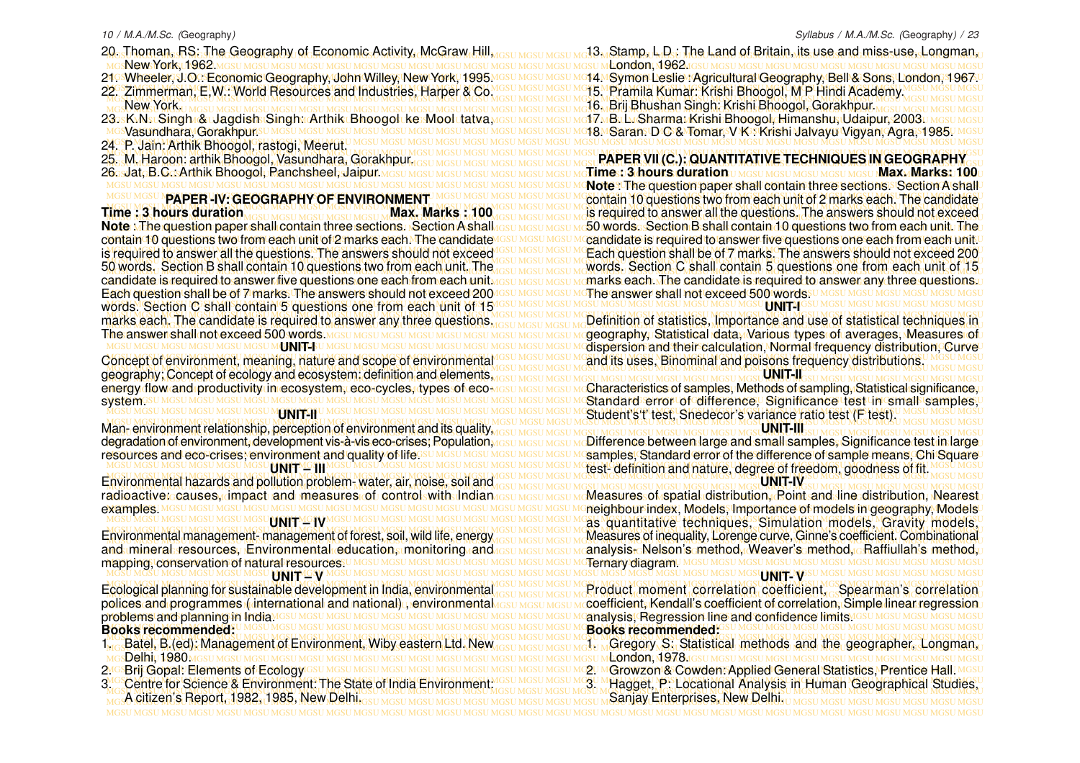- 20. Thoman, RS: The Geography of Economic Activity, McGraw Hill, <sub>GSU MGSU MGSU MG</sub>13. Stamp, L.D.; The Land of Britain, its use and miss-use, Longman,
- MGSU MGSU MGSU MGSU MGSU MGSU MGSU MGSU MGSU MGSU MGSU MGSU MGSU MGSU MGSU MGSU MGSU MGSU MGSU MGSU MGSU MGSU MGSU MGSU MGSU MGSU MGSU MGSU MGSU MGSU MGSU MGSU New York, 1962.
- <u>ৰ আheeler, J.O.: Economic Geography, John Willey, New York, 1995 MGsU MGsU MGsU Mo14 MSymon Leslie : Agricultural Geography, Bell & Sons, London, 1967 U</u> 21. Wheeler, J.O.: Economic Geography, John Willey, New York, 1995.
- MGSU MGSU MGSU MGSU MGSU MGSU MGSU MGSU MGSU MGSU MGSU MGSU MGSU MGSU MGSU MGSU MGSU MGSU MGSU MGSU MGSU MGSU MGSU MGSU MGSU MGSU MGSU MGSU MGSU MGSU MGSU MGSU New York.
- 
- SVasundhara, Gorakhpupsu mgsu mgsu mgsu mgsu mgsu mgsu mgsu
- MGSU MGSU MGSU MGSU MGSU MGSU MGSU MGSU MGSU MGSU MGSU MGSU MGSU MGSU MGSU MGSU MGSU MGSU MGSU MGSU MGSU MGSU MGSU MGSU MGSU MGSU MGSU MGSU MGSU MGSU MGSU MGSU 24. P. Jain: Arthik Bhoogol, rastogi, Meerut.
- 
- 26. Jat, B.C.: Arthik Bhoogol, Panchsheel, Jaipur.

## **PAPER -IV: GEOGRAPHY OF ENVIRONMENT**

MGSU MGSU MGSU MGSU MGSU MGSU MGSU MGSU MGSU MGSU MGSU MGSU MGSU MGSU MGSU MGSU MGSU MGSU MGSU MGSU MGSU MGSU MGSU MGSU MGSU MGSU MGSU MGSU MGSU MGSU MGSU MGSU words. Section C shall contain 5 questions one from each unit of 15 **Time : 3 hours duration Max. Max. Max. Marks : 100 Note** : The question paper shall contain three sections. Section A shall contain 10 questions two from each unit of 2 marks each. The candidate is required to answer all the questions. The answers should not exceed 50 words. Section B shall contain 10 questions two from each unit. The candidate is required to answer five questions one each from each unit. marks each. The candidate is required to answer any three questions. The answer shall not exceed 500 words.

### **UNIT-I**

MGSU MGSU MGSU MGSU MGSU MGSU MGSU MGSU MGSU MGSU MGSU MGSU MGSU MGSU MGSU MGSU MGSU MGSU MGSU MGSU MGSU MGSU MGSU MGSU MGSU MGSU MGSU MGSU MGSU MGSU MGSU MGSU geography; Concept of ecology and ecosystem: definition and elements, energy flow and productivity in ecosystem, eco-cycles, types of eco MGSU MGSU MGSU MCharacteristics of samples, Methods of sampling, Statistical significance,⊔ systemesu

### **UNIT-II**

MGSU MGSU MGSU MGSU MGSU MGSU MGSU MGSU MGSU MGSU MGSU MGSU MGSU MGSU MGSU MGSU MGSU MGSU MGSU MGSU MGSU MGSU MGSU MGSU MGSU MGSU MGSU MGSU MGSU MGSU MGSU MGSU Man- environment relationship, perception of environment and its quality, degradation of environment, development vis-à-vis eco-crises; Population, resources and eco-crises; environment and quality of lifess **UNIT MGSHI** 

#### MGSU MGSU MGSU MGSU MGSU MGSU MGSU MGSU MGSU MGSU MGSU MGSU MGSU MGSU MGSU MGSU MGSU MGSU MGSU MGSU MGSU MGSU MGSU MGSU MGSU MGSU MGSU MGSU MGSU MGSU MGSU MGSU MGSU MGSU MGSU MGSU MGSU MGSU MGSU MGSU MGSU MGSU MGSU MGSU MGSU MGSU MGSU MGSU MGSU MGSU MGSU MGSU MGSU MGSU MGSU MGSU MGSU MGSU MGSU MGSU MGSU MGSU MGSU MGSU Environmental hazards and pollution problem- water, air, noise, soil and radioactive: causes, impact and measures of controlswith Indian issumissum Measures of spatial distribution, Roint and Ine distribution, Nearest examples. UNNHTMGJ**V**MGSU MGSU MGSU

MGSU MGSU MGSU MGSU MGSU MGSU MGSU MGSU MGSU MGSU MGSU MGSU MGSU MGSU MGSU MGSU MGSU MGSU MGSU MGSU MGSU MGSU MGSU MGSU MGSU MGSU MGSU MGSU MGSU MGSU MGSU MGSU mapping, conservation of natural resources. MGSU MGSU MGSU MGSU MGSU MGSU MGSU MGSU MGSU MGSU MGSU MGSU MGSU MGSU MGSU MGSU MGSU MGSU MGSU MGSU MGSU MGSU MGSU MGSU MGSU MGSU MGSU MGSU MGSU MGSU MGSU MGSU Environmental management- management of forest, soil, wild life, energy and mineral resources, Environmental education, monitoring and **UNIT LGV** 

#### MGSU MGSU MGSU MGSU MGSU MGSU MGSU MGSU MGSU MGSU MGSU MGSU MGSU MGSU MGSU MGSU MGSU MGSU MGSU MGSU MGSU MGSU MGSU MGSU MGSU MGSU MGSU MGSU MGSU MGSU MGSU MGSU Ecological planning for sustainable development in India, environmental polices and programmes ( international and national) , environmental problems and planning in India. **Books recommended:**

- MGSU MGSU MGSU MGSU MGSU MGSU MGSU MGSU MGSU MGSU MGSU MGSU MGSU MGSU MGSU MGSU MGSU MGSU MGSU MGSU MGSU MGSU MGSU MGSU MGSU MGSU MGSU MGSU MGSU MGSU MGSU MGSU 1. Batel, B.(ed): Management of Environment, Wiby eastern Ltd. New
- Delhi, 1980.
- MGSU MGSU MGSU MGSU MGSU MGSU MGSU MGSU MGSU MGSU MGSU MGSU MGSU MGSU MGSU MGSU MGSU MGSU MGSU MGSU MGSU MGSU MGSU MGSU MGSU MGSU MGSU MGSU MGSU MGSU MGSU MGSU 2. Growzon & Cowden: Applied General Statistics, Prentice Hall. 2. Brij Gopal: Elements of Ecology
- MGSU MGSU MGSU MGSU MGSU MGSU MGSU MGSU MGSU MGSU MGSU MGSU MGSU MGSU MGSU MGSU MGSU MGSU MGSU MGSU MGSU MGSU MGSU MGSU MGSU MGSU MGSU MGSU MGSU MGSU MGSU MGSU 3<sup>16</sup> Centre for Science & Environment: The State of India Environment: ISSU MGSU MGSU MGSU MGSU MGGU P. Locational Analysis in Human Geographical Studies, MGSU MGSU MGSU MGSU MGSU MGSU MGSU MGSU MGSU MGSU MGSU MGSU MGSU MGSU MGSU MGSU MGSU MGSU MGSU MGSU MGSU MGSU MGSU MGSU MGSU MGSU MGSU MGSU MGSU MGSU MGSU MGSU A citizen's Report, 1982, 1985, New Delhi.

#### 22. Zimmerman, E,W.: World Resources and Industries, Harper & CoMGSUMGSUMGSUMGT5. Pramila Kumar: Krishi Bhoogol, M.P. Hindi Academy MGSUMGSUMGSUMGSU MGSU MGSU MGSU MGSU MGSU MGSU MGSU MGSU MGSU MGSU MGSU MGSU MGSU MGSU MGSU MGSU MGSU MGSU MGSU MGSU MGSU MGSU MGSU MGSU MGSU MGSU MGSU MGSU MGSU MGSU MGSU MGSU 16. Brij Bhushan Singh: Krishi Bhoogol, Gorakhpur. 23.sK.NstSingh@dagdish Singh:rArthik Bhoogol ke Mool tatva,yasu masu masu mg17.nBxLr.Sharma: Krishi Bhoogol,Himanshu,tUdaipur, 2003u masu masu mg MGSU MGSU MGSU MGSU MGSU MGSU MGSU MGSU MGSU MGSU MGSU MGSU MGSU MGSU MGSU MGSU MGSU MGSU MGSU MGSU MGSU MGSU MGSU MGSU MGSU MGSU MGSU MGSU MGSU MGSU MGSU MGSU 18. Saran. D C & Tomar, V K : Krishi Jalvayu Vigyan, Agra, 1985. 13. Stamp, L D : The Land of Britain, its use and miss-use, Longman, London, 1962. 15. Pramila Kumar: Krishi Bhoogol, M P Hindi Academy. 17. B. L. Sharma: Krishi Bhoogol, Himanshu, Udaipur, 2003.

MGSU MGSU MGSU MGSU MGSU MGSU MGSU MGSU MGSU MGSU MGSU MGSU MGSU MGSU MGSU MGSU MGSU MGSU MGSU MGSU MGSU MGSU MGSU MGSU MGSU MGSU MGSU MGSU MGSU MGSU MGSU MGSU MGSU MGSU MGSU MGSU MGSU MGSU MGSU MGSU MGSU MGSU MGSU MGSU MGSU MGSU MGSU MGSU MGSU MGSU MGSU MGSU MGSU MGSU MGSU MGSU MGSU MGSU MGSU MGSU MGSU MGSU MGSU MGSU 25. M. Haroon: arthik Bhoogol, Vasundhara, Gorakhpur. l6asJataB.CasArthik Bhoogol: Ranchsheel: Jaipur <u>mgsu mgsu mgsu mgsu mgsu mgsu mg</u>su mgtime: : 3 hours duration u mgsu mgsu mgsu mgsu mgsu **Max. Marks: 100**u MGSU MGSU MGSU MGSU MGSU MGSU MGSU MGSU MGSU MGSU MGSU MGSU MGSU MGSU MGSU MGSU MGSU MGSU MGSU MGSU MGSU MGSU MGSU MGSU MGSU MGSU MGSU MGSU MGSU MGSU MGSU MGSU **Note** : The question paper shall contain three sections. Section A shall MGSU MGSU **PAPER-IV: GEOGRAPHY OF ENVIRONMENT**U MGSU MGSU MGSU MGSU MGSU MC**contain 10 questions two from each unit of 2 marks each. The candidate** MGSU MGSU MGSU MGSU MGSU MGSU MGSU MGSU MGSU MGSU MGSU MGSU MGSU MGSU MGSU MGSU MGSU MGSU MGSU MGSU MGSU MGSU MGSU MGSU MGSU MGSU MGSU MGSU MGSU MGSU MGSU MGSU Time : 3 hours duration  $_{\rm AGN1MS1MS1MS1MS1MS1MS1MS1MS11}$  Max. Marks : 100 $_{\rm AGS1MS1MS1MS1MS1MS1}$  and this required to answer all the questions. The answers should not exceed lote ⊼The question paper shall contain three sections. Section A shall resu Mesu Mesu Mc50 words. Section B shall contain 10 questions two from each unit. The p ontain 10 questions two from each unit of 2 marks each. The candidate Issu MGSU MGSU MCandidate is required to answer five questions one each from each unit.∪ s required to answer all the questions. The answers should not exceed *IGSU MGSU MGSU MC* Each question shall be of 7 marks. The answers should not exceed 200 MGSU MGSU MGSU MGSU MGSU MGSU MGSU MGSU MGSU MGSU MGSU MGSU MGSU MGSU MGSU MGSU MGSU MGSU MGSU MGSU MGSU MGSU MGSU MGSU MGSU MGSU MGSU MGSU MGSU MGSU MGSU MGSU i0 words. Section B shall contain 10 questions two from each unit. The result mesure words. Section C shall contain 5 questions one from each unit of 15 andidate is required to answer five questions one each from each unit <u>MGSU MGSU MGSU M</u>CRIP Marks each. The candidate is required to answer any three questions u MGSU MGSU MGSU MGSU MGSU MGSU MGSU MGSU MGSU MGSU MGSU MGSU MGSU MGSU MGSU MGSU MGSU MGSU MGSU MGSU MGSU MGSU MGSU MGSU MGSU MGSU MGSU MGSU MGSU MGSU MGSU MGSU Each question shall be of 7 marks. The answers should not exceed 200 **PAPER VII (C.): QUANTITATIVE TECHNIQUES IN GEOGRAPHY** The answer shall not exceed 500 words. **UNITMG** 

MGSU MGSU MGSU MGSU MGSU MGSU MGSU MGSU MGSU MGSU MGSU MGSU MGSU MGSU MGSU MGSU MGSU MGSU MGSU MGSU MGSU MGSU MGSU MGSU MGSU MGSU MGSU MGSU MGSU MGSU MGSU MGSU MGSU MGSU MGSU MGSU MGSU MGSU MGSU MGSU MGSU MGSU MGSU MGSU MGSU MGSU MGSU MGSU MGSU MGSU MGSU MGSU MGSU MGSU MGSU MGSU MGSU MGSU MGSU MGSU MGSU MGSU MGSU MGSU Definition of statistics, Importance and use of statistical techniques in MGSU MGSU MGSU MGSU MGSU MGSU MGSU MGSU MGSU MGSU MGSU MGSU MGSU MGSU MGSU MGSU MGSU MGSU MGSU MGSU MGSU MGSU MGSU MGSU MGSU MGSU MGSU MGSU MGSU MGSU MGSU MGSU geography, Statistical data, Various types of averages, Measures of MGSU MGSU MGSU MGSU MGSU MGSU MGSU MGSU MGSU MGSU MGSU MGSU MGSU MGSU MGSU MGSU MGSU MGSU MGSU MGSU MGSU MGSU MGSU MGSU MGSU MGSU MGSU MGSU MGSU MGSU MGSU MGSU dispersion and their calculation, Normal frequency distribution, Curve MGSU MGSU MGSU MGSU MGSU MGSU MGSU MGSU MGSU MGSU MGSU MGSU MGSU MGSU MGSU MGSU MGSU MGSU MGSU MGSU MGSU MGSU MGSU MGSU MGSU MGSU MGSU MGSU MGSU MGSU MGSU MGSU Concept of environment, meaning, nature and scope of environmental MGSU MGSU MGSU MGSU MGSU MGSU MGSU MGSU MGSU MGSU MGSU MGSU MGSU MGSU MGSU MGSU MGSU MGSU MGSU MGSU MGSU MGSU MGSU MGSU MGSU MGSU MGSU MGSU MGSU MGSU MGSU MGSU and its uses, Binominal and poisons frequency distributions.

#### **UNIT-II**

MGSU MGSU MGSU MGSU MGSU MGSU MGSU MGSU MGSU MGSU MGSU MGSU MGSU MGSU MGSU MGSU MGSU MGSU MGSU MGSU MGSU MGSU MGSU MGSU MGSU MGSU MGSU MGSU MGSU MGSU MGSU MGSU Standard error of difference, Significance test in small samples, MGSU MGSU MGSU MGSU MGSU MGSU MGSU MGSU MGSU MGSU MGSU MGSU MGSU MGSU MGSU MGSU MGSU MGSU MGSU MGSU MGSU MGSU MGSU MGSU MGSU MGSU MGSU MGSU MGSU MGSU MGSU MGSU Student's't' test, Snedecor's variance ratio test (F test). MGSU MGSU MGSU MGSU MGSU MGSU MGSU MGSU MGSU MGSU MGSU MGSU MGSU MGSU MGSU MGSU MGSU MGSU MGSU MGSU MGSU MGSU MGSU MGSU MGSU MGSU MGSU MGSU MGSU MGSU MGSU MGSU Characteristics of samples, Methods of sampling, Statistical significance,

#### **UNIT-III**

legradation of environment, development vis-à-vis eco-crises; Ropulation,<u>vesu Mesu Mesu Mesu Mc</u>Difference between large and small samples, Significance test in large. esources and eco-crises; environment and quality of life?su MGSU MGSU MGSU MGSU MC**samples; Standard error of the difference of sample means, Chi Square** MGSU MGSU MGSU MGSU MGSU MGSU MGSU MGSU MGSU MGSU MGSU MGSU MGSU MGSU MGSU MGSU MGSU MGSU MGSU MGSU MGSU MGSU MGSU MGSU MGSU MGSU MGSU MGSU MGSU MGSU MGSU MGSU test- definition and nature, degree of freedom, goodness of fit.

### **UNIT-IV**

MGSU MGSU MGSU MGSU MGSU MGSU MGSU MGSU MGSU MGSU MGSU MGSU MGSU MGSU MGSU MGSU MGSU MGSU MGSU MGSU MGSU MGSU MGSU MGSU MGSU MGSU MGSU MGSU MGSU MGSU MGSU MGSU neighbour index, Models, Importance of models in geography, Models MGSU MGSU MGSU MGSU MGSU MGSU MGSU MGSU MGSU MGSU MGSU MGSU MGSU MGSU MGSU MGSU MGSU MGSU MGSU MGSU MGSU MGSU MGSU MGSU MGSU MGSU MGSU MGSU MGSU MGSU MGSU MGSU as quantitative techniques, Simulation models, Gravity models, MGSU MGSU MGSU MGSU MGSU MGSU MGSU MGSU MGSU MGSU MGSU MGSU MGSU MGSU MGSU MGSU MGSU MGSU MGSU MGSU MGSU MGSU MGSU MGSU MGSU MGSU MGSU MGSU MGSU MGSU MGSU MGSU Environmental management- management of forest, soil, wild life, energy result masu masure of inequality, Lorenge curve, Ginne's coefficient. Combinational md mineral resources,nEnvironmental reducation,സmonitoring rand resu Mesu Mcanalysis-Nelson's method,rMeaver's method,rGRaffiullah's method,u Measures of spatial distribution, Point and line distribution, Nearest Ternary diagram<sup>u</sup>

### **UNIT- V**

Ecological planning for sustainable development in India, environmental <sub>IGSU MGSU MGSU MGSU MG</sub>GU MG**u moment, correlation, coefficient, <sub>G</sub>Spearman's correlation** oolices and programmes ( international and national) , environmental resu mesu mesu m **coefficient, Kendall's coefficient of correlation, Simple linear regression** MGSU MGSU MGSU MGSU MGSU MGSU MGSU MGSU MGSU MGSU MGSU MGSU MGSU MGSU MGSU MGSU MGSU MGSU MGSU MGSU MGSU MGSU MGSU MGSU MGSU MGSU MGSU MGSU MGSU MGSU MGSU MGSU analysis, Regression line and confidence limits. MGSU MGSU MGSU MGSU MGSU MGSU MGSU MGSU MGSU MGSU MGSU MGSU MGSU MGSU MGSU MGSU MGSU MGSU MGSU MGSU MGSU MGSU MGSU MGSU MGSU MGSU MGSU MGSU MGSU MGSU MGSU MGSU **Books recommended:**

 $\rm_{AG}$ Batel, B.(ed): Management of Environment, Wiby eastern Ltd. New<sub>resu Mgsu Mgsu Mg</sub>1. Gregory S: Statistical methods and the geographer, Longman,

- MGSU MGSU MGSU MGSU MGSU MGSU MGSU MGSU MGSU MGSU MGSU MGSU MGSU MGSU MGSU MGSU MGSU MGSU MGSU MGSU MGSU MGSU MGSU MGSU MGSU MGSU MGSU MGSU MGSU MGSU MGSU MGSU London, 1978.
	- 3. Hagget, P: Locational Analysis in Human Geographical Studies,
	- Sanjay Enterprises, New Delhi.
		-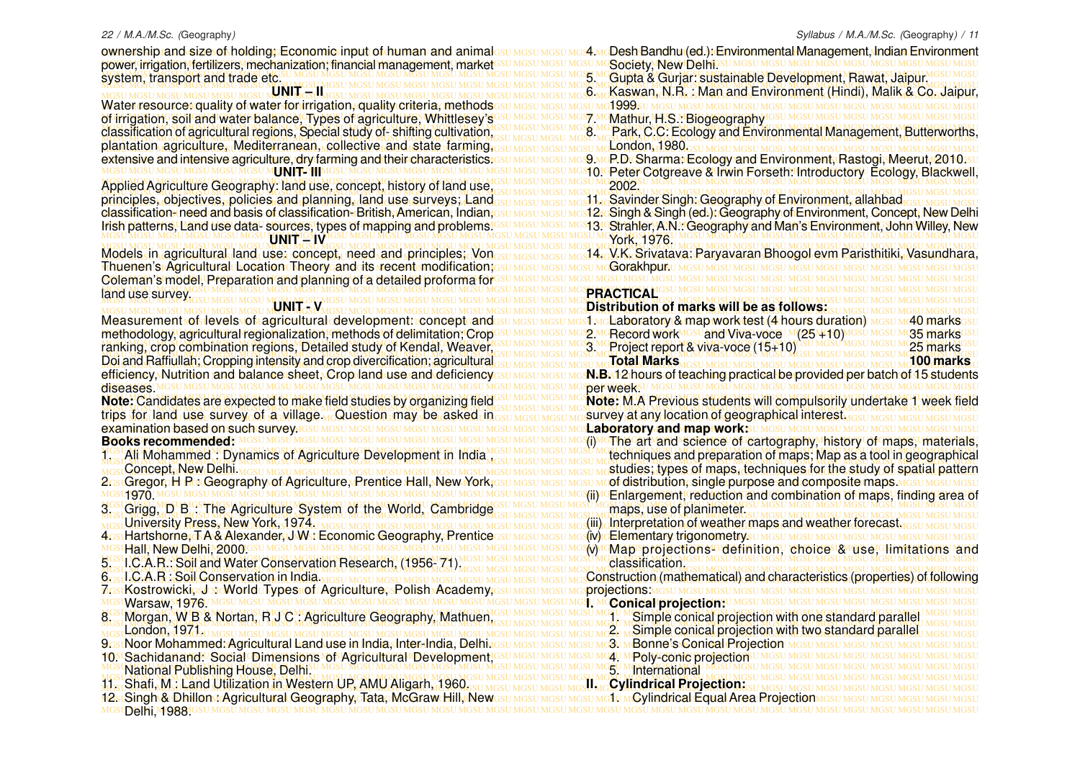ownership and size of holding; Economic input of human and animalssumssumssume AmoDesh Bandhu (ed.): Environmental Management, Indian Environment MGSU MGSU MGSU MGSU MGSU MGSU MGSU MGSU MGSU MGSU MGSU MGSU MGSU MGSU MGSU MGSU MGSU MGSU MGSU MGSU MGSU MGSU MGSU MGSU MGSU MGSU MGSU MGSU MGSU MGSU MGSU MGSU power, irrigation, fertilizers, mechanization; financial management, market MGSU MGSU MGSU MGSU MGSU MGSU MGSU MGSU MGSU MGSU MGSU MGSU MGSU MGSU MGSU MGSU MGSU MGSU MGSU MGSU MGSU MGSU MGSU MGSU MGSU MGSU MGSU MGSU MGSU MGSU MGSU MGSU system, transport and trade etc.

MGSU MGSU MGSU MGSU MGSU MGSU MGSU MGSU MGSU MGSU MGSU MGSU MGSU MGSU MGSU MGSU MGSU MGSU MGSU MGSU MGSU MGSU MGSU MGSU MGSU MGSU MGSU MGSU MGSU MGSU MGSU MGSU Water resource: quality of water for irrigation, quality criteria, methods MGSU MGSU MGSU MGSU MGSU MGSU MGSU MGSU MGSU MGSU MGSU MGSU MGSU MGSU MGSU MGSU MGSU MGSU MGSU MGSU MGSU MGSU MGSU MGSU MGSU MGSU MGSU MGSU MGSU MGSU MGSU MGSU of irrigation, soil and water balance, Types of agriculture, Whittlesey's classification of agricultural regions, Special study of-shifting cultivation, GSU MGSU MGSU MGS MC Park, C.C. Ecology and Environmental Management, Butterworths, MGSU MGSU MGSU MGSU MGSU MGSU MGSU MGSU MGSU MGSU MGSU MGSU MGSU MGSU MGSU MGSU MGSU MGSU MGSU MGSU MGSU MGSU MGSU MGSU MGSU MGSU MGSU MGSU MGSU MGSU MGSU MGSU MGSU MGSU MGSU MGSU MGSU MGSU MGSU MGSU MGSU MGSU MGSU MGSU MGSU MGSU MGSU MGSU MGSU MGSU MGSU MGSU MGSU MGSU MGSU MGSU MGSU MGSU MGSU MGSU MGSU MGSU MGSU MGSU plantation agriculture, Mediterranean, collective and state farming, extensive and intensive agriculture, dry farming and their characteristics i<u>gsu MGSU MGSU MGSU MGS</u> McR.Dr. Sharmar Ecology and Environment, Rastogi, Meerut, 2010.su **UNIT – II** classification of agricultural regions, Special study of- shifting cultivation, **MGSV INGSUM** 

MGSU MGSU MGSU MGSU MGSU MGSU MGSU MGSU MGSU MGSU MGSU MGSU MGSU MGSU MGSU MGSU MGSU MGSU MGSU MGSU MGSU MGSU MGSU MGSU MGSU MGSU MGSU MGSU MGSU MGSU MGSU MGSU MGSU MGSU MGSU MGSU MGSU MGSU MGSU MGSU MGSU MGSU MGSU MGSU MGSU MGSU MGSU MGSU MGSU MGSU MGSU MGSU MGSU MGSU MGSU MGSU MGSU MGSU MGSU MGSU MGSU MGSU MGSU MGSU Applied Agriculture Geography: land use, concept, history of land use, principles, objectives, policies and planning, land use surveys; Land<sub>GSU MGSU MGSU MGSU MGS</sub>11, Savinder Singh; Geography of Environment, allahbad GSU MGSU MGSU MGSU classification-meed and basis of classification-⊦British, American, Indian,Gsu MGsu MGs12reSingh & Singh (ed.)∴Geography of Environment, Concept, New Delhi Irish patterns, Land use data- sources, types of mapping and problems!GSU MGSU MGSU MGS13! Gtrahler, A.N.: Geography and Man's Environment, John Willey, New MGSU MGSU MGSU MGSU MGSU MGSU MGSU MGSU MGSU MGSU MGSU MGSU MGSU MGSU MGSU MGSU MGSU MGSU MGSU MGSU MGSU MGSU MGSU MGSU MGSU MGSU MGSU MGSU MGSU MGSU MGSU MGSU classification- need and basis of classification- British, American, Indian, Irish patterns, Land use data- sources, types of mapping and problems. **UNIT – IV**

MGSU MGSU MGSU MGSU MGSU MGSU MGSU MGSU MGSU MGSU MGSU MGSU MGSU MGSU MGSU MGSU MGSU MGSU MGSU MGSU MGSU MGSU MGSU MGSU MGSU MGSU MGSU MGSU MGSU MGSU MGSU MGSU Thuenen's Agricultural Location Theory and its recent modification; MGSU MGSU MGSU MGSU MGSU MGSU MGSU MGSU MGSU MGSU MGSU MGSU MGSU MGSU MGSU MGSU MGSU MGSU MGSU MGSU MGSU MGSU MGSU MGSU MGSU MGSU MGSU MGSU MGSU MGSU MGSU MGSU Coleman's model, Preparation and planning of a detailed proforma for MGSU MGSU MGSU MGSU MGSU MGSU MGSU MGSU MGSU MGSU MGSU MGSU MGSU MGSU MGSU MGSU MGSU MGSU MGSU MGSU MGSU MGSU MGSU MGSU MGSU MGSU MGSU MGSU MGSU MGSU MGSU MGSU land use survey.

**UNIT - V** 

MGSU MGSU MGSU MGSU MGSU MGSU MGSU MGSU MGSU MGSU MGSU MGSU MGSU MGSU MGSU MGSU MGSU MGSU MGSU MGSU MGSU MGSU MGSU MGSU MGSU MGSU MGSU MGSU MGSU MGSU MGSU MGSU ranking, crop combination regions, Detailed study of Kendal, Weaver, MGSU MGSU MGSU MGSU MGSU MGSU MGSU MGSU MGSU MGSU MGSU MGSU MGSU MGSU MGSU MGSU MGSU MGSU MGSU MGSU MGSU MGSU MGSU MGSU MGSU MGSU MGSU MGSU MGSU MGSU MGSU MGSU MGSU MGSU MGSU MGSU MGSU MGSU MGSU MGSU MGSU MGSU MGSU MGSU MGSU MGSU MGSU MGSU MGSU MGSU MGSU MGSU MGSU MGSU MGSU MGSU MGSU MGSU MGSU MGSU MGSU MGSU MGSU MGSU Doi and Raffiullah; Cropping intensity and crop divercification; agricultural efficiency, Nutrition and balance sheet, Crop land use and deficiency su Mesu Mesu Mos**N.B. 12 hours of teaching practical be provided per batch of 15 students** diseases.

Note: Candidates are expected to make field studies by organizing field SUMGSUMGSUMGSUM Note: M.A Previous students will compulsorily undertake 1 week field MGSU MGSU MGSU MGSU MGSU MGSU MGSU MGSU MGSU MGSU MGSU MGSU MGSU MGSU MGSU MGSU MGSU MGSU MGSU MGSU MGSU MGSU MGSU MGSU MGSU MGSU MGSU MGSU MGSU MGSU MGSU MGSU trips for land use survey of a village. Question may be asked in MGSU MGSU MGSU MGSU MGSU MGSU MGSU MGSU MGSU MGSU MGSU MGSU MGSU MGSU MGSU MGSU MGSU MGSU MGSU MGSU MGSU MGSU MGSU MGSU MGSU MGSU MGSU MGSU MGSU MGSU MGSU MGSU **Laboratory and map work: Note:** Candidates are expected to make field studies by organizing field examination based on such survey. **Books recommended:**

- MGSU MGSU MGSU MGSU MGSU MGSU MGSU MGSU MGSU MGSU MGSU MGSU MGSU MGSU MGSU MGSU MGSU MGSU MGSU MGSU MGSU MGSU MGSU MGSU MGSU MGSU MGSU MGSU MGSU MGSU MGSU MGSU 1. Ali Mohammed : Dynamics of Agriculture Development in India MGSU MGSU MGSU MGSU MGSU MGGU MG**ues and preparation of maps; Map as a tool in geographical** Concept, New Delhi.
- 
- **U1970**.M
- MGSU MGSU MGSU MGSU MGSU MGSU MGSU MGSU MGSU MGSU MGSU MGSU MGSU MGSU MGSU MGSU MGSU MGSU MGSU MGSU MGSU MGSU MGSU MGSU MGSU MGSU MGSU MGSU MGSU MGSU MGSU MGSU 3. Grigg, D B : The Agriculture System of the World, Cambridge MGSU MGSU MGSU MGSU MGSU MGSU MGSU MGSU MGSU MGSU MGSU MGSU MGSU MGSU MGSU MGSU MGSU MGSU MGSU MGSU MGSU MGSU MGSU MGSU MGSU MGSU MGSU MGSU MGSU MGSU MGSU MGSU MGSU MGSU MGSU MGSU MGSU MGSU MGSU MGSU MGSU MGSU MGSU MGSU MGSU MGSU MGSU MGSU MGSU MGSU MGSU MGSU MGSU MGSU MGSU MGSU MGSU MGSU MGSU MGSU MGSU MGSU MGSU MGSU (iii) Interpretation of weather maps and weather forecast. University Press, New York, 1974.
- MGSU MGSU MGSU MGSU MGSU MGSU MGSU MGSU MGSU MGSU MGSU MGSU MGSU MGSU MGSU MGSU MGSU MGSU MGSU MGSU MGSU MGSU MGSU MGSU MGSU MGSU MGSU MGSU MGSU MGSU MGSU MGSU (v) Map projections- definition, choice & use, limitations and 4. Hartshorne, T A & Alexander, J W : Economic Geography, Prentice Hall, New Delhi, 2000.
- 
- 6. I.C.A.R : Soil Conservation in India.
- MGSU MGSU MGSU MGSU MGSU MGSU MGSU MGSU MGSU MGSU MGSU MGSU MGSU MGSU MGSU MGSU MGSU MGSU MGSU MGSU MGSU MGSU MGSU MGSU MGSU MGSU MGSU MGSU MGSU MGSU MGSU MGSU 7. Kostrowicki, J : World Types of Agriculture, Polish Academy,
- MGSU MGSU MGSU MGSU MGSU MGSU MGSU MGSU MGSU MGSU MGSU MGSU MGSU MGSU MGSU MGSU MGSU MGSU MGSU MGSU MGSU MGSU MGSU MGSU MGSU MGSU MGSU MGSU MGSU MGSU MGSU MGSU 8. Morgan, W B & Nortan, R J C : Agriculture Geography, Mathuen, MGSU MGSU MGSU MGSU MGSU MGSU MGSU MGSU MGSU MGSU MGSU MGSU MGSU MGSU MGSU MGSU MGSU MGSU MGSU MGSU MGSU MGSU MGSU MGSU MGSU MGSU MGSU MGSU MGSU MGSU MGSU MGSU London, 1971.
- 
- MGSU MGSU MGSU MGSU MGSU MGSU MGSU MGSU MGSU MGSU MGSU MGSU MGSU MGSU MGSU MGSU MGSU MGSU MGSU MGSU MGSU MGSU MGSU MGSU MGSU MGSU MGSU MGSU MGSU MGSU MGSU MGSU 10. Sachidanand: Social Dimensions of Agricultural Development,
- 
- 
- MGSU MGSU MGSU MGSU MGSU MGSU MGSU MGSU MGSU MGSU MGSU MGSU MGSU MGSU MGSU MGSU MGSU MGSU MGSU MGSU MGSU MGSU MGSU MGSU MGSU MGSU MGSU MGSU MGSU MGSU MGSU MGSU 12. Singh & Dhillon : Agricultural Geography, Tata, McGraw Hill, New MGSU MGSU MGSU MGSU MGSU MGSU MGSU MGSU MGSU MGSU MGSU MGSU MGSU MGSU MGSU MGSU MGSU MGSU MGSU MGSU MGSU MGSU MGSU MGSU MGSU MGSU MGSU MGSU MGSU MGSU MGSU MGSU **Delhi, 1988.**

MGSU MGSU MGSU MGSU MGSU MGSU MGSU MGSU MGSU MGSU MGSU MGSU MGSU MGSU MGSU MGSU MGSU MGSU MGSU MGSU MGSU MGSU MGSU MGSU MGSU MGSU MGSU MGSU MGSU MGSU MGSU MGSU 5. Gupta & Gurjar: sustainable Development, Rawat, Jaipur. MGSU MGSU MGSU MGSU MGSU MGSU MGSU MGSU MGSU MGSU MGSU MGSU MGSU MGSU MGSU MGSU MGSU MGSU MGSU MGSU MGSU MGSU MGSU MGSU MGSU MGSU MGSU MGSU MGSU MGSU MGSU MGSU 6. Kaswan, N.R. : Man and Environment (Hindi), Malik & Co. Jaipur, MGSU MGSU MGSU MGSU MGSU MGSU MGSU MGSU MGSU MGSU MGSU MGSU MGSU MGSU MGSU MGSU MGSU MGSU MGSU MGSU MGSU MGSU MGSU MGSU MGSU MGSU MGSU MGSU MGSU MGSU MGSU MGSU 10. Peter Cotgreave & Irwin Forseth: Introductory Ecology, Blackwell, MGSU MGSU MGSU MGSU MGSU MGSU MGSU MGSU MGSU MGSU MGSU MGSU MGSU MGSU MGSU MGSU MGSU MGSU MGSU MGSU MGSU MGSU MGSU MGSU MGSU MGSU MGSU MGSU MGSU MGSU MGSU MGSU Models in agricultural land use: concept, need and principles; Von<sub>gsu MGSU MGSU MGSU MG</sub>14, V.K. Srivatava: Paryavaran Bhoogol evm Paristhitiki, Vasundhara, MGSU MGSU MGSU MGSU MGSU MGSU MGSU MGSU MGSU MGSU MGSU MGSU MGSU MGSU MGSU MGSU MGSU MGSU MGSU MGSU MGSU MGSU MGSU MGSU MGSU MGSU MGSU MGSU MGSU MGSU MGSU MGSU MGSU MGSU MGSU MGSU MGSU MGSU MGSU MGSU MGSU MGSU MGSU MGSU MGSU MGSU MGSU MGSU MGSU MGSU MGSU MGSU MGSU MGSU MGSU MGSU MGSU MGSU MGSU MGSU MGSU MGSU MGSU MGSU **Distribution of marks will be as follows:** MGSU MGSU MGSU MGSU MGSU MGSU MGSU MGSU MGSU MGSU MGSU MGSU MGSU MGSU MGSU MGSU MGSU MGSU MGSU MGSU MGSU MGSU MGSU MGSU MGSU MGSU MGSU MGSU MGSU MGSU MGSU MGSU Measurement of levels of agricultural development: concept and methodology, agricultural regionalization, methods of delimitation, Croposu MGSU MGSU MGS2 MCRecord workMGSU and Viva-voce M(25/410)MGSU MG35 marksGSU MGSU MGSU MGSU MGSU MGSU MGSU MGSU MGSU MGSU MGSU MGSU MGSU MGSU MGSU MGSU MGSU MGSU MGSU MGSU MGSU MGSU MGSU MGSU MGSU MGSU MGSU MGSU MGSU MGSU MGSU MGSU MGSU MGSU MGSU MGSU MGSU MGSU MGSU MGSU MGSU MGSU MGSU MGSU MGSU MGSU MGSU MGSU MGSU MGSU MGSU MGSU MGSU MGSU MGSU MGSU MGSU MGSU MGSU MGSU MGSU MGSU MGSU MGSU MGSU MGSU MGSU MGSU MGSU MGSU MGSU MGSU MGSU MGSU MGSU MGSU MGSU MGSU MGSU MGSU MGSU MGSU MGSU MGSU MGSU MGSU MGSU MGSU MGSU MGSU MGSU MGSU MGSU MGSU MGSU MGSU MGSU (i) The art and science of cartography, history of maps, materials, MGSU MGSU MGSU MGSU MGSU MGSU MGSU MGSU MGSU MGSU MGSU MGSU MGSU MGSU MGSU MGSU MGSU MGSU MGSU MGSU MGSU MGSU MGSU MGSU MGSU MGSU MGSU MGSU MGSU MGSU MGSU MGSU studies; types of maps, techniques for the study of spatial pattern 2ost**Gregor, H-ResGeography of Agriculture, Prentice Hall, New York, <u>esu Mesu Mesu Most M</u>oof <b>distribution, single purpose and composite maps** Mesu Mesu Mesu MGSU MGSU MGSU MGSU MGSU MGSU MGSU MGSU MGSU MGSU MGSU MGSU MGSU MGSU MGSU MGSU MGSU MGSU MGSU MGSU MGSU MGSU MGSU MGSU MGSU MGSU MGSU MGSU MGSU MGSU MGSU MGSU (ii) Enlargement, reduction and combination of maps, finding area of MGSU MGSU MGSU MGSU MGSU MGSU MGSU MGSU MGSU MGSU MGSU MGSU MGSU MGSU MGSU MGSU MGSU MGSU MGSU MGSU MGSU MGSU MGSU MGSU MGSU MGSU MGSU MGSU MGSU MGSU MGSU MGSU (iv) Elementary trigonometry. MGSU MGSU MGSU MGSU MGSU MGSU MGSU MGSU MGSU MGSU MGSU MGSU MGSU MGSU MGSU MGSU MGSU MGSU MGSU MGSU MGSU MGSU MGSU MGSU MGSU MGSU MGSU MGSU MGSU MGSU MGSU MGSU MGSU MGSU MGSU MGSU MGSU MGSU MGSU MGSU MGSU MGSU MGSU MGSU MGSU MGSU MGSU MGSU MGSU MGSU MGSU MGSU MGSU MGSU MGSU MGSU MGSU MGSU MGSU MGSU MGSU MGSU MGSU MGSU 5. I.C.A.R.: Soil and Water Conservation Research, (1956- 71). MGSU MGSU MGSU MGSU MGSU MGSU MGSU MGSU MGSU MGSU MGSU MGSU MGSU MGSU MGSU MGSU MGSU MGSU MGSU MGSU MGSU MGSU MGSU MGSU MGSU MGSU MGSU MGSU MGSU MGSU MGSU MGSU Construction (mathematical) and characteristics (properties) of following MGSU MGSU MGSU MGSU MGSU MGSU MGSU MGSU MGSU MGSU MGSU MGSU MGSU MGSU MGSU MGSU MGSU MGSU MGSU MGSU MGSU MGSU MGSU MGSU MGSU MGSU MGSU MGSU MGSU MGSU MGSU MGSU Warsaw, 1976. MGSU MGSU MGSU MGSU MGSU MGSU MGSU MGSU MGSU MGSU MGSU MGSU MGSU MGSU MGSU MGSU MGSU MGSU MGSU MGSU MGSU MGSU MGSU MGSU MGSU MGSU MGSU MGSU MGSU MGSU MGSU MGSU 2. Simple conical projection with two standard parallel MGSU MGSU MGSU MGSU MGSU MGSU MGSU MGSU MGSU MGSU MGSU MGSU MGSU MGSU MGSU MGSU MGSU MGSU MGSU MGSU MGSU MGSU MGSU MGSU MGSU MGSU MGSU MGSU MGSU MGSU MGSU MGSU 9. Noor Mohammed: Agricultural Land use in India, Inter-India, Delhi. MGSU MGSU MGSU MGSU MGSU MGSU MGSU MGSU MGSU MGSU MGSU MGSU MGSU MGSU MGSU MGSU MGSU MGSU MGSU MGSU MGSU MGSU MGSU MGSU MGSU MGSU MGSU MGSU MGSU MGSU MGSU MGSU National Publishing House, Delhi. MGSU MGSU MGSU MGSU MGSU MGSU MGSU MGSU MGSU MGSU MGSU MGSU MGSU MGSU MGSU MGSU MGSU MGSU MGSU MGSU MGSU MGSU MGSU MGSU MGSU MGSU MGSU MGSU MGSU MGSU MGSU MGSU MGSU MGSU MGSU MGSU MGSU MGSU MGSU MGSU MGSU MGSU MGSU MGSU MGSU MGSU MGSU MGSU MGSU MGSU MGSU MGSU MGSU MGSU MGSU MGSU MGSU MGSU MGSU MGSU MGSU MGSU MGSU MGSU 11. Shafi, M : Land Utilization in Western UP, AMU Aligarh, 1960. 4. Desh Bandhu (ed.): Environmental Management, Indian Environment **Society, New Delhi.** 1999.st 7 MGMathur, H.S.MBiogeography GS London, 1980. 9. P.D. Sharma: Ecology and Environment, Rastogi, Meerut, 2010. 2002. 11. Savinder Singh: Geography of Environment, allahbad York, 1976. 14. V.K. Srivatava: Paryavaran Bhoogol evm Paristhitiki, Vasundhara, **Gorakhpur. PRACTICAL** 1. Laboratory & map work test (4 hours duration) 40 marks 2. McRecord work IGSU and Viva-voce M(25 +10) IGSU MGSU MGSU M 35 marks<br>3. McProject report & Viva-voce (15+10) SSU MGSU MGSU MGSU M 25 marks 3. Project report & viva-voce (15+10) **Total Marks 100 marks N.B.** 12 hours of teaching practical be provided per batch of 15 students survey at any location of geographical interest. **IGSU MOSU MOSU MOSU** techniques and preparation of maps; Map as a tool in geographical of distribution, single purpose and composite maps MGSU MGSU MGSU maps, use of planimeter. classification. projections: **I<sup>U MC</sup>CONICAL Projection**:U MGSU MGSU MGSU MGSU MGSU 1. Simple conical projection with one standard parallel 30 M**Bonne's Conical Projection** MG **4. MPoly-conic projection** 5. International **II. Cylindrical Projection: 31. MCylindrical Equal Area Projection**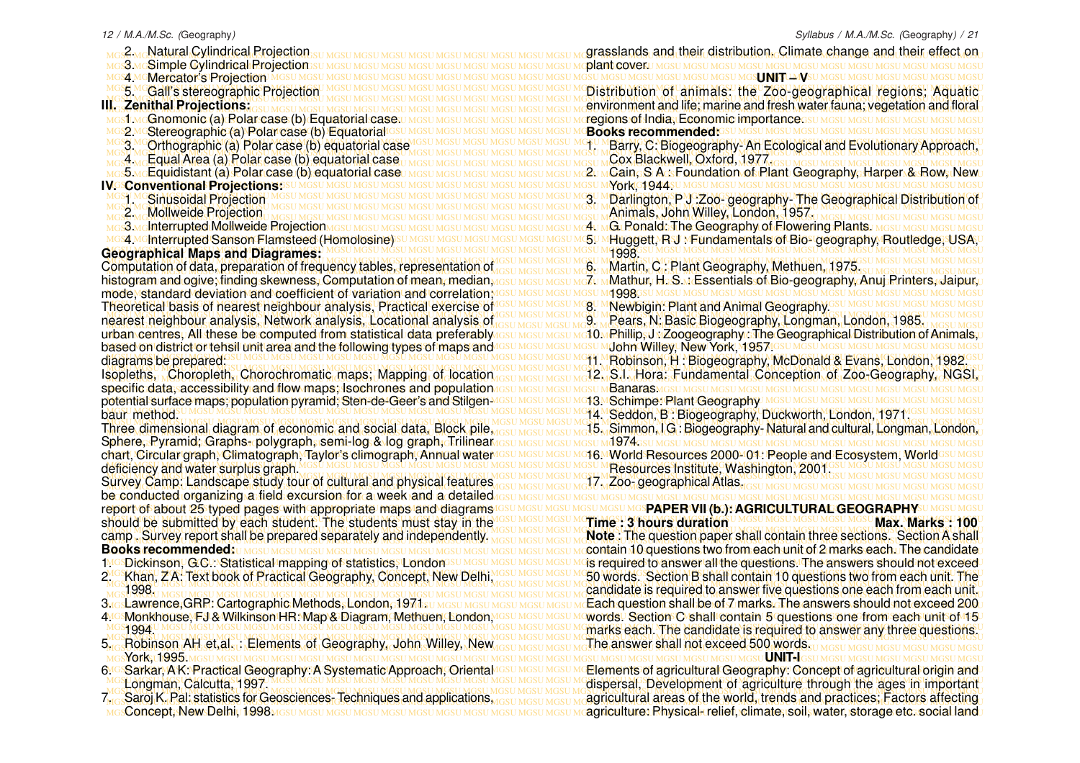| Natural Cylindrical Projection                                                                                                               | grasslands and their distribution. Climate change and their effect on                |
|----------------------------------------------------------------------------------------------------------------------------------------------|--------------------------------------------------------------------------------------|
| Simple Cylindrical Projection                                                                                                                | plant cover.                                                                         |
| <b>Mercator's Projection</b><br>MGSZI M(                                                                                                     | MGS J NG UMVSU MGSU MGSU MGSU                                                        |
| SH N<br><b>Gall's stereographic Projection</b>                                                                                               | Distribution of animals: the Zoo-geographical regions; Aquatic                       |
| III. Zenithal Projections:                                                                                                                   | environment and life; marine and fresh water fauna; vegetation and floral            |
| Gnomonic (a) Polar case (b) Equatorial case.                                                                                                 | regions of India, Economic importances u MGSU MGSU                                   |
| MGSQ N<br>Stereographic (a) Polar case (b) Equatorial <sup>ic</sup>                                                                          | <b>Books recommended: GSU MGSU MGSU MGSU MGSU MGSU MGSU N</b>                        |
| MGSU <sup>1</sup><br>Orthographic (a) Polar case (b) equatorial case                                                                         | Barry, C: Biogeography-An Ecological and Evolutionary Approach,                      |
| $\overline{A}$<br>Equal Area (a) Polar case (b) equatorial case                                                                              | Cox Blackwell, Oxford, 1977.                                                         |
| <b>Equidistant (a) Polar case (b) equatorial case</b><br>MGSU M                                                                              | Cain, S A: Foundation of Plant Geography, Harper & Row, New                          |
| <b>IVGSConventional Projectionss</b><br><b>Sinusoidal Projection</b>                                                                         | Darlington, P.J. Zoo-geography-The Geographical Distribution of                      |
| MGSLIMGSLIMGSLIMGSLIMGS                                                                                                                      | Animals, John Willey, London, 1957,                                                  |
| <b>Interrupted Mollweide Projection</b><br>MGSU N                                                                                            | <b>G</b> Ronald: The Geography of Flowering Plants.                                  |
| MGS4 McInterrupted Sanson Flamsteed (Homolosine)                                                                                             | Huggett, RSJ MFundamentals of Bio-Igeography, Routledge, USA,                        |
| <b>Geographical Maps and Diagrames:</b>                                                                                                      | 1998.                                                                                |
| Computation of data, preparation of frequency tables, representation of                                                                      | Martin, C: Plant Geography, Methuen, 1975.                                           |
| histogram and ogive; finding skewness, Computation of mean, median,                                                                          | Mathur, H. S. MEssentials of Bio-geography, Anuj Printers, Jaipur,                   |
| mode, standard deviation and coefficient of variation and correlation;                                                                       | <b>4998GSU</b><br>SU MGSU MGSU MGSU MGSU MGSU M                                      |
| Theoretical basis of nearest neighbour analysis, Practical exercise of                                                                       | Newbigin: Plant and Animal Geography.                                                |
| nearest neighbour analysis, Network analysis, Locational analysis of                                                                         | Pears, N. Basic Biogeography, Longman, London, 1985.                                 |
| urban centres, All these be computed from statistical data preferably                                                                        | <mark>:10.∧Phillip,J,vZoogeography.:The Geographical Distribution of Animals,</mark> |
| based on district or tehsil unit area and the following types of maps and                                                                    | John Willey, New York, M957 IGSU MGSU MGSU MGSU MGSU MGS                             |
| diagrams be prepared:                                                                                                                        | 11. Robinson, H: Biogeography, McDonald & Evans, London, 1982.                       |
| Isopleths, Choropleth, Chorochromatic maps; Mapping of location                                                                              | 12. S.I. Hora: Fundamental Conception of Zoo-Geography, NGSI,                        |
| specific data, accessibility and flow maps; Isochrones and population                                                                        | <b>Banaras</b> MGSU M                                                                |
| potential surface maps; population pyramid; Sten-de-Geer's and Stilgen-                                                                      | 313.MSchimpe: Plant Geography MGSU MGSU                                              |
| baur method.                                                                                                                                 | 14. Seddon, B: Biogeography, Duckworth, London, 1971.                                |
| Three dimensional diagram of economic and social data, Block pile,                                                                           | 15. Simmon, I.G.: Biogeography-Natural and cultural, Longman, London,<br>1974G       |
| Sphere, Pyramid, Graphs-polygraph, semi-log & log graph, Trilinear<br>chart, Circular graph, Climatograph, Taylor's climograph, Annual water | 16. World Resources 2000-01: People and Ecosystem, World                             |
| deficiency and water surplus graph.                                                                                                          | Resources Institute, Washington, 2001.                                               |
| Survey Camp: Landscape study tour of cultural and physical features                                                                          | 7. Zoo- geographical Atlas.                                                          |
| be conducted organizing a field excursion for a week and a detailed                                                                          |                                                                                      |
| report of about 25 typed pages with appropriate maps and diagrams                                                                            | SPAPER VII (b.): AGRICULTURAL GEOGRAPHY                                              |
| should be submitted by each student. The students must stay in the                                                                           | <b>Time: 3 hours duration</b><br>Max. Marks 100                                      |
| camp. Survey report shall be prepared separately and independently.                                                                          | Note: The question paper shall contain three sections. Section A shall               |
| <b>Books recommended:</b>                                                                                                                    | contain 10 questions two from each unit of 2 marks each. The candidate               |
| 1MGSDickinson, G.C. Statistical mapping of statistics, London                                                                                | is required to answer all the questions. The answers should not exceed               |
| 2. Khan, ZA: Text book of Practical Geography, Concept, New Delhi,                                                                           | 50 words. Section B shall contain 10 questions two from each unit. The               |
| 1998.                                                                                                                                        | candidate is required to answer five questions one each from each unit.              |
| 3.GsLawrence, GRR: Cartographic Methods, London, 1971st                                                                                      | Each question shall be of 7 marks. The answers should not exceed 200                 |
| 4.GSMonkhouse, FJ& Wilkinson HR: Map & Diagram, Methuen, London,                                                                             | words! Section C shall contain 5 questions one from each unit of 15                  |
| 1994.                                                                                                                                        | marks each. The candidate is required to answer any three questions.                 |
| 5. Robinson AH et, al. : Elements of Geography, John Willey, New                                                                             | The answer shall not exceed 500 words.                                               |
|                                                                                                                                              | GSU MGSU MGSU MGSU MGSU MGSU MGSU UNIT <del>.</del> IG                               |
| 6. GSSarkar, A.K.: Practical Geography: A Systematic Approach, Oriental                                                                      | Elements of agricultural Geography: Concept of agricultural origin and               |
| Longman, Calcutta, 1997.                                                                                                                     | dispersal, Development of agriculture through the ages in important                  |
| 7. Saroj K. Pal: statistics for Geosciences-Techniques and applications,                                                                     | agricultural areas of the world, trends and practices; Factors affecting             |
|                                                                                                                                              | agriculture: Physical-relief, climate, soil, water, storage etc. social land         |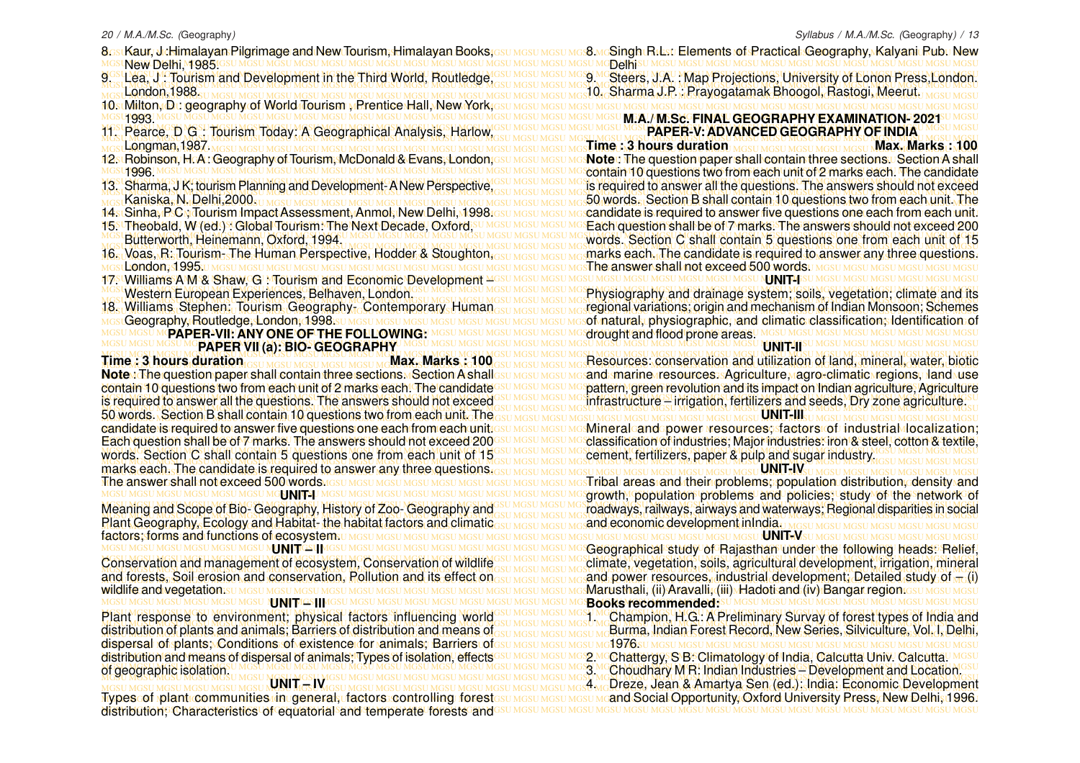8ostKaur, Jiddimalayan Pilgrimage and New Tourism, Himalayan Books;Gsu MGsu Mgsu Mg**s McSingh Ridsu Elements of Practical Geo**graphy, Kalyani Rubu New MGSU MGSU MGSU MGSU MGSU MGSU MGSU MGSU MGSU MGSU MGSU MGSU MGSU MGSU MGSU MGSU MGSU MGSU MGSU MGSU MGSU MGSU MGSU MGSU MGSU MGSU MGSU MGSU MGSU MGSU MGSU MGSU New Delhi, 1985.

- MGSU MGSU MGSU MGSU MGSU MGSU MGSU MGSU MGSU MGSU MGSU MGSU MGSU MGSU MGSU MGSU MGSU MGSU MGSU MGSU MGSU MGSU MGSU MGSU MGSU MGSU MGSU MGSU MGSU MGSU MGSU MGSU London,1988.
- 
- MGSU MGSU MGSU MGSU MGSU MGSU MGSU MGSU MGSU MGSU MGSU MGSU MGSU MGSU MGSU MGSU MGSU MGSU MGSU MGSU MGSU MGSU MGSU MGSU MGSU MGSU MGSU MGSU MGSU MGSU MGSU MGSU **M.A./ M.Sc. FINAL GEOGRAPHY EXAMINATION- 2021** 1993.
- 11. Pearce, D.G.: Tourism Today: A Geographical Analysis, Harlow GSU MGSU MGSU MGSU MGSU MGSU MGSU N**ADVANCED GEOGRAPHY OF INDIA**U MGSU MGSU MGSU Longman,1987.
- 12s:Robinson, H.A.:Geography of Tourism, McDonald & Evans, London,Gsu Mgsu Mgsu Mas**Note: The question paper shall contain three sections.** Section A shall 12. Robinson, H. A : Geography of Tourism, McDonald & Evans, London, 1996.
- 13. Sharma, J K, tourism Planning and Development-A New Perspective, GSU MGSU MGSU MGSU Required to answer all the questions. The answers should not exceed MGSU MGSU MGSU MGSU MGSU MGSU MGSU MGSU MGSU MGSU MGSU MGSU MGSU MGSU MGSU MGSU MGSU MGSU MGSU MGSU MGSU MGSU MGSU MGSU MGSU MGSU MGSU MGSU MGSU MGSU MGSU MGSU 13. Sharma, J K; tourism Planning and Development-A New Perspective, Kaniska, N. Delhi,2000.
- 14.stSinha, P.C.y Tourism Impact Assessment, Anmol, New Delhi, 1998.
- 15. Theobald, W (ed.) : Global Tourism: The Next Decade, Oxford, SU MGSU MGSU MGSU MG Each question shall be of 7 marks. The answers should not exceed 200 15. Theobald, W (ed.) : Global Tourism: The Next Decade, Oxford, Butterworth, Heinemann, Oxford, 1994.
- 16. Voas, R: Tourism, The Human Perspective, Hodder & Stoughton, GSU MGSU MGSU MG marks each, The candidate is required to answer any three questions. MGSU MGSU MGSU MGSU MGSU MGSU MGSU MGSU MGSU MGSU MGSU MGSU MGSU MGSU MGSU MGSU MGSU MGSU MGSU MGSU MGSU MGSU MGSU MGSU MGSU MGSU MGSU MGSU MGSU MGSU MGSU MGSU The answer shall not exceed 500 words. 16. Voas, R: Tourism- The Human Perspective, Hodder & Stoughton, r London, st 995.u
- MGSU MGSU MGSU MGSU MGSU MGSU MGSU MGSU MGSU MGSU MGSU MGSU MGSU MGSU MGSU MGSU MGSU MGSU MGSU MGSU MGSU MGSU MGSU MGSU MGSU MGSU MGSU MGSU MGSU MGSU MGSU MGSU 17. Williams A M & Shaw, G : Tourism and Economic Development Western European Experiences, Belhaven, London.
- 18. Williams Stephen: Tourism Geography. Contemporary Human<sub>GSU MGSU MGSU MGSU MG</sub>regional variations; origin and mechanism of Indian Monsoon; Schemes MGSU MGSU MGSU MGSU MGSU MGSU MGSU MGSU MGSU MGSU MGSU MGSU MGSU MGSU MGSU MGSU MGSU MGSU MGSU MGSU MGSU MGSU MGSU MGSU MGSU MGSU MGSU MGSU MGSU MGSU MGSU MGSU of natural, physiographic, and climatic classification; Identification of 18. Williams Stephen: Tourism Geography- Contemporary Human Geography, Routledge, London, 1998.

## MGSU MGSU MGSU MGSU MGSU MGSU MGSU MGSU MGSU MGSU MGSU MGSU MGSU MGSU MGSU MGSU MGSU MGSU MGSU MGSU MGSU MGSU MGSU MGSU MGSU MGSU MGSU MGSU MGSU MGSU MGSU MGSU **PAPER VII (a): BIO- GEOGRAPHY**

NoteyThe question paper shall contain three sections a Section A shallesu Mesu Mesand smarine aresources. sAgriculture, agro-climatic regions, dand Muse contain 10 questions two from each unit of 2 marks each! The candidate <sup>asu Masu Masu Ma</sup>pattern, green revolution and its impact on Indian agriculture, Agriculture is required to answer all the questions. The answers should not exceed GSU MGSU MGSU MGSU MG infrastructure – irrigation, fertilizers and seeds, Dry zone agriculture. MGSU MGSU MGSU MGSU MGSU MGSU MGSU MGSU MGSU MGSU MGSU MGSU MGSU MGSU MGSU MGSU MGSU MGSU MGSU MGSU MGSU MGSU MGSU MGSU MGSU MGSU MGSU MGSU MGSU MGSU MGSU MGSU MGSU MGSU MGSU MGSU MGSU MGSU MGSU MGSU MGSU MGSU MGSU MGSU MGSU MGSU MGSU MGSU MGSU MGSU MGSU MGSU MGSU MGSU MGSU MGSU MGSU MGSU MGSU MGSU MGSU MGSU MGSU MGSU 50 words. Section B shall contain 10 questions two from each unit. The candidate is required to answer five questions one each from each unit asy masumasum as Mineral and spower presources; sfactors rof: industrial docalization; Each question shall be of 7 marks. The answers should not exceed 2006su MGSU MGSU MGSGLISS inclusives; Major industries; Major industries: iron & steel, cotton & textile, MGSU MGSU MGSU MGSU MGSU MGSU MGSU MGSU MGSU MGSU MGSU MGSU MGSU MGSU MGSU MGSU MGSU MGSU MGSU MGSU MGSU MGSU MGSU MGSU MGSU MGSU MGSU MGSU MGSU MGSU MGSU MGSU words. Section C shall contain 5 questions one from each unit of 15 MGSU MGSU MGSU MGSU MGSU MGSU MGSU MGSU MGSU MGSU MGSU MGSU MGSU MGSU MGSU MGSU MGSU MGSU MGSU MGSU MGSU MGSU MGSU MGSU MGSU MGSU MGSU MGSU MGSU MGSU MGSU MGSU MGSU MGSU MGSU MGSU MGSU MGSU MGSU MGSU MGSU MGSU MGSU MGSU MGSU MGSU MGSU MGSU MGSU MGSU MGSU MGSU MGSU MGSU MGSU MGSU MGSU MGSU MGSU MGSU MGSU MGSU MGSU MGSU marks each. The candidate is required to answer any three questions. MGSU MGSU MGSU MGSU MGSU MGSU MGSU MGSU MGSU MGSU MGSU MGSU MGSU MGSU MGSU MGSU MGSU MGSU MGSU MGSU MGSU MGSU MGSU MGSU MGSU MGSU MGSU MGSU MGSU MGSU MGSU MGSU Tribal areas and their problems; population distribution, density and **Time : 3 hours duration** Maximaggings Max. Marks : 100 Each question shall be of 7 marks. The answers should not exceed 200 The answer shall not exceed 500 words as unos **MGHNITSU** 

Meaning and Scope of Bio-Geography, History of Zoo-Geography and GSUMGSUMGSUMG roadways, railways, airways and waterways; Regional disparities in social MGSU MGSU MGSU MGSU MGSU MGSU MGSU MGSU MGSU MGSU MGSU MGSU MGSU MGSU MGSU MGSU MGSU MGSU MGSU MGSU MGSU MGSU MGSU MGSU MGSU MGSU MGSU MGSU MGSU MGSU MGSU MGSU MGSU MGSU MGSU MGSU MGSU MGSU MGSU MGSU MGSU MGSU MGSU MGSU MGSU MGSU MGSU MGSU MGSU MGSU MGSU MGSU MGSU MGSU MGSU MGSU MGSU MGSU MGSU MGSU MGSU MGSU MGSU MGSU Plant Geography, Ecology and Habitat- the habitat factors and climatic MGSU MGSU MGSU MGSU MGSU MGSU MGSU MGSU MGSU MGSU MGSU MGSU MGSU MGSU MGSU MGSU MGSU MGSU MGSU MGSU MGSU MGSU MGSU MGSU MGSU MGSU MGSU MGSU MGSU MGSU MGSU MGSU factors; forms and functions of ecosystem. Meaning and Scope of Bio- Geography, History of Zoo- Geography and MGSU MGSU MGSU MGSU MGSU MGSU N**JN TIGSU** MGSU MGSU MGSU MGSU MGSU MGSU I

Conservation and management of ecosystem, Conservation of wildlife<sup>GSU MGSU MGSU MG</sup>Climate, vegetation, soils, agricultural development, irrigation, mineral MGSU MGSU MGSU MGSU MGSU MGSU MGSU MGSU MGSU MGSU MGSU MGSU MGSU MGSU MGSU MGSU MGSU MGSU MGSU MGSU MGSU MGSU MGSU MGSU MGSU MGSU MGSU MGSU MGSU MGSU MGSU MGSU and forests. Soil erosion and conservation, Pollution and its effect on submasulate and power resources, industrial development; Detailed study of  $\pi$  (i) MGSU MGSU MGSU MGSU MGSU MGSU MGSU MGSU MGSU MGSU MGSU MGSU MGSU MGSU MGSU MGSU MGSU MGSU MGSU MGSU MGSU MGSU MGSU MGSU MGSU MGSU MGSU MGSU MGSU MGSU MGSU MGSU Marusthali, (ii) Aravalli, (iii) Hadoti and (iv) Bangar region. wildlife and vegetation.

Plant response to environment; physical factors influencing world GSU MGSU MGSU MGSI MCChampion, H.G.: A Preliminary Survay of forest types of India and MGSU MGSU MGSU MGSU MGSU MGSU MGSU MGSU MGSU MGSU MGSU MGSU MGSU MGSU MGSU MGSU MGSU MGSU MGSU MGSU MGSU MGSU MGSU MGSU MGSU MGSU MGSU MGSU MGSU MGSU MGSU MGSU distribution of plants and animals; Barriers of distribution and means of<sub>osu MGSU MGSU MGSU MGSU MG</sub>Burma, Indian Forest Record, New Series, Silviculture, Vol. 1, Delhi, MGSU MGSU MGSU MGSU MGSU MGSU MGSU MGSU MGSU MGSU MGSU MGSU MGSU MGSU MGSU MGSU MGSU MGSU MGSU MGSU MGSU MGSU MGSU MGSU MGSU MGSU MGSU MGSU MGSU MGSU MGSU MGSU dispersal of plants; Conditions of existence for animals; Barriers of distribution and means of dispersal of animals; Types of isolation, effects <sup>asu Masu Masu Ma</sup>su Masu Masu Mattergy, S<sup>.</sup>B.: Climatology of India, Calcutta Univ. Calcutta! Masu MGSU MGSU MGSU MGSU MGSU MGSU MGSU MGSU MGSU MGSU MGSU MGSU MGSU MGSU MGSU MGSU MGSU MGSU MGSU MGSU MGSU MGSU MGSU MGSU MGSU MGSU MGSU MGSU MGSU MGSU MGSU MGSU MGSU MGSU MGSU MGSU MGSU MGSU MGSU MGSU MGSU MGSU MGSU MGSU MGSU MGSU MGSU MGSU MGSU MGSU MGSU MGSU MGSU MGSU MGSU MGSU MGSU MGSU MGSU MGSU MGSU MGSU MGSU MGSU 3. Choudhary M R: Indian Industries – Development and Location. Plant response to environment; physical factors influencing world of geographic isolation.

Types of plant communities rinageneral, afactors: controlling: forestesu Mesu Mesu Mesu Meand Social Opportunity, Oxford University Press, New Delhi, 1996. MGSU MGSU MGSU MGSU MGSU MGSU MGSU MGSU MGSU MGSU MGSU MGSU MGSU MGSU MGSU MGSU MGSU MGSU MGSU MGSU MGSU MGSU MGSU MGSU MGSU MGSU MGSU MGSU MGSU MGSU MGSU MGSU distribution; Characteristics of equatorial and temperate forests and**UNIT – IV**

9. Lea. J. Tourism and Development in the Third World, Routledge, GRI MGSU MGSU MGS MCSteers, J.A. : Map Projections, University of Lonon Press, London. MGSU MGSU MGSU MGSU MGSU MGSU MGSU MGSU MGSU MGSU MGSU MGSU MGSU MGSU MGSU MGSU MGSU MGSU MGSU MGSU MGSU MGSU MGSU MGSU MGSU MGSU MGSU MGSU MGSU MGSU MGSU MGSU 10. Sharma J.P. : Prayogatamak Bhoogol, Rastogi, Meerut. MGSU MGSU MGSU MGSU MGSU MGSU MGSU MGSU MGSU MGSU MGSU MGSU MGSU MGSU MGSU MGSU MGSU MGSU MGSU MGSU MGSU MGSU MGSU MGSU MGSU MGSU MGSU MGSU MGSU MGSU MGSU MGSU 10. Milton, D : geography of World Tourism , Prentice Hall, New York, Ghakist 9. Steers, J.A. : Map Projections, University of Lonon Press,London.

8. McSingh Ricsu Elements of Practical Geography, Kalyani Rubu New

MGSU MGSU MGSU MGSU MGSU MGSU MGSU MGSU MGSU MGSU MGSU MGSU MGSU MGSU MGSU MGSU MGSU MGSU MGSU MGSU MGSU MGSU MGSU MGSU MGSU MGSU MGSU MGSU MGSU MGSU MGSU MGSU **PAPER-V: ADVANCED GEOGRAPHY OF INDIA**

MGSU MGSU MGSU MGSU MGSU MGSU MGSU MGSU MGSU MGSU MGSU MGSU MGSU MGSU MGSU MGSU MGSU MGSU MGSU MGSU MGSU MGSU MGSU MGSU MGSU MGSU MGSU MGSU MGSU MGSU MGSU MGSU MGSU MGSU MGSU MGSU MGSU MGSU MGSU MGSU MGSU MGSU MGSU MGSU MGSU MGSU MGSU MGSU MGSU MGSU MGSU MGSU MGSU MGSU MGSU MGSU MGSU MGSU MGSU MGSU MGSU MGSU MGSU MGSU contain 10 questions two from each unit of 2 marks each. The candidate MGSU MGSU MGSU MGSU MGSU MGSU MGSU MGSU MGSU MGSU MGSU MGSU MGSU MGSU MGSU MGSU MGSU MGSU MGSU MGSU MGSU MGSU MGSU MGSU MGSU MGSU MGSU MGSU MGSU MGSU MGSU MGSU 50 words. Section B shall contain 10 questions two from each unit. The 14s Sinha, P.C പ്രവേദന Impact Assessment, Anmol, New Delhi, 1998 ദേശ MGSU MGSU Mascandidate is required to answer five questions one each from each unit. MGSU MGSU MGSU MGSU MGSU MGSU MGSU MGSU MGSU MGSU MGSU MGSU MGSU MGSU MGSU MGSU MGSU MGSU MGSU MGSU MGSU MGSU MGSU MGSU MGSU MGSU MGSU MGSU MGSU MGSU MGSU MGSU words. Section C shall contain 5 questions one from each unit of 15 MGSU MGSU MGSU MGSU MGSU MGSU MGSU MGSU MGSU MGSU MGSU MGSU MGSU MGSU MGSU MGSU MGSU MGSU MGSU MGSU MGSU MGSU MGSU MGSU MGSU MGSU MGSU MGSU MGSU MGSU MGSU MGSU **Time : 3 hours duration Max. Max. Max. Max. Marks : 100 MGNIT46SU** 

MGSL Western European Experiences, Belhaven, London, SUMGSUMGSUMGSUMGSUMGSUMG Physiography and drainage system; soils, vegetation; climate and its MGSU MGSU MGSU MGSU MGSU MGSU MGSU MGSU MGSU MGSU MGSU MGSU MGSU MGSU MGSU MGSU MGSU MGSU MGSU MGSU MGSU MGSU MGSU MGSU MGSU MGSU MGSU MGSU MGSU MGSU MGSU MGSU MGSU MGSU MGSU MGSU MGSU MGSU MGSU MGSU MGSU MGSU MGSU MGSU MGSU MGSU MGSU MGSU MGSU MGSU MGSU MGSU MGSU MGSU MGSU MGSU MGSU MGSU MGSU MGSU MGSU MGSU MGSU MGSU **PAPER-VII: ANY ONE OF THE FOLLOWING:** drought and flood prone areas. **UNIT-II**

MGSU MGSU MGSU MGSU MGSU MGSU MGSU MGSU MGSU MGSU MGSU MGSU MGSU MGSU MGSU MGSU MGSU MGSU MGSU MGSU MGSU MGSU MGSU MGSU MGSU MGSU MGSU MGSU MGSU MGSU MGSU MGSU Time: 3 hours duration Gsu MGSU MGSU MGSU MGSU MG**Max. Marks:** 100 GSU MGSU MGSU MGSU MG**SPesources: conservation and utilization of land, mineral, water, biotic** and marine resources. Agriculture nagro-climatic regions, land use pattern, green revolution and its impact on Indian agriculture, Agriculture infrastructure – irrigation, fertilizers and seeds, Dry zone agriculture.

**UNIT-III** Mineral and power resources; factors of industrial localization; cement, fertilizers, paper & pulp and sugar industry.

### **UNIT-IV**

MGSU MGSU MGSU MGSU MGSU MGSU MGSU MGSU MGSU MGSU MGSU MGSU MGSU MGSU MGSU MGSU MGSU MGSU MGSU MGSU MGSU MGSU MGSU MGSU MGSU MGSU MGSU MGSU MGSU MGSU MGSU MGSU growth, population problems and policies; study of the network of and economic development inIndia.

MGSU MGSU MGSU MGSU MGSU MGSU MGSU MGSU MGSU MGSU MGSU MGSU MGSU MGSU MGSU MGSU MGSU MGSU MGSU MGSU MGSU MGSU MGSU MGSU MGSU MGSU MGSU MGSU MGSU MGSU MGSU MGSU Geographical study of Rajasthan under the following heads: Relief, MGSU MGSU MGSU MGSU MGSU MGSU MGSU MGSU MGSU MGSU MGSU MGSU MGSU MGSU MGSU MGSU MGSU MGSU MGSU MGSU MGSU MGSU MGSU MGSU MGSU MGSU MGSU MGSU MGSU MGSU MGSU MGSU **UNIT – III** U MGSU MGSU MGSU MGSU MGSU MGSU M**JI IM**SU MGSU MGSU MG climate, vegetation, soils, agricultural development, irrigation, mineral and power resources, industrial development; Detailed study of  $-$  (i) **Books recommended:**

Burma, Indian Forest Record, New Series, Silviculture, Vol. I, Delhi, 1976.

2.MCChattergy, S B: Climatology of India, Calcutta Univ. Calcutta.

MGSU MGSU MGSU MGSU MGSU MGSU MGSU MGSU MGSU MGSU MGSU MGSU MGSU MGSU MGSU MGSU MGSU MGSU MGSU MGSU MGSU MGSU MGSU MGSU MGSU MGSU MGSU MGSU MGSU MGSU MGSU MGSU 4. Dreze, Jean & Amartya Sen (ed.): India: Economic Development and Social Opportunity, Oxford University Press, New Delhi, 1996.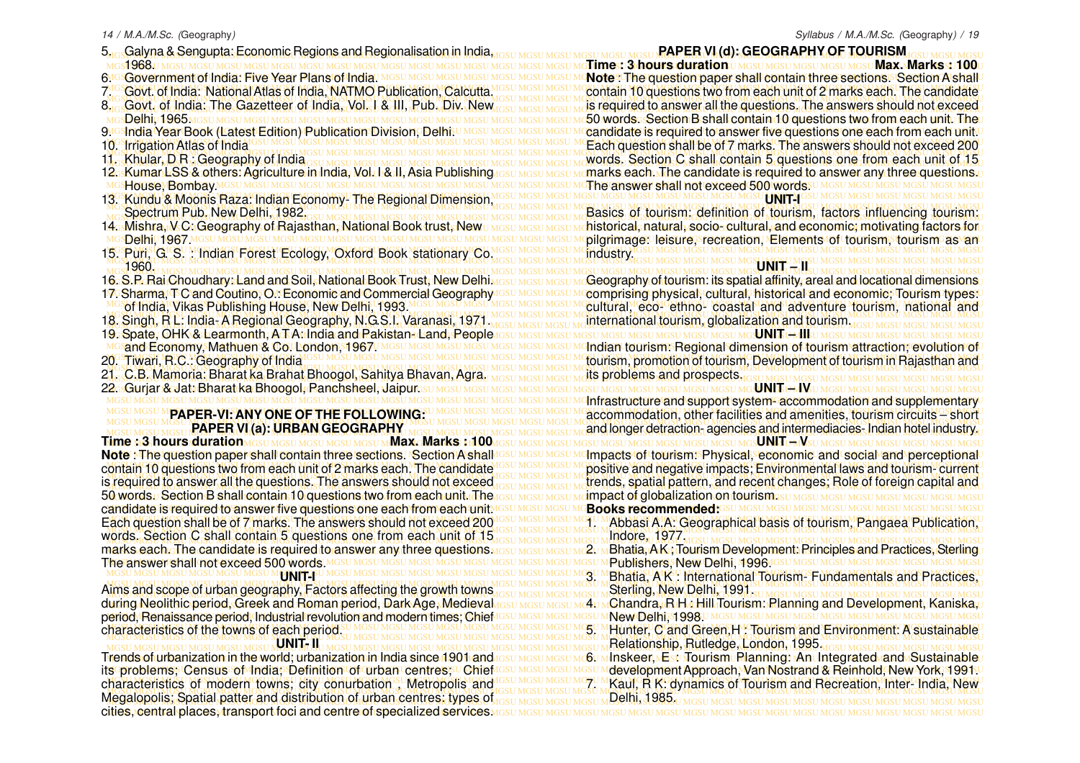- 5.<sub>108</sub>Galyna & Sengupta: Economic Regions and Regionalisation in India, asu Mesu Mesu Mesu Mesu RAPER **VI (d): GEOGRAPHY OF TOURISM** asu Mesu Mesu Mesu 1968.
- 6.<sup>res</sup>Government of India: Five Year Plans of India.
- 
- 
- Delhi, 1965.
- 9. India Year Book (Latest Edition) Publication Division, Delhi.
- 10<sup>GS</sup>Irrigation Atlas of India<sup>10</sup>
- 11. Khular, D R : Geography of India
- 12. Kumar LSS & others: Agriculture in India, Vol. I & II, Asia Publishing
- MGSU MGSU MGSU MGSU MGSU MGSU MGSU MGSU MGSU MGSU MGSU MGSU MGSU MGSU MGSU MGSU MGSU MGSU MGSU MGSU MGSU MGSU MGSU MGSU MGSU MGSU MGSU MGSU MGSU MGSU MGSU MGSU 13. Kundu & Moonis Raza: Indian Economy- The Regional Dimension, House, Bombay.
- 
- 14. Mishra, V C: Geography of Rajasthan, National Book trust, New
- MGSU MGSU MGSU MGSU MGSU MGSU MGSU MGSU MGSU MGSU MGSU MGSU MGSU MGSU MGSU MGSU MGSU MGSU MGSU MGSU MGSU MGSU MGSU MGSU MGSU MGSU MGSU MGSU MGSU MGSU MGSU MGSU Delhi, 1967.
- 1960.
- 16. S.P. Rai Choudhary: Land and Soil, National Book Trust, New Delhi. 17. Sharma, T C and Coutino, O.: Economic and Commercial Geography
- of India, Vikas Publishing House, New Delhi, 1993.
- 18. Singh, R L: India-A Regional Geography, N.G.S.I. Varanasi, 1971.
- MGSU MGSU MGSU MGSU MGSU MGSU MGSU MGSU MGSU MGSU MGSU MGSU MGSU MGSU MGSU MGSU MGSU MGSU MGSU MGSU MGSU MGSU MGSU MGSU MGSU MGSU MGSU MGSU MGSU MGSU MGSU MGSU 19. S pate, OHK & Learmonth, A T A: India and Pakistan- Land, People sand Economy, Mathuen & Co. London, 1967. MIGSU MIGSU MIGSU
- 20. Tiwari, R.C.: Geography of India
- 
- MGSU MGSU MGSU MGSU MGSU MGSU MGSU MGSU MGSU MGSU MGSU MGSU MGSU MGSU MGSU MGSU MGSU MGSU MGSU MGSU MGSU MGSU MGSU MGSU MGSU MGSU MGSU MGSU MGSU MGSU MGSU MGSU 22. Gurjar & Jat: Bharat ka Bhoogol, Panchsheel, Jaipur.

#### **PAPER-VI: ANY ONE OF THE FOLLOWING: PAPER VI (a): URBAN GEOGRAPHY**

ontain 10 questions two from each unit of 2 marks each. The candidate IGSU MGSU MGSU MC positive and negative impacts; Environmental laws and tourism-current MGSU MGSU MGSU MGSU MGSU MGSU MGSU MGSU MGSU MGSU MGSU MGSU MGSU MGSU MGSU MGSU MGSU MGSU MGSU MGSU MGSU MGSU MGSU MGSU MGSU MGSU MGSU MGSU MGSU MGSU MGSU MGSU 50 words. Section B shall contain 10 questions two from each unit. The assumesum asum dimpact of globalization on tourism.su mesumesumesumesumesumesumesumesum MGSU MGSU MGSU MGSU MGSU MGSU MGSU MGSU MGSU MGSU MGSU MGSU MGSU MGSU MGSU MGSU MGSU MGSU MGSU MGSU MGSU MGSU MGSU MGSU MGSU MGSU MGSU MGSU MGSU MGSU MGSU MGSU candidate is required to answer five questions one each from each unit. Each question shall be of 7 marks. The answers should not exceed 200 IGSU MGSU MGSU MC1. MAbbasi A.A. Geographical basis of tourism, Pangaea Publication, MGSU MGSU MGSU MGSU MGSU MGSU MGSU MGSU MGSU MGSU MGSU MGSU MGSU MGSU MGSU MGSU MGSU MGSU MGSU MGSU MGSU MGSU MGSU MGSU MGSU MGSU MGSU MGSU MGSU MGSU MGSU MGSU MGSU MGSU MGSU MGSU MGSU MGSU MGSU MGSU MGSU MGSU MGSU MGSU MGSU MGSU MGSU MGSU MGSU MGSU MGSU MGSU MGSU MGSU MGSU MGSU MGSU MGSU MGSU MGSU MGSU MGSU MGSU MGSU words. Section C shall contain 5 questions one from each unit of 15 narks each. The candidate is required to answer any three questions <u>MGSU MGSU MGSU MC2U **NBhatia, AK, Tourism** Development. Principles and Practices, Sterling</u> MGSU MGSU MGSU MGSU MGSU MGSU MGSU MGSU MGSU MGSU MGSU MGSU MGSU MGSU MGSU MGSU MGSU MGSU MGSU MGSU MGSU MGSU MGSU MGSU MGSU MGSU MGSU MGSU MGSU MGSU MGSU MGSU Publishers, New Delhi, 1996. **Time : 3 hours duration MGSU MGSU MGSU MGSU MGSU MAX. Marks : 1100 Note** : The question paper shall contain three sections. Section A shall contain 10 questions two from each unit of 2 marks each. The candidate marks each. The candidate is required to answer any three questions. The answer shall not exceed 500 words.

#### **UNIT-I**

MGSU MGSU MGSU MGSU MGSU MGSU MGSU MGSU MGSU MGSU MGSU MGSU MGSU MGSU MGSU MGSU MGSU MGSU MGSU MGSU MGSU MGSU MGSU MGSU MGSU MGSU MGSU MGSU MGSU MGSU MGSU MGSU Aims and scope of urban geography, Factors affecting the growth towns luring Neolithic period, Greek and Roman period, Dark Age, Medieval resu Mesu Mesu Metu MChandra, R H. Hill Tourism: Rlanning and Development, Kaniska,u MGSU MGSU MGSU MGSU MGSU MGSU MGSU MGSU MGSU MGSU MGSU MGSU MGSU MGSU MGSU MGSU MGSU MGSU MGSU MGSU MGSU MGSU MGSU MGSU MGSU MGSU MGSU MGSU MGSU MGSU MGSU MGSU period, Renaissance period, Industrial revolution and modern times; Chief MGSU MGSU MGSU MGSU MGSU MGSU MGSU MGSU MGSU MGSU MGSU MGSU MGSU MGSU MGSU MGSU MGSU MGSU MGSU MGSU MGSU MGSU MGSU MGSU MGSU MGSU MGSU MGSU MGSU MGSU MGSU MGSU during Neolithic period, Greek and Roman period, Dark Age, Medieval characteristics of the towns of each period.

#### **UNIT- II**

Trends of urbanization in the world; urbanization in India since 1901 and result assumes unc6um Inskeer, MEstr Tourismu Planning: An Untegrated and Sustainable. itsাproblems; Census of India; Definition of urban centres; ∪ Chief Issu Mssu Masu Mesu Mdevelopment Approach, Van Nostrand & Reinhold, New York, 1991 ⊍ MGSU MGSU MGSU MGSU MGSU MGSU MGSU MGSU MGSU MGSU MGSU MGSU MGSU MGSU MGSU MGSU MGSU MGSU MGSU MGSU MGSU MGSU MGSU MGSU MGSU MGSU MGSU MGSU MGSU MGSU MGSU MGSU characteristics of modern towns; city conurbation, Metropolis and LSU MGSU MGSU MCZU Kaul, RK: dynamics of Tourism and Recreation, Inter-India, New MGSU MGSU MGSU MGSU MGSU MGSU MGSU MGSU MGSU MGSU MGSU MGSU MGSU MGSU MGSU MGSU MGSU MGSU MGSU MGSU MGSU MGSU MGSU MGSU MGSU MGSU MGSU MGSU MGSU MGSU MGSU MGSU Megalopolis; S patial patter and distribution of urban centres: types of MGSU MGSU MGSU MGSU MGSU MGSU MGSU MGSU MGSU MGSU MGSU MGSU MGSU MGSU MGSU MGSU MGSU MGSU MGSU MGSU MGSU MGSU MGSU MGSU MGSU MGSU MGSU MGSU MGSU MGSU MGSU MGSU cities, central places, transport foci and centre of specialized services.

#### **PAPER VI (d): GEOGRAPHY OF TOURISM**

MGSU MGSU MGSU MGSU MGSU MGSU MGSU MGSU MGSU MGSU MGSU MGSU MGSU MGSU MGSU MGSU MGSU MGSU MGSU MGSU MGSU MGSU MGSU MGSU MGSU MGSU MGSU MGSU MGSU MGSU MGSU MGSU **Time : 3 hours duration Max. Marks : 100** MGSGovernment of India: Five Year Plans of India. MGSU MGSU MGSU MGSU MGSU MGSU MGSU MC**Note : The question paper shall contain three sections. Section A shall "** 7<sup>10</sup> Govt. of India: National Atlas of India, NATMO Publication, Calcutta MGSU MGSU MGSU MContain 10 questions two from each unit of 2 marks each. The candidate MGSU MGSU MGSU MGSU MGSU MGSU MGSU MGSU MGSU MGSU MGSU MGSU MGSU MGSU MGSU MGSU MGSU MGSU MGSU MGSU MGSU MGSU MGSU MGSU MGSU MGSU MGSU MGSU MGSU MGSU MGSU MGSU 8. Govt. of India: The Gazetteer of India, Vol. 1 & III, Pub. Div. New GSU MGSU MGSU MILL is required to answer all the questions. The answers should not exceed MGSU MGSU MGSU MGSU MGSU MGSU MGSU MGSU MGSU MGSU MGSU MGSU MGSU MGSU MGSU MGSU MGSU MGSU MGSU MGSU MGSU MGSU MGSU MGSU MGSU MGSU MGSU MGSU MGSU MGSU MGSU MGSU 50 words. Section B shall contain 10 questions two from each unit. The y Gsindia Year Book (Latest Edition) Publication Division, Delhi ⊍ MGs∪ MGs∪ MGs∪ Mccandidate is required to answer five questions one each from each unit.⊍ MGSU MGSU MGSU MGSU MGSU MGSU MGSU MGSU MGSU MGSU MGSU MGSU MGSU MGSU MGSU MGSU MGSU MGSU MGSU MGSU MGSU MGSU MGSU MGSU MGSU MGSU MGSU MGSU MGSU MGSU MGSU MGSU Each question shall be of 7 marks. The answers should not exceed 200 MGSU MGSU MGSU MGSU MGSU MGSU MGSU MGSU MGSU MGSU MGSU MGSU MGSU MGSU MGSU MGSU MGSU MGSU MGSU MGSU MGSU MGSU MGSU MGSU MGSU MGSU MGSU MGSU MGSU MGSU MGSU MGSU MGSU MGSU MGSU MGSU MGSU MGSU MGSU MGSU MGSU MGSU MGSU MGSU MGSU MGSU MGSU MGSU MGSU MGSU MGSU MGSU MGSU MGSU MGSU MGSU MGSU MGSU MGSU MGSU MGSU MGSU MGSU MGSU words. Section C shall contain 5 questions one from each unit of 15 2. KumanLSS & others: Agriculture in India, Vol. h& II, Asia Rublishing result assumes manks each. The candidate is required to answer any three questions. MGSU MGSU MGSU MGSU MGSU MGSU MGSU MGSU MGSU MGSU MGSU MGSU MGSU MGSU MGSU MGSU MGSU MGSU MGSU MGSU MGSU MGSU MGSU MGSU MGSU MGSU MGSU MGSU MGSU MGSU MGSU MGSU The answer shall not exceed 500 words. contain 10 questions two from each unit of 2 marks each. The candidate is required to answer all the questions. The answers should not exceed **UNITHE** 

MGSU MGSU MGSU MGSU MGSU MGSU MGSU MGSU MGSU MGSU MGSU MGSU MGSU MGSU MGSU MGSU MGSU MGSU MGSU MGSU MGSU MGSU MGSU MGSU MGSU MGSU MGSU MGSU MGSU MGSU MGSU MGSU MGSU MGSU MGSU MGSU MGSU MGSU MGSU MGSU MGSU MGSU MGSU MGSU MGSU MGSU MGSU MGSU MGSU MGSU MGSU MGSU MGSU MGSU MGSU MGSU MGSU MGSU MGSU MGSU MGSU MGSU MGSU MGSU Spectrum Pub. New Delhi, 1982. <mark>4⊲sMishra, M.CaGeography of Rajasthan, National Book trust, New⊍ MGs∪ MGs∪ Mchumoral, natural, socios cultural, and economic; motivating factors for⊍</mark> MGSU MGSU MGSU MGSU MGSU MGSU MGSU MGSU MGSU MGSU MGSU MGSU MGSU MGSU MGSU MGSU MGSU MGSU MGSU MGSU MGSU MGSU MGSU MGSU MGSU MGSU MGSU MGSU MGSU MGSU MGSU MGSU pilgrimage: leisure, recreation, Elements of tourism, tourism as an MGSU MGSU MGSU MGSU MGSU MGSU MGSU MGSU MGSU MGSU MGSU MGSU MGSU MGSU MGSU MGSU MGSU MGSU MGSU MGSU MGSU MGSU MGSU MGSU MGSU MGSU MGSU MGSU MGSU MGSU MGSU MGSU 15. Puri, G. S. : Indian Forest Ecology, Oxford Book stationary Co. Basics of tourism: definition of tourism, factors influencing tourism: industry.

MGSU MGSU MGSU MGSU MGSU MGSU MGSU MGSU MGSU MGSU MGSU MGSU MGSU MGSU MGSU MGSU MGSU MGSU MGSU MGSU MGSU MGSU MGSU MGSU MGSU MGSU MGSU MGSU MGSU MGSU MGSU MGSU .6. S.P. Rai Choudhary: Land and Soil, National Book Trust, New Delhi MGSU MGSU MGSU MCGeography of tourism: its spatial affinity, areal and locational dimensions. 7. Sharma, T C and Coutino, O.r Economic and Commercial Geography IGSU MGSU MGSU MCcomprising physical, cultural, historical and economic, Tourism types∪ Mosof India, Vikas Publishing House, New Delhi, 1993 Mosumesumssumssumssumssumscultural, eco-ethno-coastal and adventure tourism, national and MGSU MGSU MGSU MGSU MGSU MGSU MGSU MGSU MGSU MGSU MGSU MGSU MGSU MGSU MGSU MGSU MGSU MGSU MGSU MGSU MGSU MGSU MGSU MGSU MGSU MGSU MGSU MGSU MGSU MGSU MGSU MGSU MGSU MGSU MGSU MGSU MGSU MGSU MGSU MGSU MGSU MGSU MGSU MGSU MGSU MGSU MGSU MGSU MGSU MGSU MGSU MGSU MGSU MGSU MGSU MGSU MGSU MGSU MGSU MGSU MGSU MGSU MGSU MGSU international tourism, globalization and tourism. **SUNGSUMGS** 

<u>MGsand Economy, Mathuen & Co. London, 1967ഥMGSU MGSU MGSU MGSU MGSU MGSU MGhuan tourism: Regional dimension of tourism attraction, evolution of t</u> MGSU MGSU MGSU MGSU MGSU MGSU MGSU MGSU MGSU MGSU MGSU MGSU MGSU MGSU MGSU MGSU MGSU MGSU MGSU MGSU MGSU MGSU MGSU MGSU MGSU MGSU MGSU MGSU MGSU MGSU MGSU MGSU tourism, promotion of tourism, Development of tourism in Rajasthan and MGSU MGSU MGSU MGSU MGSU MGSU MGSU MGSU MGSU MGSU MGSU MGSU MGSU MGSU MGSU MGSU MGSU MGSU MGSU MGSU MGSU MGSU MGSU MGSU MGSU MGSU MGSU MGSU MGSU MGSU MGSU MGSU MGSU MGSU MGSU MGSU MGSU MGSU MGSU MGSU MGSU MGSU MGSU MGSU MGSU MGSU MGSU MGSU MGSU MGSU MGSU MGSU MGSU MGSU MGSU MGSU MGSU MGSU MGSU MGSU MGSU MGSU MGSU MGSU 21. C.B. Mamoria: Bharat ka Brahat Bhoogol, Sahitya Bhavan, Agra. **UNIT LABORED AND A SURVEY OF THE UNIT LABORED AT A SURVEY OF THE USE OF THE USE OF THE USE OF THE USE OF THE U its problems and prospects.** 

MGSU MGSU MGSU MGSU MGSU MGSU MGSU MGSU MGSU MGSU MGSU MGSU MGSU MGSU MGSU MGSU MGSU MGSU MGSU MGSU MGSU MGSU MGSU MGSU MGSU MGSU MGSU MGSU MGSU MGSU MGSU MGSU Infrastructure and support system- accommodation and supplementary MGSUM**SUMPAPER-VI: ANY ONE OF THE FOLLOWING:** WASUMGSUMSUM ACCOMMODAtion, other facilities and amenities, tourism circuits <sup>or</sup> short MGSU MGSU MGSU MGSU MGSU MGSU MGSU MGSU MGSU MGSU MGSU MGSU MGSU MGSU MGSU MGSU MGSU MGSU MGSU MGSU MGSU MGSU MGSU MGSU MGSU MGSU MGSU MGSU MGSU MGSU MGSU MGSU MGSU MGSU MGSU MGSU MGSU MGSU MGSU MGSU MGSU MGSU MGSU MGSU MGSU MGSU MGSU MGSU MGSU MGSU MGSU MGSU MGSU MGSU MGSU MGSU MGSU MGSU MGSU MGSU MGSU MGSU MGSU MGSU and longer detraction- agencies and intermediacies- Indian hotel industry. MGSU MGSU MGSU MGSU MGSU MGSU MGSU MGSU MGSU MGSU MGSU MGSU MGSU MGSU MGSU MGSU MGSU MGSU MGSU MGSU MGSU MGSU MGSU MGSU MGSU MGSU MGSU MGSU MGSU MGSU MGSU MGSU **UNIT – V** lote : The question paper shall contain three sections. \Section A shall Gs∪ MGs∪ MGs∪ Metmpacts of tourism: Physical, economic and social and perceptional **UNIT HAV** UMGSUMGSUMGSUMGSUMGSUMGSU

is required to answer all the questions. The answers should not exceed rosul mosulm trends, spatial pattern, and recent changes; Role of foreign capital and trends, spatial pattern, and recent changes; Role of foreign capital and impact of globalization on tourism. **Books recommended:**

1. Abbasi A.A: Geographical basis of tourism, Pangaea Publication, Indore, 1977.

- MGSUMGSUMGSUMGSUMGNUNIT-EUMGSUMGSUMGSUMGSUMGSUMGSUMGSUMGSUMGSUMG UMGHARIG AK Unternational Tourism-Fundamentals and Practices, U
- MGSU MGSU MGSU MGSU MGSU MGSU MGSU MGSU MGSU MGSU MGSU MGSU MGSU MGSU MGSU MGSU MGSU MGSU MGSU MGSU MGSU MGSU MGSU MGSU MGSU MGSU MGSU MGSU MGSU MGSU MGSU MGSU Sterling, New Delhi, 1991.
- MGSU MGSU MGSU MGSU MGSU MGSU MGSU MGSU MGSU MGSU MGSU MGSU MGSU MGSU MGSU MGSU MGSU MGSU MGSU MGSU MGSU MGSU MGSU MGSU MGSU MGSU MGSU MGSU MGSU MGSU MGSU MGSU 5. Hunter, C and Green,H : Tourism and Environment: A sustainable MGSU MGSU MGSU MGSU MGSU MGSU MGSU MGSU MGSU MGSU MGSU MGSU MGSU MGSU MGSU MGSU MGSU MGSU MGSU MGSU MGSU MGSU MGSU MGSU MGSU MGSU MGSU MGSU MGSU MGSU MGSU MGSU Relationship, Rutledge, London, 1995. New Delhi, 1998. 6<u>u Minskeer, EstrTourismuRlanning: An Integrated and Sustainable</u> development Approach, Van Nostrand & Reinhold, New York, 1991. 7. Kaul, R K: dynamics of Tourism and Recreation, Inter- India, New

Delhi, 1985.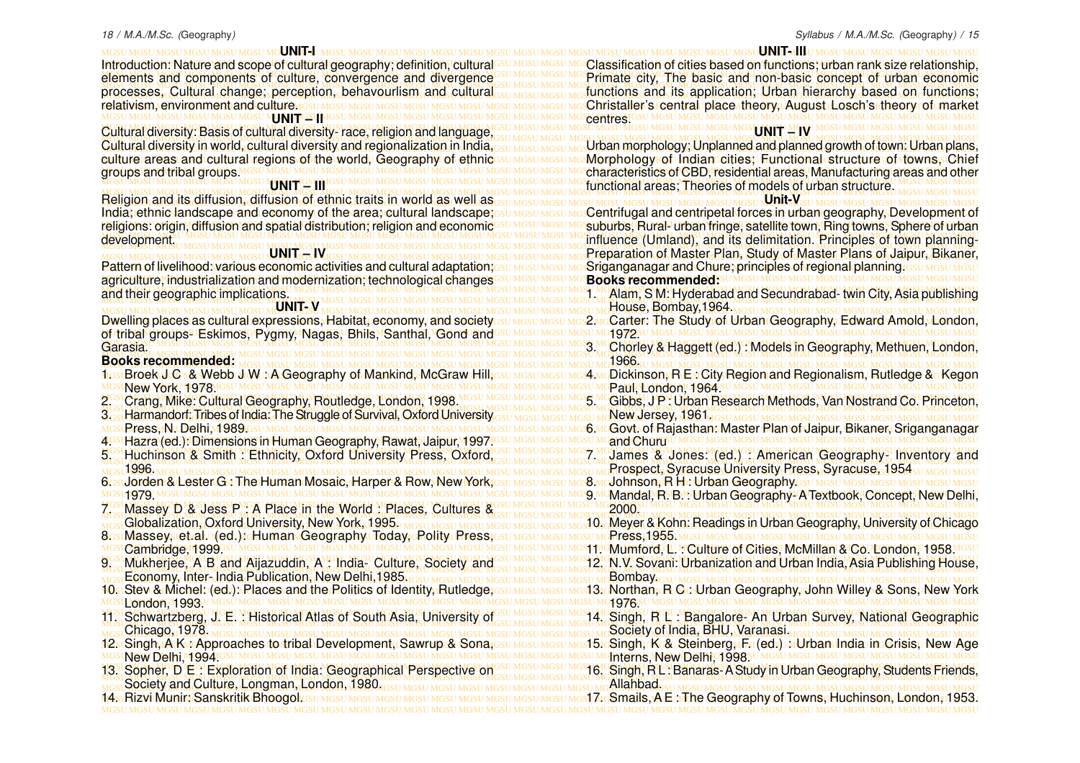MGSU MGSU MGSU MGSU MGSU MGSU MGSU MGSU MGSU MGSU MGSU MGSU MGSU MGSU MGSU MGSU MGSU MGSU MGSU MGSU MGSU MGSU MGSU MGSU MGSU MGSU MGSU MGSU MGSU MGSU MGSU MGSU **UNIT-I** Introduction: Nature and scope of cultural geography; definition; cultural<sup>esu MGSU MGSU MGSU MG</sup>Classification of cities based on functions; urban rank size relationship, elements and components of culture, convergence and divergence GSU MGSU MGSU MGSU MGSU MGSU MGSU, The basic and non-basic concept of urban economic MGSU MGSU MGSU MGSU MGSU MGSU MGSU MGSU MGSU MGSU MGSU MGSU MGSU MGSU MGSU MGSU MGSU MGSU MGSU MGSU MGSU MGSU MGSU MGSU MGSU MGSU MGSU MGSU MGSU MGSU MGSU MGSU processes, Cultural change; perception, behavourlism and cultural sum asympsium functions and its application; Urban hierarchy based on functions; MGSU MGSU MGSU MGSU MGSU MGSU MGSU MGSU MGSU MGSU MGSU MGSU MGSU MGSU MGSU MGSU MGSU MGSU MGSU MGSU MGSU MGSU MGSU MGSU MGSU MGSU MGSU MGSU MGSU MGSU MGSU MGSU Christaller's central place theory, August Losch's theory of market MGSU MGSU MGSU MGSU MGSU MGSU MGSU MGSU MGSU MGSU MGSU MGSU MGSU MGSU MGSU MGSU MGSU MGSU MGSU MGSU MGSU MGSU MGSU MGSU MGSU MGSU MGSU MGSU MGSU MGSU MGSU MGSU Cultural diversity: Basis of cultural diversity- race, religion and language, Introduction: Nature and scope of cultural geography; definition, cultural processes, Cultural change; perception, behavourlism and cultural relativism, environment and culture assumes under **MCNI LITEGSU MG** 

culture areas and culturabregions of the world, Geography of ethnics⊍ Mosu MossumesMorphology of Indianecities;⊨Functional structure of towns, Chief MGSU MGSU MGSU MGSU MGSU MGSU MGSU MGSU MGSU MGSU MGSU MGSU MGSU MGSU MGSU MGSU MGSU MGSU MGSU MGSU MGSU MGSU MGSU MGSU MGSU MGSU MGSU MGSU MGSU MGSU MGSU MGSU characteristics of CBD, residential areas, Manufacturing areas and other groups and tribal groups. **LENI <del>L</del>ESUM** 

MGSU MGSU MGSU MGSU MGSU MGSU MGSU MGSU MGSU MGSU MGSU MGSU MGSU MGSU MGSU MGSU MGSU MGSU MGSU MGSU MGSU MGSU MGSU MGSU MGSU MGSU MGSU MGSU MGSU MGSU MGSU MGSU Religion and its diffusion, diffusion of ethnic traits in world as well as India; ethnic landscape and economy of the area; cultural landscape; su MGSU MGSU MGSC entrifugal and centripetal forces in urban geography, Development of religions: origin, diffusion and spatial distribution; religion and economic<sup>esu Mesu Mesu Mos</sup>suburbs, Rural<sup>,</sup> urban fringe, satellite town, Ring towns, Sphere of urban MGSU MGSU MGSU MGSU MGSU MGSU MGSU MGSU MGSU MGSU MGSU MGSU MGSU MGSU MGSU MGSU MGSU MGSU MGSU MGSU MGSU MGSU MGSU MGSU MGSU MGSU MGSU MGSU MGSU MGSU MGSU MGSU religions: origin, diffusion and spatial distribution; religion and economic development.

Pattern of livelihood: various economic activities and cultural adaptation;ssu MGSU MGSU MGS**Criganganagar and Chure; principles of regional planning** issu MGSU MGSU MGSU MGSU MGSU MGSU MGSU MGSU MGSU MGSU MGSU MGSU MGSU MGSU MGSU MGSU MGSU MGSU MGSU MGSU MGSU MGSU MGSU MGSU MGSU MGSU MGSU MGSU MGSU MGSU MGSU MGSU MGSU MGSU agriculture, industrialization and modernization; technological changes MGSU MGSU MGSU MGSU MGSU MGSU MGSU MGSU MGSU MGSU MGSU MGSU MGSU MGSU MGSU MGSU MGSU MGSU MGSU MGSU MGSU MGSU MGSU MGSU MGSU MGSU MGSU MGSU MGSU MGSU MGSU MGSU 1. Alam, S M: Hyderabad and Secundrabad- twin City, Asia publishing **UNIT – IV** and their geographic implications.

MGSU MGSU MGSU MGSU MGSU MGSU MGSU MGSU MGSU MGSU MGSU MGSU MGSU MGSU MGSU MGSU MGSU MGSU MGSU MGSU MGSU MGSU MGSU MGSU MGSU MGSU MGSU MGSU MGSU MGSU MGSU MGSU Dwelling places as cultural expressions, Habitat, economy, and society<sub>GSU MGSU MGSU MGS</sub>2 MgCarter: The Study of Urban Geography, Edward Amold, London, MGSU MGSU MGSU MGSU MGSU MGSU MGSU MGSU MGSU MGSU MGSU MGSU MGSU MGSU MGSU MGSU MGSU MGSU MGSU MGSU MGSU MGSU MGSU MGSU MGSU MGSU MGSU MGSU MGSU MGSU MGSU MGSU of tribal groups- Eskimos, Pygmy, Nagas, Bhils, Santhal, Gond and MGSU MGSU MGSU MGSU MGSU MGSU MGSU MGSU MGSU MGSU MGSU MGSU MGSU MGSU MGSU MGSU MGSU MGSU MGSU MGSU MGSU MGSU MGSU MGSU MGSU MGSU MGSU MGSU MGSU MGSU MGSU MGSU MGSU MGSU MGSU MGSU MGSU MGSU MGSU MGSU MGSU MGSU MGSU MGSU MGSU MGSU MGSU MGSU MGSU MGSU MGSU MGSU MGSU MGSU MGSU MGSU MGSU MGSU MGSU MGSU MGSU MGSU MGSU MGSU 3. Chorley & Haggett (ed.) : Models in Geography, Methuen, London, **UNIT- V** Dwelling places as cultural expressions, Habitat, economy, and society Garasia.

<u>flostBroek J:C ⊾& Webb J:W∴A Geography of Mankind, McGraw Hill,esu Mesu Mesu MoA MoDickinson, R EstCity Region and Regionalism, Rutledge &e Kegon</u> 2. Crang, Mike: Cultural Geography, Routledge, London, 1998. MGSU MGSU MGSU MGS MGGibbs, J.P.: Urban Research Methods, Van Nostrand Co. Princeton, MGSU MGSU MGSU MGSU MGSU MGSU MGSU MGSU MGSU MGSU MGSU MGSU MGSU MGSU MGSU MGSU MGSU MGSU MGSU MGSU MGSU MGSU MGSU MGSU MGSU MGSU MGSU MGSU MGSU MGSU MGSU MGSU MGSU MGSU MGSU MGSU MGSU MGSU MGSU MGSU MGSU MGSU MGSU MGSU MGSU MGSU MGSU MGSU MGSU MGSU MGSU MGSU MGSU MGSU MGSU MGSU MGSU MGSU MGSU MGSU MGSU MGSU MGSU MGSU 3. Harmandorf: Tribes of India: The Struggle of Survival, Oxford University MGSU MGSU MGSU MGSU MGSU MGSU MGSU MGSU MGSU MGSU MGSU MGSU MGSU MGSU MGSU MGSU MGSU MGSU MGSU MGSU MGSU MGSU MGSU MGSU MGSU MGSU MGSU MGSU MGSU MGSU MGSU MGSU 6. Govt. of Rajasthan: Master Plan of Jaipur, Bikaner, Sriganganagar MGSU MGSU MGSU MGSU MGSU MGSU MGSU MGSU MGSU MGSU MGSU MGSU MGSU MGSU MGSU MGSU MGSU MGSU MGSU MGSU MGSU MGSU MGSU MGSU MGSU MGSU MGSU MGSU MGSU MGSU MGSU MGSU 4. Hazra (ed.): Dimensions in Human Geography, Rawat, Jaipur, 1997. 5. Huchinson & Smith : Ethnicity, Oxford University Press, Oxford, GSU MGSU MGSU MGSU MGSU MGSU MGSU (ed.) : American Geography- Inventory and MGSU MGSU MGSU MGSU MGSU MGSU MGSU MGSU MGSU MGSU MGSU MGSU MGSU MGSU MGSU MGSU MGSU MGSU MGSU MGSU MGSU MGSU MGSU MGSU MGSU MGSU MGSU MGSU MGSU MGSU MGSU MGSU MGSU MGSU MGSU MGSU MGSU MGSU MGSU MGSU MGSU MGSU MGSU MGSU MGSU MGSU MGSU MGSU MGSU MGSU MGSU MGSU MGSU MGSU MGSU MGSU MGSU MGSU MGSU MGSU MGSU MGSU MGSU MGSU Prospect, Syracuse University Press, Syracuse, 1954 MGSU MGSU MGSU MGSU MGSU MGSU MGSU MGSU MGSU MGSU MGSU MGSU MGSU MGSU MGSU MGSU MGSU MGSU MGSU MGSU MGSU MGSU MGSU MGSU MGSU MGSU MGSU MGSU MGSU MGSU MGSU MGSU 6. Jorden & Lester G : The Human Mosaic, Harper & Row, New York, MGSU MGSU MGSU MGSU MGSU MGSU MGSU MGSU MGSU MGSU MGSU MGSU MGSU MGSU MGSU MGSU MGSU MGSU MGSU MGSU MGSU MGSU MGSU MGSU MGSU MGSU MGSU MGSU MGSU MGSU MGSU MGSU 9. Mandal, R. B. : Urban Geography- A Textbook, Concept, New Delhi, MGSU MGSU MGSU MGSU MGSU MGSU MGSU MGSU MGSU MGSU MGSU MGSU MGSU MGSU MGSU MGSU MGSU MGSU MGSU MGSU MGSU MGSU MGSU MGSU MGSU MGSU MGSU MGSU MGSU MGSU MGSU MGSU 7. Massey D & Jess P : A Place in the World : Places, Cultures & MGSU MGSU MGSU MGSU MGSU MGSU MGSU MGSU MGSU MGSU MGSU MGSU MGSU MGSU MGSU MGSU MGSU MGSU MGSU MGSU MGSU MGSU MGSU MGSU MGSU MGSU MGSU MGSU MGSU MGSU MGSU MGSU MGSU MGSU MGSU MGSU MGSU MGSU MGSU MGSU MGSU MGSU MGSU MGSU MGSU MGSU MGSU MGSU MGSU MGSU MGSU MGSU MGSU MGSU MGSU MGSU MGSU MGSU MGSU MGSU MGSU MGSU MGSU MGSU 10. Meyer & Kohn: Readings in Urban Geography, University of Chicago MGSU MGSU MGSU MGSU MGSU MGSU MGSU MGSU MGSU MGSU MGSU MGSU MGSU MGSU MGSU MGSU MGSU MGSU MGSU MGSU MGSU MGSU MGSU MGSU MGSU MGSU MGSU MGSU MGSU MGSU MGSU MGSU 8. Massey, et.al. (ed.): Human Geography Today, Polity Press, MGSU MGSU MGSU MGSU MGSU MGSU MGSU MGSU MGSU MGSU MGSU MGSU MGSU MGSU MGSU MGSU MGSU MGSU MGSU MGSU MGSU MGSU MGSU MGSU MGSU MGSU MGSU MGSU MGSU MGSU MGSU MGSU 11. Mumford, L. : Culture of Cities, McMillan & Co. London, 1958. 9. Mukherjee, A B and Aijazuddin, A Hndia- Culture, Society and GSU MGSU MGSU MGSI 2. N.V. Sovani: Urbanization and Urban India, Asia Publishing House, 9. Mukherjee, A B and Aijazuddin, A : India- Culture, Society and GSU MGSU MGSU MGSU N.V. Sovani: Urbanization and Urban India, Asia Publishing House, MGSU MGSU MGSU MGSU MGSU MGSU MGSU MGSU MGSU MGSU MGSU MGSU MGSU MGSU MGSU MGSU MGSU MGSU MGSU MGSU MGSU MGSU MGSU MGSU MGSU MGSU MGSU MGSU MGSU MGSU MGSU MGSU Economy, Inter- India Publication, New Delhi,1985. 10s:Stev:&Michel: (ed.): Places and the Rolitics of Identity, Rutledge,ദേധമദേധമദേ മംഭി3: Northan, R.C.: Urban Geography, John Willey & Sons, New York MGSU MGSU MGSU MGSU MGSU MGSU MGSU MGSU MGSU MGSU MGSU MGSU MGSU MGSU MGSU MGSU MGSU MGSU MGSU MGSU MGSU MGSU MGSU MGSU MGSU MGSU MGSU MGSU MGSU MGSU MGSU MGSU York1976. MGSU MGSU MGSU MGSU MGSU MGSU MGSU MGSU MGSU MGSU MGSU MGSU MGSU MGSU MGSU MGSU MGSU MGSU MGSU MGSU MGSU MGSU MGSU MGSU MGSU MGSU MGSU MGSU MGSU MGSU MGSU MGSU 11. Schwartzberg, J. E. : Historical Atlas of South Asia, University of Survey MGSU MGSU MGSU MGSU MGSU MGGU MG 12s Singh,rA K∿r Approaches to tribal Development, Sawrup & Sona,esu Mesu Mesu Mes15reSingh,⊬Ke&⊦Steinberg,⊬Fs (eds) ∌rUrban India⊥ineCrisis,⊬New⊪Age MGSU MGSU MGSU MGSU MGSU MGSU MGSU MGSU MGSU MGSU MGSU MGSU MGSU MGSU MGSU MGSU MGSU MGSU MGSU MGSU MGSU MGSU MGSU MGSU MGSU MGSU MGSU MGSU MGSU MGSU MGSU MGSU 13. Sopher, D.E.: Exploration of India: Geographical Perspective on GSU MGSU MGSU MGSU MOST Singh, R.L.: Banaras-A Study in Urban Geography, Students Friends, 1<mark>rssBroek ժի©ի& Webb ժիW : A Geography of Mankind, McGraw Hill</mark>, New York, 1978. Press, N. Delhi, 1989. 5. Huchinson & Smith : Ethnicity, Oxford University Press, Oxford, 1996. 1979. Globalization, Oxford University, New York, 1995. Cambridge, 1999. London, 1993. 11. Schwartzberg, J. E. : Historical Atlas of South Asia, University of Chicago, 1978. New Delhi M994<sup>10</sup>

**UNIT- III** Primate city, The basic and non-basic concept of urban economic Sepantres.com **UNIT – IV**

MGSU MGSU MGSU MGSU MGSU MGSU MGSU MGSU MGSU MGSU MGSU MGSU MGSU MGSU MGSU MGSU MGSU MGSU MGSU MGSU MGSU MGSU MGSU MGSU MGSU MGSU MGSU MGSU MGSU MGSU MGSU MGSU Urban morphology; Unplanned and planned growth of town: Urban plans, Cultural diversity in world, cultural diversity and regionalization in India, GSU MGSU MGSU MGSU MOSU MODITY Unplanned and planned growth of town: Urban plans, MGSU MGSU MGSU MGSU MGSU MGSU MGSU MGSU MGSU MGSU MGSU MGSU MGSU MGSU MGSU MGSU MGSU MGSU MGSU MGSU MGSU MGSU MGSU MGSU MGSU MGSU MGSU MGSU MGSU MGSU MGSU MGSU functional areas; Theories of models of urban structure. MGSU MGSU MGSU MGSU MGSU MGSU MGSU MGSU MGSU MGSU MGSU MGSU MGSU MGSU MGSU MGSU MGSU MGSU MGSU MGSU MGSU MGSU MGSU MGSU MGSU MGSU MGSU MGSU MGSU MGSU MGSU MGSU Morphology of Indian cities; Functional structure of towns, Chief **Unit-V**

MGSU MGSU MGSU MGSU MGSU MGSU MGSU MGSU MGSU MGSU MGSU MGSU MGSU MGSU MGSU MGSU MGSU MGSU MGSU MGSU MGSU MGSU MGSU MGSU MGSU MGSU MGSU MGSU MGSU MGSU MGSU MGSU influence (Umland), and its delimitation. Principles of town planning-MGSU MGSU MGSU MGSU MGSU MGSU MGSU MGSU MGSU MGSU MGSU MGSU MGSU MGSU MGSU MGSU MGSU MGSU MGSU MGSU MGSU MGSU MGSU MGSU MGSU MGSU MGSU MGSU MGSU MGSU MGSU MGSU Preparation of Master Plan, Study of Master Plans of Jaipur, Bikaner, Centrifugal and centripetal forces in urban geography, Development of Sriganganagar and Chure; principles of regional planning *igsumesumesum* **Books recommended:**

MGSU MGSU MGSU MGSU MGSU MGSU MGSU MGSU MGSU MGSU MGSU MGSU MGSU MGSU MGSU MGSU MGSU MGSU MGSU MGSU MGSU MGSU MGSU MGSU MGSU MGSU MGSU MGSU MGSU MGSU MGSU MGSU House, Bombay,1964.

U MG4 972SI

MGSU MGSU MGSU MGSU MGSU MGSU MGSU MGSU MGSU MGSU MGSU MGSU MGSU MGSU MGSU MGSU MGSU MGSU MGSU MGSU MGSU MGSU MGSU MGSU MGSU MGSU MGSU MGSU MGSU MGSU MGSU MGSU **Books recommended:** 1966.

MGSU MGSU MGSU MGSU MGSU MGSU MGSU MGSU MGSU MGSU MGSU MGSU MGSU MGSU MGSU MGSU MGSU MGSU MGSU MGSU MGSU MGSU MGSU MGSU MGSU MGSU MGSU MGSU MGSU MGSU MGSU MGSU Paul, London, 1964.<sup>st</sup>

5. Gibbs, J P : Urban Research Methods, Van Nostrand Co. Princeton, New Jersey, 1961.

**and Churry** 

8. Mcdohnson, R H c Urban Geography. GSU MGSU MGSU MGSU MGSU

2000.

Press,1955.

Bombay.

13. Northan, R C .: Urban Geography, John Willey & Sons, New York

Society of India, BHU, Varanasi.

MGSU MGSU MGSU MGSU MGSU MGSU MGSU MGSU MGSU MGSU MGSU MGSU MGSU MGSU MGSU MGSU MGSU MGSU MGSU MGSU MGSU MGSU MGSU MGSU MGSU MGSU MGSU MGSU MGSU MGSU MGSU MGSU 15. Singh, K& Steinberg, F. (ed.) w Urban India in Crisis, New Age **Interns, New Delhi, 1998.** 

16. Singh, R.L.: Banaras- A Study in Urban Geography, Students Friends, Allahbad.

- 
- 
- 
- 
- 
- 
- MGSU MGSU MGSU MGSU MGSU MGSU MGSU MGSU MGSU MGSU MGSU MGSU MGSU MGSU MGSU MGSU MGSU MGSU MGSU MGSU MGSU MGSU MGSU MGSU MGSU MGSU MGSU MGSU MGSU MGSU MGSU MGSU Society and Culture, Longman, London, 1980.

MGSU MGSU MGSU MGSU MGSU MGSU MGSU MGSU MGSU MGSU MGSU MGSU MGSU MGSU MGSU MGSU MGSU MGSU MGSU MGSU MGSU MGSU MGSU MGSU MGSU MGSU MGSU MGSU MGSU MGSU MGSU MGSU 17. Smails, A E : The Geography of Towns, Huchinson, London, 1953. 14 st Rizvi Munim Sanskritik Bhoogol GSU MGSU MGSU MGSU